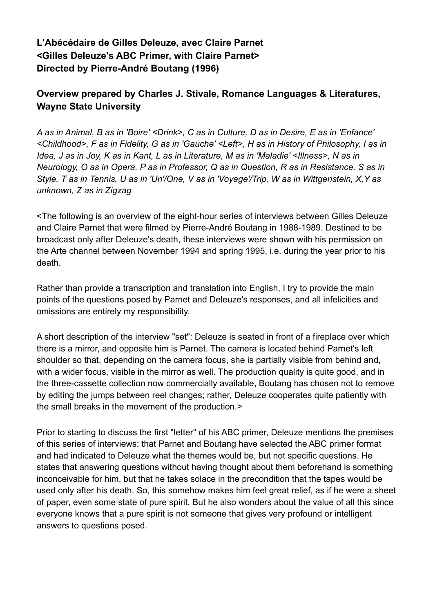**L'Abécédaire de Gilles Deleuze, avec Claire Parnet <Gilles Deleuze's ABC Primer, with Claire Parnet> Directed by Pierre-André Boutang (1996)**

#### **Overview prepared by Charles J. Stivale, Romance Languages & Literatures, Wayne State University**

*A as in Animal, B as in 'Boire' <Drink>, C as in Culture, D as in Desire, E as in 'Enfance' <Childhood>, F as in Fidelity, G as in 'Gauche' <Left>, H as in History of Philosophy, I as in Idea, J as in Joy, K as in Kant, L as in Literature, M as in 'Maladie' <Illness>, N as in Neurology, O as in Opera, P as in Professor, Q as in Question, R as in Resistance, S as in Style, T as in Tennis, U as in 'Un'/One, V as in 'Voyage'/Trip, W as in Wittgenstein, X,Y as unknown, Z as in Zigzag*

<The following is an overview of the eight-hour series of interviews between Gilles Deleuze and Claire Parnet that were filmed by Pierre-André Boutang in 1988-1989. Destined to be broadcast only after Deleuze's death, these interviews were shown with his permission on the Arte channel between November 1994 and spring 1995, i.e. during the year prior to his death.

Rather than provide a transcription and translation into English, I try to provide the main points of the questions posed by Parnet and Deleuze's responses, and all infelicities and omissions are entirely my responsibility.

A short description of the interview "set": Deleuze is seated in front of a fireplace over which there is a mirror, and opposite him is Parnet. The camera is located behind Parnet's left shoulder so that, depending on the camera focus, she is partially visible from behind and, with a wider focus, visible in the mirror as well. The production quality is quite good, and in the three-cassette collection now commercially available, Boutang has chosen not to remove by editing the jumps between reel changes; rather, Deleuze cooperates quite patiently with the small breaks in the movement of the production.>

Prior to starting to discuss the first "letter" of his ABC primer, Deleuze mentions the premises of this series of interviews: that Parnet and Boutang have selected the ABC primer format and had indicated to Deleuze what the themes would be, but not specific questions. He states that answering questions without having thought about them beforehand is something inconceivable for him, but that he takes solace in the precondition that the tapes would be used only after his death. So, this somehow makes him feel great relief, as if he were a sheet of paper, even some state of pure spirit. But he also wonders about the value of all this since everyone knows that a pure spirit is not someone that gives very profound or intelligent answers to questions posed.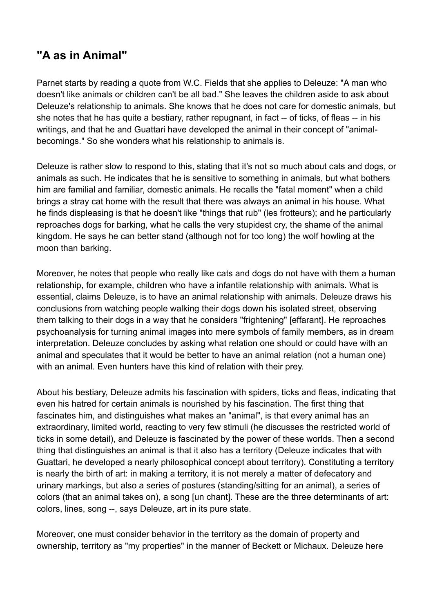## **"A as in Animal"**

Parnet starts by reading a quote from W.C. Fields that she applies to Deleuze: "A man who doesn't like animals or children can't be all bad." She leaves the children aside to ask about Deleuze's relationship to animals. She knows that he does not care for domestic animals, but she notes that he has quite a bestiary, rather repugnant, in fact -- of ticks, of fleas -- in his writings, and that he and Guattari have developed the animal in their concept of "animalbecomings." So she wonders what his relationship to animals is.

Deleuze is rather slow to respond to this, stating that it's not so much about cats and dogs, or animals as such. He indicates that he is sensitive to something in animals, but what bothers him are familial and familiar, domestic animals. He recalls the "fatal moment" when a child brings a stray cat home with the result that there was always an animal in his house. What he finds displeasing is that he doesn't like "things that rub" (les frotteurs); and he particularly reproaches dogs for barking, what he calls the very stupidest cry, the shame of the animal kingdom. He says he can better stand (although not for too long) the wolf howling at the moon than barking.

Moreover, he notes that people who really like cats and dogs do not have with them a human relationship, for example, children who have a infantile relationship with animals. What is essential, claims Deleuze, is to have an animal relationship with animals. Deleuze draws his conclusions from watching people walking their dogs down his isolated street, observing them talking to their dogs in a way that he considers "frightening" [effarant]. He reproaches psychoanalysis for turning animal images into mere symbols of family members, as in dream interpretation. Deleuze concludes by asking what relation one should or could have with an animal and speculates that it would be better to have an animal relation (not a human one) with an animal. Even hunters have this kind of relation with their prey.

About his bestiary, Deleuze admits his fascination with spiders, ticks and fleas, indicating that even his hatred for certain animals is nourished by his fascination. The first thing that fascinates him, and distinguishes what makes an "animal", is that every animal has an extraordinary, limited world, reacting to very few stimuli (he discusses the restricted world of ticks in some detail), and Deleuze is fascinated by the power of these worlds. Then a second thing that distinguishes an animal is that it also has a territory (Deleuze indicates that with Guattari, he developed a nearly philosophical concept about territory). Constituting a territory is nearly the birth of art: in making a territory, it is not merely a matter of defecatory and urinary markings, but also a series of postures (standing/sitting for an animal), a series of colors (that an animal takes on), a song [un chant]. These are the three determinants of art: colors, lines, song --, says Deleuze, art in its pure state.

Moreover, one must consider behavior in the territory as the domain of property and ownership, territory as "my properties" in the manner of Beckett or Michaux. Deleuze here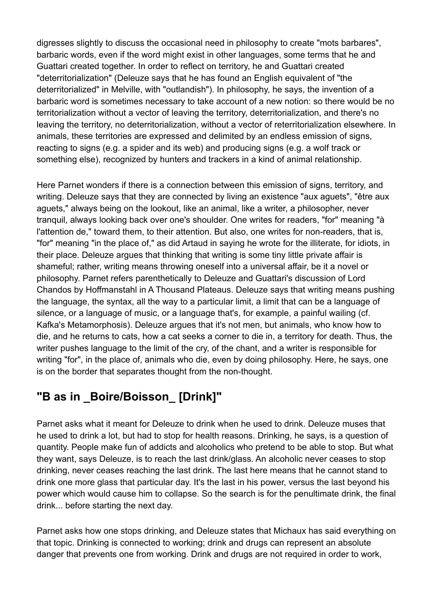digresses slightly to discuss the occasional need in philosophy to create "mots barbares", barbaric words, even if the word might exist in other languages, some terms that he and Guattari created together. In order to reflect on territory, he and Guattari created "deterritorialization" (Deleuze says that he has found an English equivalent of "the deterritorialized" in Melville, with "outlandish"). In philosophy, he says, the invention of a barbaric word is sometimes necessary to take account of a new notion: so there would be no territorialization without a vector of leaving the territory, deterritorialization, and there's no leaving the territory, no deterritorialization, without a vector of reterritorialization elsewhere. In animals, these territories are expressed and delimited by an endless emission of signs, reacting to signs (e.g. a spider and its web) and producing signs (e.g. a wolf track or something else), recognized by hunters and trackers in a kind of animal relationship.

Here Parnet wonders if there is a connection between this emission of signs, territory, and writing. Deleuze says that they are connected by living an existence "aux aguets", "être aux aguets," always being on the lookout, like an animal, like a writer, a philosopher, never tranquil, always looking back over one's shoulder. One writes for readers, "for" meaning "à l'attention de," toward them, to their attention. But also, one writes for non-readers, that is, "for" meaning "in the place of," as did Artaud in saying he wrote for the illiterate, for idiots, in their place. Deleuze argues that thinking that writing is some tiny little private affair is shameful; rather, writing means throwing oneself into a universal affair, be it a novel or philosophy. Parnet refers parenthetically to Deleuze and Guattari's discussion of Lord Chandos by Hoffmanstahl in A Thousand Plateaus. Deleuze says that writing means pushing the language, the syntax, all the way to a particular limit, a limit that can be a language of silence, or a language of music, or a language that's, for example, a painful wailing (cf. Kafka's Metamorphosis). Deleuze argues that it's not men, but animals, who know how to die, and he returns to cats, how a cat seeks a corner to die in, a territory for death. Thus, the writer pushes language to the limit of the cry, of the chant, and a writer is responsible for writing "for", in the place of, animals who die, even by doing philosophy. Here, he says, one is on the border that separates thought from the non-thought.

## **"B as in \_Boire/Boisson\_ [Drink]"**

Parnet asks what it meant for Deleuze to drink when he used to drink. Deleuze muses that he used to drink a lot, but had to stop for health reasons. Drinking, he says, is a question of quantity. People make fun of addicts and alcoholics who pretend to be able to stop. But what they want, says Deleuze, is to reach the last drink/glass. An alcoholic never ceases to stop drinking, never ceases reaching the last drink. The last here means that he cannot stand to drink one more glass that particular day. It's the last in his power, versus the last beyond his power which would cause him to collapse. So the search is for the penultimate drink, the final drink... before starting the next day.

Parnet asks how one stops drinking, and Deleuze states that Michaux has said everything on that topic. Drinking is connected to working; drink and drugs can represent an absolute danger that prevents one from working. Drink and drugs are not required in order to work,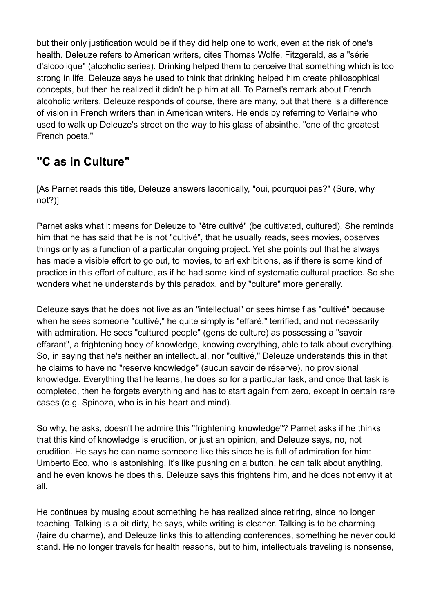but their only justification would be if they did help one to work, even at the risk of one's health. Deleuze refers to American writers, cites Thomas Wolfe, Fitzgerald, as a "série d'alcoolique" (alcoholic series). Drinking helped them to perceive that something which is too strong in life. Deleuze says he used to think that drinking helped him create philosophical concepts, but then he realized it didn't help him at all. To Parnet's remark about French alcoholic writers, Deleuze responds of course, there are many, but that there is a difference of vision in French writers than in American writers. He ends by referring to Verlaine who used to walk up Deleuze's street on the way to his glass of absinthe, "one of the greatest French poets."

### **"C as in Culture"**

[As Parnet reads this title, Deleuze answers laconically, "oui, pourquoi pas?" (Sure, why not?)]

Parnet asks what it means for Deleuze to "être cultivé" (be cultivated, cultured). She reminds him that he has said that he is not "cultivé", that he usually reads, sees movies, observes things only as a function of a particular ongoing project. Yet she points out that he always has made a visible effort to go out, to movies, to art exhibitions, as if there is some kind of practice in this effort of culture, as if he had some kind of systematic cultural practice. So she wonders what he understands by this paradox, and by "culture" more generally.

Deleuze says that he does not live as an "intellectual" or sees himself as "cultivé" because when he sees someone "cultivé," he quite simply is "effaré," terrified, and not necessarily with admiration. He sees "cultured people" (gens de culture) as possessing a "savoir effarant", a frightening body of knowledge, knowing everything, able to talk about everything. So, in saying that he's neither an intellectual, nor "cultivé," Deleuze understands this in that he claims to have no "reserve knowledge" (aucun savoir de réserve), no provisional knowledge. Everything that he learns, he does so for a particular task, and once that task is completed, then he forgets everything and has to start again from zero, except in certain rare cases (e.g. Spinoza, who is in his heart and mind).

So why, he asks, doesn't he admire this "frightening knowledge"? Parnet asks if he thinks that this kind of knowledge is erudition, or just an opinion, and Deleuze says, no, not erudition. He says he can name someone like this since he is full of admiration for him: Umberto Eco, who is astonishing, it's like pushing on a button, he can talk about anything, and he even knows he does this. Deleuze says this frightens him, and he does not envy it at all.

He continues by musing about something he has realized since retiring, since no longer teaching. Talking is a bit dirty, he says, while writing is cleaner. Talking is to be charming (faire du charme), and Deleuze links this to attending conferences, something he never could stand. He no longer travels for health reasons, but to him, intellectuals traveling is nonsense,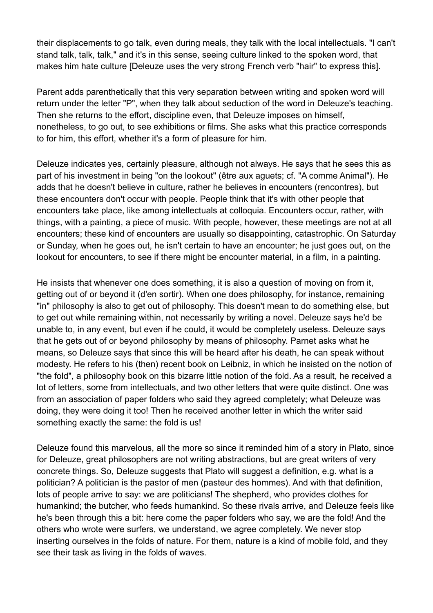their displacements to go talk, even during meals, they talk with the local intellectuals. "I can't stand talk, talk, talk," and it's in this sense, seeing culture linked to the spoken word, that makes him hate culture [Deleuze uses the very strong French verb "hair" to express this].

Parent adds parenthetically that this very separation between writing and spoken word will return under the letter "P", when they talk about seduction of the word in Deleuze's teaching. Then she returns to the effort, discipline even, that Deleuze imposes on himself, nonetheless, to go out, to see exhibitions or films. She asks what this practice corresponds to for him, this effort, whether it's a form of pleasure for him.

Deleuze indicates yes, certainly pleasure, although not always. He says that he sees this as part of his investment in being "on the lookout" (être aux aguets; cf. "A comme Animal"). He adds that he doesn't believe in culture, rather he believes in encounters (rencontres), but these encounters don't occur with people. People think that it's with other people that encounters take place, like among intellectuals at colloquia. Encounters occur, rather, with things, with a painting, a piece of music. With people, however, these meetings are not at all encounters; these kind of encounters are usually so disappointing, catastrophic. On Saturday or Sunday, when he goes out, he isn't certain to have an encounter; he just goes out, on the lookout for encounters, to see if there might be encounter material, in a film, in a painting.

He insists that whenever one does something, it is also a question of moving on from it, getting out of or beyond it (d'en sortir). When one does philosophy, for instance, remaining "in" philosophy is also to get out of philosophy. This doesn't mean to do something else, but to get out while remaining within, not necessarily by writing a novel. Deleuze says he'd be unable to, in any event, but even if he could, it would be completely useless. Deleuze says that he gets out of or beyond philosophy by means of philosophy. Parnet asks what he means, so Deleuze says that since this will be heard after his death, he can speak without modesty. He refers to his (then) recent book on Leibniz, in which he insisted on the notion of "the fold", a philosophy book on this bizarre little notion of the fold. As a result, he received a lot of letters, some from intellectuals, and two other letters that were quite distinct. One was from an association of paper folders who said they agreed completely; what Deleuze was doing, they were doing it too! Then he received another letter in which the writer said something exactly the same: the fold is us!

Deleuze found this marvelous, all the more so since it reminded him of a story in Plato, since for Deleuze, great philosophers are not writing abstractions, but are great writers of very concrete things. So, Deleuze suggests that Plato will suggest a definition, e.g. what is a politician? A politician is the pastor of men (pasteur des hommes). And with that definition, lots of people arrive to say: we are politicians! The shepherd, who provides clothes for humankind; the butcher, who feeds humankind. So these rivals arrive, and Deleuze feels like he's been through this a bit: here come the paper folders who say, we are the fold! And the others who wrote were surfers, we understand, we agree completely. We never stop inserting ourselves in the folds of nature. For them, nature is a kind of mobile fold, and they see their task as living in the folds of waves.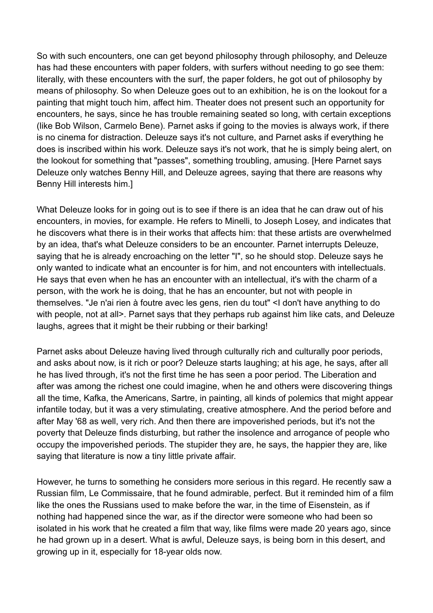So with such encounters, one can get beyond philosophy through philosophy, and Deleuze has had these encounters with paper folders, with surfers without needing to go see them: literally, with these encounters with the surf, the paper folders, he got out of philosophy by means of philosophy. So when Deleuze goes out to an exhibition, he is on the lookout for a painting that might touch him, affect him. Theater does not present such an opportunity for encounters, he says, since he has trouble remaining seated so long, with certain exceptions (like Bob Wilson, Carmelo Bene). Parnet asks if going to the movies is always work, if there is no cinema for distraction. Deleuze says it's not culture, and Parnet asks if everything he does is inscribed within his work. Deleuze says it's not work, that he is simply being alert, on the lookout for something that "passes", something troubling, amusing. [Here Parnet says Deleuze only watches Benny Hill, and Deleuze agrees, saying that there are reasons why Benny Hill interests him.]

What Deleuze looks for in going out is to see if there is an idea that he can draw out of his encounters, in movies, for example. He refers to Minelli, to Joseph Losey, and indicates that he discovers what there is in their works that affects him: that these artists are overwhelmed by an idea, that's what Deleuze considers to be an encounter. Parnet interrupts Deleuze, saying that he is already encroaching on the letter "I", so he should stop. Deleuze says he only wanted to indicate what an encounter is for him, and not encounters with intellectuals. He says that even when he has an encounter with an intellectual, it's with the charm of a person, with the work he is doing, that he has an encounter, but not with people in themselves. "Je n'ai rien à foutre avec les gens, rien du tout" <I don't have anything to do with people, not at all>. Parnet says that they perhaps rub against him like cats, and Deleuze laughs, agrees that it might be their rubbing or their barking!

Parnet asks about Deleuze having lived through culturally rich and culturally poor periods, and asks about now, is it rich or poor? Deleuze starts laughing; at his age, he says, after all he has lived through, it's not the first time he has seen a poor period. The Liberation and after was among the richest one could imagine, when he and others were discovering things all the time, Kafka, the Americans, Sartre, in painting, all kinds of polemics that might appear infantile today, but it was a very stimulating, creative atmosphere. And the period before and after May '68 as well, very rich. And then there are impoverished periods, but it's not the poverty that Deleuze finds disturbing, but rather the insolence and arrogance of people who occupy the impoverished periods. The stupider they are, he says, the happier they are, like saying that literature is now a tiny little private affair.

However, he turns to something he considers more serious in this regard. He recently saw a Russian film, Le Commissaire, that he found admirable, perfect. But it reminded him of a film like the ones the Russians used to make before the war, in the time of Eisenstein, as if nothing had happened since the war, as if the director were someone who had been so isolated in his work that he created a film that way, like films were made 20 years ago, since he had grown up in a desert. What is awful, Deleuze says, is being born in this desert, and growing up in it, especially for 18-year olds now.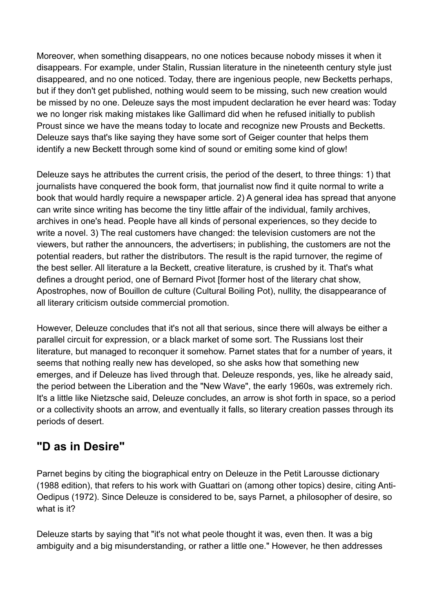Moreover, when something disappears, no one notices because nobody misses it when it disappears. For example, under Stalin, Russian literature in the nineteenth century style just disappeared, and no one noticed. Today, there are ingenious people, new Becketts perhaps, but if they don't get published, nothing would seem to be missing, such new creation would be missed by no one. Deleuze says the most impudent declaration he ever heard was: Today we no longer risk making mistakes like Gallimard did when he refused initially to publish Proust since we have the means today to locate and recognize new Prousts and Becketts. Deleuze says that's like saying they have some sort of Geiger counter that helps them identify a new Beckett through some kind of sound or emiting some kind of glow!

Deleuze says he attributes the current crisis, the period of the desert, to three things: 1) that journalists have conquered the book form, that journalist now find it quite normal to write a book that would hardly require a newspaper article. 2) A general idea has spread that anyone can write since writing has become the tiny little affair of the individual, family archives, archives in one's head. People have all kinds of personal experiences, so they decide to write a novel. 3) The real customers have changed: the television customers are not the viewers, but rather the announcers, the advertisers; in publishing, the customers are not the potential readers, but rather the distributors. The result is the rapid turnover, the regime of the best seller. All literature a la Beckett, creative literature, is crushed by it. That's what defines a drought period, one of Bernard Pivot [former host of the literary chat show, Apostrophes, now of Bouillon de culture (Cultural Boiling Pot), nullity, the disappearance of all literary criticism outside commercial promotion.

However, Deleuze concludes that it's not all that serious, since there will always be either a parallel circuit for expression, or a black market of some sort. The Russians lost their literature, but managed to reconquer it somehow. Parnet states that for a number of years, it seems that nothing really new has developed, so she asks how that something new emerges, and if Deleuze has lived through that. Deleuze responds, yes, like he already said, the period between the Liberation and the "New Wave", the early 1960s, was extremely rich. It's a little like Nietzsche said, Deleuze concludes, an arrow is shot forth in space, so a period or a collectivity shoots an arrow, and eventually it falls, so literary creation passes through its periods of desert.

## **"D as in Desire"**

Parnet begins by citing the biographical entry on Deleuze in the Petit Larousse dictionary (1988 edition), that refers to his work with Guattari on (among other topics) desire, citing Anti-Oedipus (1972). Since Deleuze is considered to be, says Parnet, a philosopher of desire, so what is it?

Deleuze starts by saying that "it's not what peole thought it was, even then. It was a big ambiguity and a big misunderstanding, or rather a little one." However, he then addresses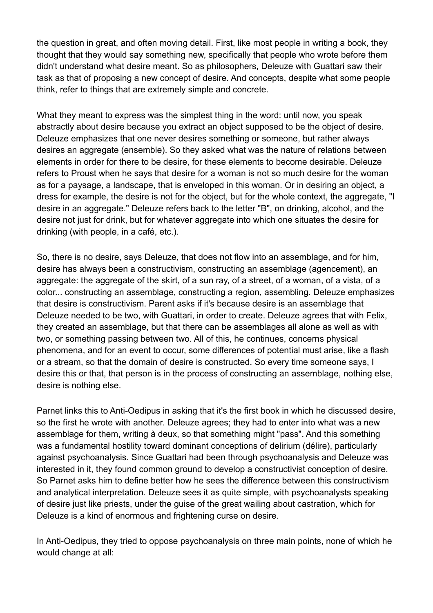the question in great, and often moving detail. First, like most people in writing a book, they thought that they would say something new, specifically that people who wrote before them didn't understand what desire meant. So as philosophers, Deleuze with Guattari saw their task as that of proposing a new concept of desire. And concepts, despite what some people think, refer to things that are extremely simple and concrete.

What they meant to express was the simplest thing in the word: until now, you speak abstractly about desire because you extract an object supposed to be the object of desire. Deleuze emphasizes that one never desires something or someone, but rather always desires an aggregate (ensemble). So they asked what was the nature of relations between elements in order for there to be desire, for these elements to become desirable. Deleuze refers to Proust when he says that desire for a woman is not so much desire for the woman as for a paysage, a landscape, that is enveloped in this woman. Or in desiring an object, a dress for example, the desire is not for the object, but for the whole context, the aggregate, "I desire in an aggregate." Deleuze refers back to the letter "B", on drinking, alcohol, and the desire not just for drink, but for whatever aggregate into which one situates the desire for drinking (with people, in a café, etc.).

So, there is no desire, says Deleuze, that does not flow into an assemblage, and for him, desire has always been a constructivism, constructing an assemblage (agencement), an aggregate: the aggregate of the skirt, of a sun ray, of a street, of a woman, of a vista, of a color... constructing an assemblage, constructing a region, assembling. Deleuze emphasizes that desire is constructivism. Parent asks if it's because desire is an assemblage that Deleuze needed to be two, with Guattari, in order to create. Deleuze agrees that with Felix, they created an assemblage, but that there can be assemblages all alone as well as with two, or something passing between two. All of this, he continues, concerns physical phenomena, and for an event to occur, some differences of potential must arise, like a flash or a stream, so that the domain of desire is constructed. So every time someone says, I desire this or that, that person is in the process of constructing an assemblage, nothing else, desire is nothing else.

Parnet links this to Anti-Oedipus in asking that it's the first book in which he discussed desire, so the first he wrote with another. Deleuze agrees; they had to enter into what was a new assemblage for them, writing à deux, so that something might "pass". And this something was a fundamental hostility toward dominant conceptions of delirium (délire), particularly against psychoanalysis. Since Guattari had been through psychoanalysis and Deleuze was interested in it, they found common ground to develop a constructivist conception of desire. So Parnet asks him to define better how he sees the difference between this constructivism and analytical interpretation. Deleuze sees it as quite simple, with psychoanalysts speaking of desire just like priests, under the guise of the great wailing about castration, which for Deleuze is a kind of enormous and frightening curse on desire.

In Anti-Oedipus, they tried to oppose psychoanalysis on three main points, none of which he would change at all: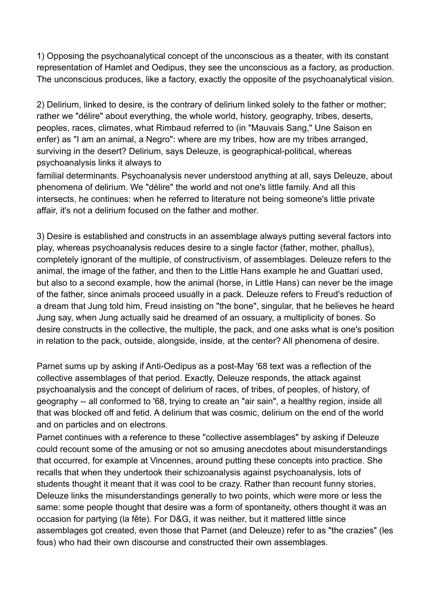1) Opposing the psychoanalytical concept of the unconscious as a theater, with its constant representation of Hamlet and Oedipus, they see the unconscious as a factory, as production. The unconscious produces, like a factory, exactly the opposite of the psychoanalytical vision.

2) Delirium, linked to desire, is the contrary of delirium linked solely to the father or mother; rather we "délire" about everything, the whole world, history, geography, tribes, deserts, peoples, races, climates, what Rimbaud referred to (in "Mauvais Sang," Une Saison en enfer) as "I am an animal, a Negro": where are my tribes, how are my tribes arranged, surviving in the desert? Delirium, says Deleuze, is geographical-political, whereas psychoanalysis links it always to

familial determinants. Psychoanalysis never understood anything at all, says Deleuze, about phenomena of delirium. We "délire" the world and not one's little family. And all this intersects, he continues: when he referred to literature not being someone's little private affair, it's not a delirium focused on the father and mother.

3) Desire is established and constructs in an assemblage always putting several factors into play, whereas psychoanalysis reduces desire to a single factor (father, mother, phallus), completely ignorant of the multiple, of constructivism, of assemblages. Deleuze refers to the animal, the image of the father, and then to the Little Hans example he and Guattari used, but also to a second example, how the animal (horse, in Little Hans) can never be the image of the father, since animals proceed usually in a pack. Deleuze refers to Freud's reduction of a dream that Jung told him, Freud insisting on "the bone", singular, that he believes he heard Jung say, when Jung actually said he dreamed of an ossuary, a multiplicity of bones. So desire constructs in the collective, the multiple, the pack, and one asks what is one's position in relation to the pack, outside, alongside, inside, at the center? All phenomena of desire.

Parnet sums up by asking if Anti-Oedipus as a post-May '68 text was a reflection of the collective assemblages of that period. Exactly, Deleuze responds, the attack against psychoanalysis and the concept of delirium of races, of tribes, of peoples, of history, of geography -- all conformed to '68, trying to create an "air sain", a healthy region, inside all that was blocked off and fetid. A delirium that was cosmic, delirium on the end of the world and on particles and on electrons.

Parnet continues with a reference to these "collective assemblages" by asking if Deleuze could recount some of the amusing or not so amusing anecdotes about misunderstandings that occurred, for example at Vincennes, around putting these concepts into practice. She recalls that when they undertook their schizoanalysis against psychoanalysis, lots of students thought it meant that it was cool to be crazy. Rather than recount funny stories, Deleuze links the misunderstandings generally to two points, which were more or less the same: some people thought that desire was a form of spontaneity, others thought it was an occasion for partying (la fête). For D&G, it was neither, but it mattered little since assemblages got created, even those that Parnet (and Deleuze) refer to as "the crazies" (les fous) who had their own discourse and constructed their own assemblages.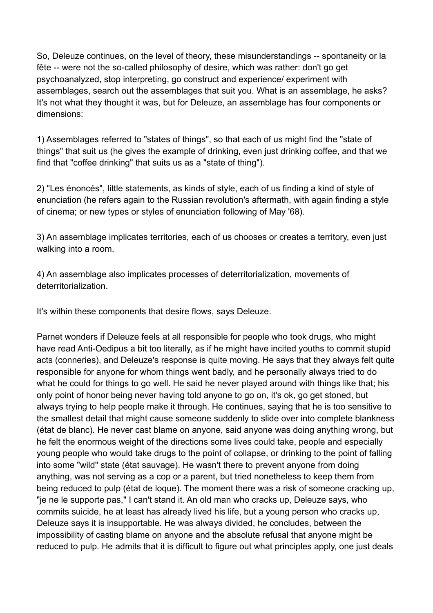So, Deleuze continues, on the level of theory, these misunderstandings -- spontaneity or la fête -- were not the so-called philosophy of desire, which was rather: don't go get psychoanalyzed, stop interpreting, go construct and experience/ experiment with assemblages, search out the assemblages that suit you. What is an assemblage, he asks? It's not what they thought it was, but for Deleuze, an assemblage has four components or dimensions:

1) Assemblages referred to "states of things", so that each of us might find the "state of things" that suit us (he gives the example of drinking, even just drinking coffee, and that we find that "coffee drinking" that suits us as a "state of thing").

2) "Les énoncés", little statements, as kinds of style, each of us finding a kind of style of enunciation (he refers again to the Russian revolution's aftermath, with again finding a style of cinema; or new types or styles of enunciation following of May '68).

3) An assemblage implicates territories, each of us chooses or creates a territory, even just walking into a room.

4) An assemblage also implicates processes of deterritorialization, movements of deterritorialization.

It's within these components that desire flows, says Deleuze.

Parnet wonders if Deleuze feels at all responsible for people who took drugs, who might have read Anti-Oedipus a bit too literally, as if he might have incited youths to commit stupid acts (conneries), and Deleuze's response is quite moving. He says that they always felt quite responsible for anyone for whom things went badly, and he personally always tried to do what he could for things to go well. He said he never played around with things like that; his only point of honor being never having told anyone to go on, it's ok, go get stoned, but always trying to help people make it through. He continues, saying that he is too sensitive to the smallest detail that might cause someone suddenly to slide over into complete blankness (état de blanc). He never cast blame on anyone, said anyone was doing anything wrong, but he felt the enormous weight of the directions some lives could take, people and especially young people who would take drugs to the point of collapse, or drinking to the point of falling into some "wild" state (état sauvage). He wasn't there to prevent anyone from doing anything, was not serving as a cop or a parent, but tried nonetheless to keep them from being reduced to pulp (état de loque). The moment there was a risk of someone cracking up, "je ne le supporte pas," I can't stand it. An old man who cracks up, Deleuze says, who commits suicide, he at least has already lived his life, but a young person who cracks up, Deleuze says it is insupportable. He was always divided, he concludes, between the impossibility of casting blame on anyone and the absolute refusal that anyone might be reduced to pulp. He admits that it is difficult to figure out what principles apply, one just deals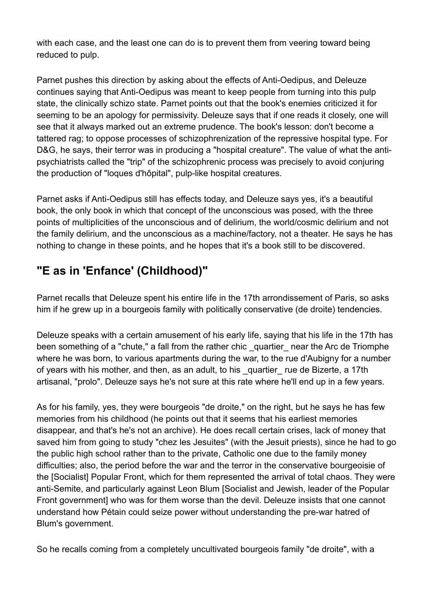with each case, and the least one can do is to prevent them from veering toward being reduced to pulp.

Parnet pushes this direction by asking about the effects of Anti-Oedipus, and Deleuze continues saying that Anti-Oedipus was meant to keep people from turning into this pulp state, the clinically schizo state. Parnet points out that the book's enemies criticized it for seeming to be an apology for permissivity. Deleuze says that if one reads it closely, one will see that it always marked out an extreme prudence. The book's lesson: don't become a tattered rag; to oppose processes of schizophrenization of the repressive hospital type. For D&G, he says, their terror was in producing a "hospital creature". The value of what the antipsychiatrists called the "trip" of the schizophrenic process was precisely to avoid conjuring the production of "loques d'hôpital", pulp-like hospital creatures.

Parnet asks if Anti-Oedipus still has effects today, and Deleuze says yes, it's a beautiful book, the only book in which that concept of the unconscious was posed, with the three points of multiplicities of the unconscious and of delirium, the world/cosmic delirium and not the family delirium, and the unconscious as a machine/factory, not a theater. He says he has nothing to change in these points, and he hopes that it's a book still to be discovered.

# **"E as in 'Enfance' (Childhood)"**

Parnet recalls that Deleuze spent his entire life in the 17th arrondissement of Paris, so asks him if he grew up in a bourgeois family with politically conservative (de droite) tendencies.

Deleuze speaks with a certain amusement of his early life, saying that his life in the 17th has been something of a "chute," a fall from the rather chic quartier near the Arc de Triomphe where he was born, to various apartments during the war, to the rue d'Aubigny for a number of years with his mother, and then, as an adult, to his quartier rue de Bizerte, a 17th artisanal, "prolo". Deleuze says he's not sure at this rate where he'll end up in a few years.

As for his family, yes, they were bourgeois "de droite," on the right, but he says he has few memories from his childhood (he points out that it seems that his earliest memories disappear, and that's he's not an archive). He does recall certain crises, lack of money that saved him from going to study "chez les Jesuites" (with the Jesuit priests), since he had to go the public high school rather than to the private, Catholic one due to the family money difficulties; also, the period before the war and the terror in the conservative bourgeoisie of the [Socialist] Popular Front, which for them represented the arrival of total chaos. They were anti-Semite, and particularly against Leon Blum [Socialist and Jewish, leader of the Popular Front government] who was for them worse than the devil. Deleuze insists that one cannot understand how Pétain could seize power without understanding the pre-war hatred of Blum's government.

So he recalls coming from a completely uncultivated bourgeois family "de droite", with a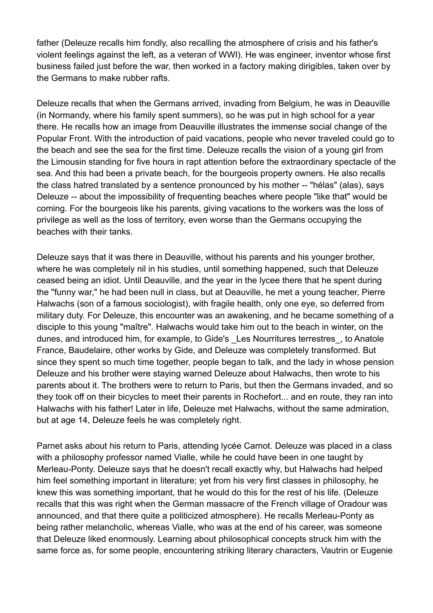father (Deleuze recalls him fondly, also recalling the atmosphere of crisis and his father's violent feelings against the left, as a veteran of WWI). He was engineer, inventor whose first business failed just before the war, then worked in a factory making dirigibles, taken over by the Germans to make rubber rafts.

Deleuze recalls that when the Germans arrived, invading from Belgium, he was in Deauville (in Normandy, where his family spent summers), so he was put in high school for a year there. He recalls how an image from Deauville illustrates the immense social change of the Popular Front. With the introduction of paid vacations, people who never traveled could go to the beach and see the sea for the first time. Deleuze recalls the vision of a young girl from the Limousin standing for five hours in rapt attention before the extraordinary spectacle of the sea. And this had been a private beach, for the bourgeois property owners. He also recalls the class hatred translated by a sentence pronounced by his mother -- "hélas" (alas), says Deleuze -- about the impossibility of frequenting beaches where people "like that" would be coming. For the bourgeois like his parents, giving vacations to the workers was the loss of privilege as well as the loss of territory, even worse than the Germans occupying the beaches with their tanks.

Deleuze says that it was there in Deauville, without his parents and his younger brother, where he was completely nil in his studies, until something happened, such that Deleuze ceased being an idiot. Until Deauville, and the year in the lycee there that he spent during the "funny war," he had been null in class, but at Deauville, he met a young teacher, Pierre Halwachs (son of a famous sociologist), with fragile health, only one eye, so deferred from military duty. For Deleuze, this encounter was an awakening, and he became something of a disciple to this young "maître". Halwachs would take him out to the beach in winter, on the dunes, and introduced him, for example, to Gide's \_Les Nourritures terrestres\_, to Anatole France, Baudelaire, other works by Gide, and Deleuze was completely transformed. But since they spent so much time together, people began to talk, and the lady in whose pension Deleuze and his brother were staying warned Deleuze about Halwachs, then wrote to his parents about it. The brothers were to return to Paris, but then the Germans invaded, and so they took off on their bicycles to meet their parents in Rochefort... and en route, they ran into Halwachs with his father! Later in life, Deleuze met Halwachs, without the same admiration, but at age 14, Deleuze feels he was completely right.

Parnet asks about his return to Paris, attending lycée Carnot. Deleuze was placed in a class with a philosophy professor named Vialle, while he could have been in one taught by Merleau-Ponty. Deleuze says that he doesn't recall exactly why, but Halwachs had helped him feel something important in literature; yet from his very first classes in philosophy, he knew this was something important, that he would do this for the rest of his life. (Deleuze recalls that this was right when the German massacre of the French village of Oradour was announced, and that there quite a politicized atmosphere). He recalls Merleau-Ponty as being rather melancholic, whereas Vialle, who was at the end of his career, was someone that Deleuze liked enormously. Learning about philosophical concepts struck him with the same force as, for some people, encountering striking literary characters, Vautrin or Eugenie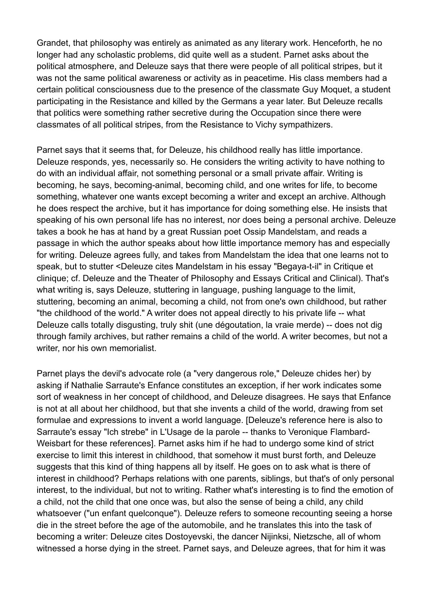Grandet, that philosophy was entirely as animated as any literary work. Henceforth, he no longer had any scholastic problems, did quite well as a student. Parnet asks about the political atmosphere, and Deleuze says that there were people of all political stripes, but it was not the same political awareness or activity as in peacetime. His class members had a certain political consciousness due to the presence of the classmate Guy Moquet, a student participating in the Resistance and killed by the Germans a year later. But Deleuze recalls that politics were something rather secretive during the Occupation since there were classmates of all political stripes, from the Resistance to Vichy sympathizers.

Parnet says that it seems that, for Deleuze, his childhood really has little importance. Deleuze responds, yes, necessarily so. He considers the writing activity to have nothing to do with an individual affair, not something personal or a small private affair. Writing is becoming, he says, becoming-animal, becoming child, and one writes for life, to become something, whatever one wants except becoming a writer and except an archive. Although he does respect the archive, but it has importance for doing something else. He insists that speaking of his own personal life has no interest, nor does being a personal archive. Deleuze takes a book he has at hand by a great Russian poet Ossip Mandelstam, and reads a passage in which the author speaks about how little importance memory has and especially for writing. Deleuze agrees fully, and takes from Mandelstam the idea that one learns not to speak, but to stutter <Deleuze cites Mandelstam in his essay "Begaya-t-il" in Critique et clinique; cf. Deleuze and the Theater of Philosophy and Essays Critical and Clinical). That's what writing is, says Deleuze, stuttering in language, pushing language to the limit, stuttering, becoming an animal, becoming a child, not from one's own childhood, but rather "the childhood of the world." A writer does not appeal directly to his private life -- what Deleuze calls totally disgusting, truly shit (une dégoutation, la vraie merde) -- does not dig through family archives, but rather remains a child of the world. A writer becomes, but not a writer, nor his own memorialist.

Parnet plays the devil's advocate role (a "very dangerous role," Deleuze chides her) by asking if Nathalie Sarraute's Enfance constitutes an exception, if her work indicates some sort of weakness in her concept of childhood, and Deleuze disagrees. He says that Enfance is not at all about her childhood, but that she invents a child of the world, drawing from set formulae and expressions to invent a world language. [Deleuze's reference here is also to Sarraute's essay "Ich strebe" in L'Usage de la parole -- thanks to Veronique Flambard-Weisbart for these references]. Parnet asks him if he had to undergo some kind of strict exercise to limit this interest in childhood, that somehow it must burst forth, and Deleuze suggests that this kind of thing happens all by itself. He goes on to ask what is there of interest in childhood? Perhaps relations with one parents, siblings, but that's of only personal interest, to the individual, but not to writing. Rather what's interesting is to find the emotion of a child, not the child that one once was, but also the sense of being a child, any child whatsoever ("un enfant quelconque"). Deleuze refers to someone recounting seeing a horse die in the street before the age of the automobile, and he translates this into the task of becoming a writer: Deleuze cites Dostoyevski, the dancer Nijinksi, Nietzsche, all of whom witnessed a horse dying in the street. Parnet says, and Deleuze agrees, that for him it was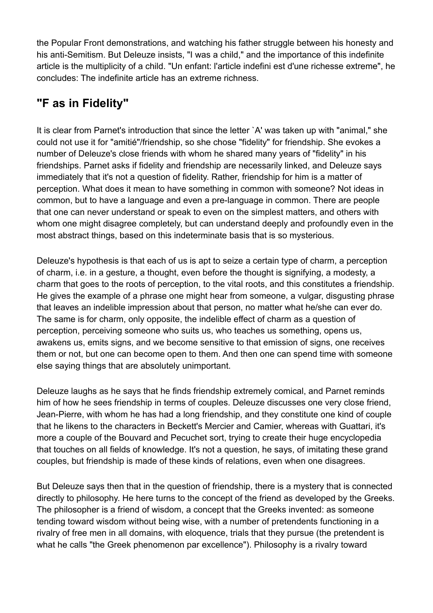the Popular Front demonstrations, and watching his father struggle between his honesty and his anti-Semitism. But Deleuze insists, "I was a child," and the importance of this indefinite article is the multiplicity of a child. "Un enfant: l'article indefini est d'une richesse extreme", he concludes: The indefinite article has an extreme richness.

# **"F as in Fidelity"**

It is clear from Parnet's introduction that since the letter `A' was taken up with "animal," she could not use it for "amitié"/friendship, so she chose "fidelity" for friendship. She evokes a number of Deleuze's close friends with whom he shared many years of "fidelity" in his friendships. Parnet asks if fidelity and friendship are necessarily linked, and Deleuze says immediately that it's not a question of fidelity. Rather, friendship for him is a matter of perception. What does it mean to have something in common with someone? Not ideas in common, but to have a language and even a pre-language in common. There are people that one can never understand or speak to even on the simplest matters, and others with whom one might disagree completely, but can understand deeply and profoundly even in the most abstract things, based on this indeterminate basis that is so mysterious.

Deleuze's hypothesis is that each of us is apt to seize a certain type of charm, a perception of charm, i.e. in a gesture, a thought, even before the thought is signifying, a modesty, a charm that goes to the roots of perception, to the vital roots, and this constitutes a friendship. He gives the example of a phrase one might hear from someone, a vulgar, disgusting phrase that leaves an indelible impression about that person, no matter what he/she can ever do. The same is for charm, only opposite, the indelible effect of charm as a question of perception, perceiving someone who suits us, who teaches us something, opens us, awakens us, emits signs, and we become sensitive to that emission of signs, one receives them or not, but one can become open to them. And then one can spend time with someone else saying things that are absolutely unimportant.

Deleuze laughs as he says that he finds friendship extremely comical, and Parnet reminds him of how he sees friendship in terms of couples. Deleuze discusses one very close friend, Jean-Pierre, with whom he has had a long friendship, and they constitute one kind of couple that he likens to the characters in Beckett's Mercier and Camier, whereas with Guattari, it's more a couple of the Bouvard and Pecuchet sort, trying to create their huge encyclopedia that touches on all fields of knowledge. It's not a question, he says, of imitating these grand couples, but friendship is made of these kinds of relations, even when one disagrees.

But Deleuze says then that in the question of friendship, there is a mystery that is connected directly to philosophy. He here turns to the concept of the friend as developed by the Greeks. The philosopher is a friend of wisdom, a concept that the Greeks invented: as someone tending toward wisdom without being wise, with a number of pretendents functioning in a rivalry of free men in all domains, with eloquence, trials that they pursue (the pretendent is what he calls "the Greek phenomenon par excellence"). Philosophy is a rivalry toward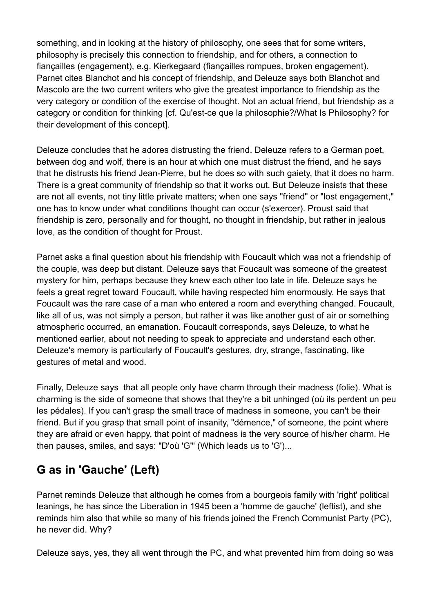something, and in looking at the history of philosophy, one sees that for some writers, philosophy is precisely this connection to friendship, and for others, a connection to fiançailles (engagement), e.g. Kierkegaard (fiançailles rompues, broken engagement). Parnet cites Blanchot and his concept of friendship, and Deleuze says both Blanchot and Mascolo are the two current writers who give the greatest importance to friendship as the very category or condition of the exercise of thought. Not an actual friend, but friendship as a category or condition for thinking [cf. Qu'est-ce que la philosophie?/What Is Philosophy? for their development of this concept].

Deleuze concludes that he adores distrusting the friend. Deleuze refers to a German poet, between dog and wolf, there is an hour at which one must distrust the friend, and he says that he distrusts his friend Jean-Pierre, but he does so with such gaiety, that it does no harm. There is a great community of friendship so that it works out. But Deleuze insists that these are not all events, not tiny little private matters; when one says "friend" or "lost engagement," one has to know under what conditions thought can occur (s'exercer). Proust said that friendship is zero, personally and for thought, no thought in friendship, but rather in jealous love, as the condition of thought for Proust.

Parnet asks a final question about his friendship with Foucault which was not a friendship of the couple, was deep but distant. Deleuze says that Foucault was someone of the greatest mystery for him, perhaps because they knew each other too late in life. Deleuze says he feels a great regret toward Foucault, while having respected him enormously. He says that Foucault was the rare case of a man who entered a room and everything changed. Foucault, like all of us, was not simply a person, but rather it was like another gust of air or something atmospheric occurred, an emanation. Foucault corresponds, says Deleuze, to what he mentioned earlier, about not needing to speak to appreciate and understand each other. Deleuze's memory is particularly of Foucault's gestures, dry, strange, fascinating, like gestures of metal and wood.

Finally, Deleuze says that all people only have charm through their madness (folie). What is charming is the side of someone that shows that they're a bit unhinged (où ils perdent un peu les pédales). If you can't grasp the small trace of madness in someone, you can't be their friend. But if you grasp that small point of insanity, "démence," of someone, the point where they are afraid or even happy, that point of madness is the very source of his/her charm. He then pauses, smiles, and says: "D'où 'G'" (Which leads us to 'G')...

# **G as in 'Gauche' (Left)**

Parnet reminds Deleuze that although he comes from a bourgeois family with 'right' political leanings, he has since the Liberation in 1945 been a 'homme de gauche' (leftist), and she reminds him also that while so many of his friends joined the French Communist Party (PC), he never did. Why?

Deleuze says, yes, they all went through the PC, and what prevented him from doing so was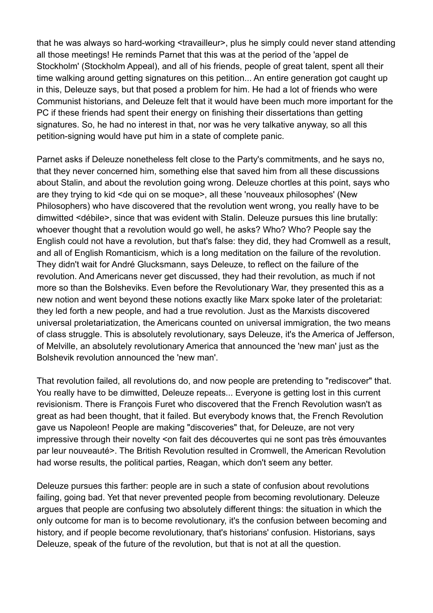that he was always so hard-working <travailleur>, plus he simply could never stand attending all those meetings! He reminds Parnet that this was at the period of the 'appel de Stockholm' (Stockholm Appeal), and all of his friends, people of great talent, spent all their time walking around getting signatures on this petition... An entire generation got caught up in this, Deleuze says, but that posed a problem for him. He had a lot of friends who were Communist historians, and Deleuze felt that it would have been much more important for the PC if these friends had spent their energy on finishing their dissertations than getting signatures. So, he had no interest in that, nor was he very talkative anyway, so all this petition-signing would have put him in a state of complete panic.

Parnet asks if Deleuze nonetheless felt close to the Party's commitments, and he says no, that they never concerned him, something else that saved him from all these discussions about Stalin, and about the revolution going wrong. Deleuze chortles at this point, says who are they trying to kid <de qui on se moque>, all these 'nouveaux philosophes' (New Philosophers) who have discovered that the revolution went wrong, you really have to be dimwitted <débile>, since that was evident with Stalin. Deleuze pursues this line brutally: whoever thought that a revolution would go well, he asks? Who? Who? People say the English could not have a revolution, but that's false: they did, they had Cromwell as a result, and all of English Romanticism, which is a long meditation on the failure of the revolution. They didn't wait for André Glucksmann, says Deleuze, to reflect on the failure of the revolution. And Americans never get discussed, they had their revolution, as much if not more so than the Bolsheviks. Even before the Revolutionary War, they presented this as a new notion and went beyond these notions exactly like Marx spoke later of the proletariat: they led forth a new people, and had a true revolution. Just as the Marxists discovered universal proletariatization, the Americans counted on universal immigration, the two means of class struggle. This is absolutely revolutionary, says Deleuze, it's the America of Jefferson, of Melville, an absolutely revolutionary America that announced the 'new man' just as the Bolshevik revolution announced the 'new man'.

That revolution failed, all revolutions do, and now people are pretending to "rediscover" that. You really have to be dimwitted, Deleuze repeats... Everyone is getting lost in this current revisionism. There is François Furet who discovered that the French Revolution wasn't as great as had been thought, that it failed. But everybody knows that, the French Revolution gave us Napoleon! People are making "discoveries" that, for Deleuze, are not very impressive through their novelty <on fait des découvertes qui ne sont pas très émouvantes par leur nouveauté>. The British Revolution resulted in Cromwell, the American Revolution had worse results, the political parties, Reagan, which don't seem any better.

Deleuze pursues this farther: people are in such a state of confusion about revolutions failing, going bad. Yet that never prevented people from becoming revolutionary. Deleuze argues that people are confusing two absolutely different things: the situation in which the only outcome for man is to become revolutionary, it's the confusion between becoming and history, and if people become revolutionary, that's historians' confusion. Historians, says Deleuze, speak of the future of the revolution, but that is not at all the question.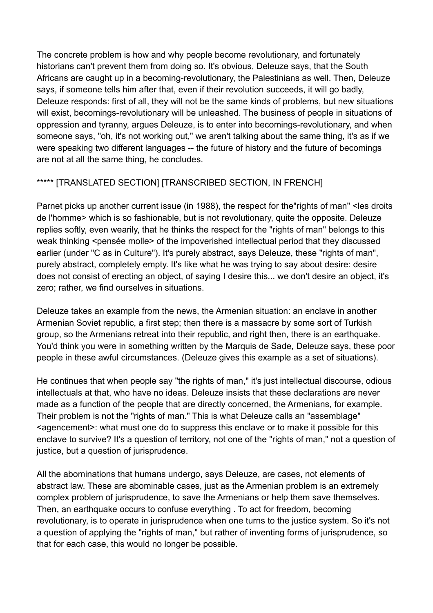The concrete problem is how and why people become revolutionary, and fortunately historians can't prevent them from doing so. It's obvious, Deleuze says, that the South Africans are caught up in a becoming-revolutionary, the Palestinians as well. Then, Deleuze says, if someone tells him after that, even if their revolution succeeds, it will go badly, Deleuze responds: first of all, they will not be the same kinds of problems, but new situations will exist, becomings-revolutionary will be unleashed. The business of people in situations of oppression and tyranny, argues Deleuze, is to enter into becomings-revolutionary, and when someone says, "oh, it's not working out," we aren't talking about the same thing, it's as if we were speaking two different languages -- the future of history and the future of becomings are not at all the same thing, he concludes.

#### \*\*\*\*\* [TRANSLATED SECTION] [TRANSCRIBED SECTION, IN FRENCH]

Parnet picks up another current issue (in 1988), the respect for the"rights of man" <les droits de l'homme> which is so fashionable, but is not revolutionary, quite the opposite. Deleuze replies softly, even wearily, that he thinks the respect for the "rights of man" belongs to this weak thinking <pensée molle> of the impoverished intellectual period that they discussed earlier (under "C as in Culture"). It's purely abstract, says Deleuze, these "rights of man", purely abstract, completely empty. It's like what he was trying to say about desire: desire does not consist of erecting an object, of saying I desire this... we don't desire an object, it's zero; rather, we find ourselves in situations.

Deleuze takes an example from the news, the Armenian situation: an enclave in another Armenian Soviet republic, a first step; then there is a massacre by some sort of Turkish group, so the Armenians retreat into their republic, and right then, there is an earthquake. You'd think you were in something written by the Marquis de Sade, Deleuze says, these poor people in these awful circumstances. (Deleuze gives this example as a set of situations).

He continues that when people say "the rights of man," it's just intellectual discourse, odious intellectuals at that, who have no ideas. Deleuze insists that these declarations are never made as a function of the people that are directly concerned, the Armenians, for example. Their problem is not the "rights of man." This is what Deleuze calls an "assemblage" <agencement>: what must one do to suppress this enclave or to make it possible for this enclave to survive? It's a question of territory, not one of the "rights of man," not a question of justice, but a question of jurisprudence.

All the abominations that humans undergo, says Deleuze, are cases, not elements of abstract law. These are abominable cases, just as the Armenian problem is an extremely complex problem of jurisprudence, to save the Armenians or help them save themselves. Then, an earthquake occurs to confuse everything . To act for freedom, becoming revolutionary, is to operate in jurisprudence when one turns to the justice system. So it's not a question of applying the "rights of man," but rather of inventing forms of jurisprudence, so that for each case, this would no longer be possible.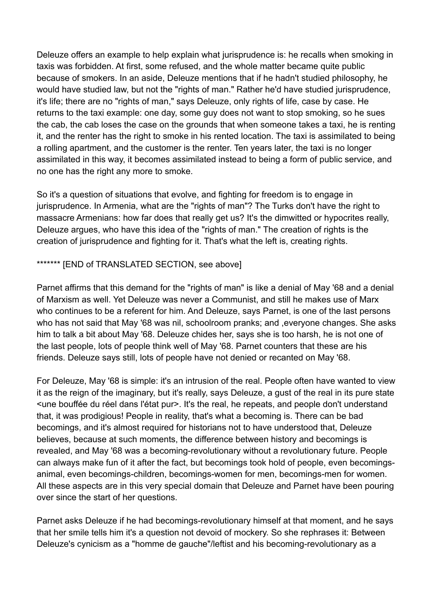Deleuze offers an example to help explain what jurisprudence is: he recalls when smoking in taxis was forbidden. At first, some refused, and the whole matter became quite public because of smokers. In an aside, Deleuze mentions that if he hadn't studied philosophy, he would have studied law, but not the "rights of man." Rather he'd have studied jurisprudence, it's life; there are no "rights of man," says Deleuze, only rights of life, case by case. He returns to the taxi example: one day, some guy does not want to stop smoking, so he sues the cab, the cab loses the case on the grounds that when someone takes a taxi, he is renting it, and the renter has the right to smoke in his rented location. The taxi is assimilated to being a rolling apartment, and the customer is the renter. Ten years later, the taxi is no longer assimilated in this way, it becomes assimilated instead to being a form of public service, and no one has the right any more to smoke.

So it's a question of situations that evolve, and fighting for freedom is to engage in jurisprudence. In Armenia, what are the "rights of man"? The Turks don't have the right to massacre Armenians: how far does that really get us? It's the dimwitted or hypocrites really, Deleuze argues, who have this idea of the "rights of man." The creation of rights is the creation of jurisprudence and fighting for it. That's what the left is, creating rights.

#### \*\*\*\*\*\*\* [END of TRANSLATED SECTION, see above]

Parnet affirms that this demand for the "rights of man" is like a denial of May '68 and a denial of Marxism as well. Yet Deleuze was never a Communist, and still he makes use of Marx who continues to be a referent for him. And Deleuze, says Parnet, is one of the last persons who has not said that May '68 was nil, schoolroom pranks; and ,everyone changes. She asks him to talk a bit about May '68. Deleuze chides her, says she is too harsh, he is not one of the last people, lots of people think well of May '68. Parnet counters that these are his friends. Deleuze says still, lots of people have not denied or recanted on May '68.

For Deleuze, May '68 is simple: it's an intrusion of the real. People often have wanted to view it as the reign of the imaginary, but it's really, says Deleuze, a gust of the real in its pure state <une bouffée du réel dans l'état pur>. It's the real, he repeats, and people don't understand that, it was prodigious! People in reality, that's what a becoming is. There can be bad becomings, and it's almost required for historians not to have understood that, Deleuze believes, because at such moments, the difference between history and becomings is revealed, and May '68 was a becoming-revolutionary without a revolutionary future. People can always make fun of it after the fact, but becomings took hold of people, even becomingsanimal, even becomings-children, becomings-women for men, becomings-men for women. All these aspects are in this very special domain that Deleuze and Parnet have been pouring over since the start of her questions.

Parnet asks Deleuze if he had becomings-revolutionary himself at that moment, and he says that her smile tells him it's a question not devoid of mockery. So she rephrases it: Between Deleuze's cynicism as a "homme de gauche"/leftist and his becoming-revolutionary as a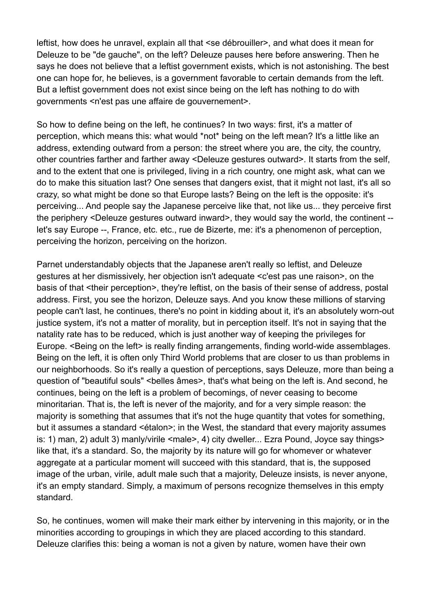leftist, how does he unravel, explain all that <se débrouiller>, and what does it mean for Deleuze to be "de gauche", on the left? Deleuze pauses here before answering. Then he says he does not believe that a leftist government exists, which is not astonishing. The best one can hope for, he believes, is a government favorable to certain demands from the left. But a leftist government does not exist since being on the left has nothing to do with governments <n'est pas une affaire de gouvernement>.

So how to define being on the left, he continues? In two ways: first, it's a matter of perception, which means this: what would \*not\* being on the left mean? It's a little like an address, extending outward from a person: the street where you are, the city, the country, other countries farther and farther away <Deleuze gestures outward>. It starts from the self, and to the extent that one is privileged, living in a rich country, one might ask, what can we do to make this situation last? One senses that dangers exist, that it might not last, it's all so crazy, so what might be done so that Europe lasts? Being on the left is the opposite: it's perceiving... And people say the Japanese perceive like that, not like us... they perceive first the periphery <Deleuze gestures outward inward>, they would say the world, the continent - let's say Europe --, France, etc. etc., rue de Bizerte, me: it's a phenomenon of perception, perceiving the horizon, perceiving on the horizon.

Parnet understandably objects that the Japanese aren't really so leftist, and Deleuze gestures at her dismissively, her objection isn't adequate <c'est pas une raison>, on the basis of that <their perception>, they're leftist, on the basis of their sense of address, postal address. First, you see the horizon, Deleuze says. And you know these millions of starving people can't last, he continues, there's no point in kidding about it, it's an absolutely worn-out justice system, it's not a matter of morality, but in perception itself. It's not in saying that the natality rate has to be reduced, which is just another way of keeping the privileges for Europe. <Being on the left> is really finding arrangements, finding world-wide assemblages. Being on the left, it is often only Third World problems that are closer to us than problems in our neighborhoods. So it's really a question of perceptions, says Deleuze, more than being a question of "beautiful souls" <br/>belles âmes>, that's what being on the left is. And second, he continues, being on the left is a problem of becomings, of never ceasing to become minoritarian. That is, the left is never of the majority, and for a very simple reason: the majority is something that assumes that it's not the huge quantity that votes for something, but it assumes a standard <étalon>; in the West, the standard that every majority assumes is: 1) man, 2) adult 3) manly/virile <male>, 4) city dweller... Ezra Pound, Joyce say things> like that, it's a standard. So, the majority by its nature will go for whomever or whatever aggregate at a particular moment will succeed with this standard, that is, the supposed image of the urban, virile, adult male such that a majority, Deleuze insists, is never anyone, it's an empty standard. Simply, a maximum of persons recognize themselves in this empty standard.

So, he continues, women will make their mark either by intervening in this majority, or in the minorities according to groupings in which they are placed according to this standard. Deleuze clarifies this: being a woman is not a given by nature, women have their own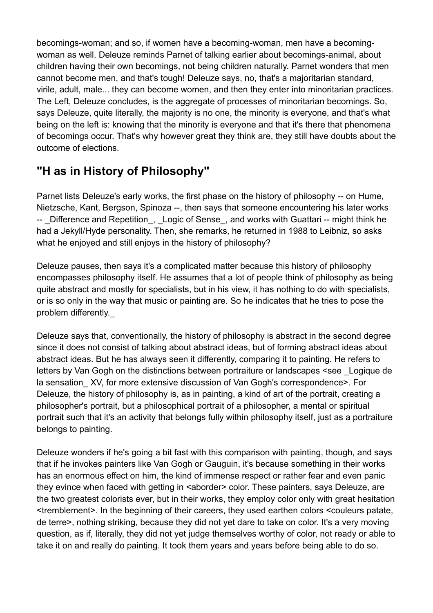becomings-woman; and so, if women have a becoming-woman, men have a becomingwoman as well. Deleuze reminds Parnet of talking earlier about becomings-animal, about children having their own becomings, not being children naturally. Parnet wonders that men cannot become men, and that's tough! Deleuze says, no, that's a majoritarian standard, virile, adult, male... they can become women, and then they enter into minoritarian practices. The Left, Deleuze concludes, is the aggregate of processes of minoritarian becomings. So, says Deleuze, quite literally, the majority is no one, the minority is everyone, and that's what being on the left is: knowing that the minority is everyone and that it's there that phenomena of becomings occur. That's why however great they think are, they still have doubts about the outcome of elections.

## **"H as in History of Philosophy"**

Parnet lists Deleuze's early works, the first phase on the history of philosophy -- on Hume, Nietzsche, Kant, Bergson, Spinoza --, then says that someone encountering his later works -- Difference and Repetition, Logic of Sense, and works with Guattari -- might think he had a Jekyll/Hyde personality. Then, she remarks, he returned in 1988 to Leibniz, so asks what he enjoyed and still enjoys in the history of philosophy?

Deleuze pauses, then says it's a complicated matter because this history of philosophy encompasses philosophy itself. He assumes that a lot of people think of philosophy as being quite abstract and mostly for specialists, but in his view, it has nothing to do with specialists, or is so only in the way that music or painting are. So he indicates that he tries to pose the problem differently.\_

Deleuze says that, conventionally, the history of philosophy is abstract in the second degree since it does not consist of talking about abstract ideas, but of forming abstract ideas about abstract ideas. But he has always seen it differently, comparing it to painting. He refers to letters by Van Gogh on the distinctions between portraiture or landscapes <see \_Logique de la sensation XV, for more extensive discussion of Van Gogh's correspondence>. For Deleuze, the history of philosophy is, as in painting, a kind of art of the portrait, creating a philosopher's portrait, but a philosophical portrait of a philosopher, a mental or spiritual portrait such that it's an activity that belongs fully within philosophy itself, just as a portraiture belongs to painting.

Deleuze wonders if he's going a bit fast with this comparison with painting, though, and says that if he invokes painters like Van Gogh or Gauguin, it's because something in their works has an enormous effect on him, the kind of immense respect or rather fear and even panic they evince when faced with getting in <aborder> color. These painters, says Deleuze, are the two greatest colorists ever, but in their works, they employ color only with great hesitation <tremblement>. In the beginning of their careers, they used earthen colors <couleurs patate, de terre>, nothing striking, because they did not yet dare to take on color. It's a very moving question, as if, literally, they did not yet judge themselves worthy of color, not ready or able to take it on and really do painting. It took them years and years before being able to do so.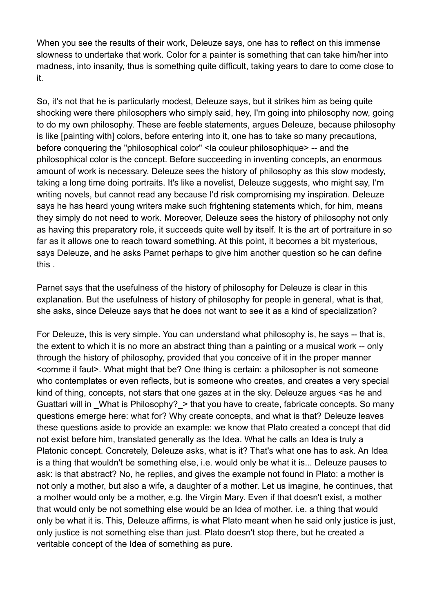When you see the results of their work, Deleuze says, one has to reflect on this immense slowness to undertake that work. Color for a painter is something that can take him/her into madness, into insanity, thus is something quite difficult, taking years to dare to come close to it.

So, it's not that he is particularly modest, Deleuze says, but it strikes him as being quite shocking were there philosophers who simply said, hey, I'm going into philosophy now, going to do my own philosophy. These are feeble statements, argues Deleuze, because philosophy is like [painting with] colors, before entering into it, one has to take so many precautions, before conquering the "philosophical color" <la couleur philosophique> -- and the philosophical color is the concept. Before succeeding in inventing concepts, an enormous amount of work is necessary. Deleuze sees the history of philosophy as this slow modesty, taking a long time doing portraits. It's like a novelist, Deleuze suggests, who might say, I'm writing novels, but cannot read any because I'd risk compromising my inspiration. Deleuze says he has heard young writers make such frightening statements which, for him, means they simply do not need to work. Moreover, Deleuze sees the history of philosophy not only as having this preparatory role, it succeeds quite well by itself. It is the art of portraiture in so far as it allows one to reach toward something. At this point, it becomes a bit mysterious, says Deleuze, and he asks Parnet perhaps to give him another question so he can define this .

Parnet says that the usefulness of the history of philosophy for Deleuze is clear in this explanation. But the usefulness of history of philosophy for people in general, what is that, she asks, since Deleuze says that he does not want to see it as a kind of specialization?

For Deleuze, this is very simple. You can understand what philosophy is, he says -- that is, the extent to which it is no more an abstract thing than a painting or a musical work -- only through the history of philosophy, provided that you conceive of it in the proper manner <comme il faut>. What might that be? One thing is certain: a philosopher is not someone who contemplates or even reflects, but is someone who creates, and creates a very special kind of thing, concepts, not stars that one gazes at in the sky. Deleuze argues <as he and Guattari will in What is Philosophy? > that you have to create, fabricate concepts. So many questions emerge here: what for? Why create concepts, and what is that? Deleuze leaves these questions aside to provide an example: we know that Plato created a concept that did not exist before him, translated generally as the Idea. What he calls an Idea is truly a Platonic concept. Concretely, Deleuze asks, what is it? That's what one has to ask. An Idea is a thing that wouldn't be something else, i.e. would only be what it is... Deleuze pauses to ask: is that abstract? No, he replies, and gives the example not found in Plato: a mother is not only a mother, but also a wife, a daughter of a mother. Let us imagine, he continues, that a mother would only be a mother, e.g. the Virgin Mary. Even if that doesn't exist, a mother that would only be not something else would be an Idea of mother. i.e. a thing that would only be what it is. This, Deleuze affirms, is what Plato meant when he said only justice is just, only justice is not something else than just. Plato doesn't stop there, but he created a veritable concept of the Idea of something as pure.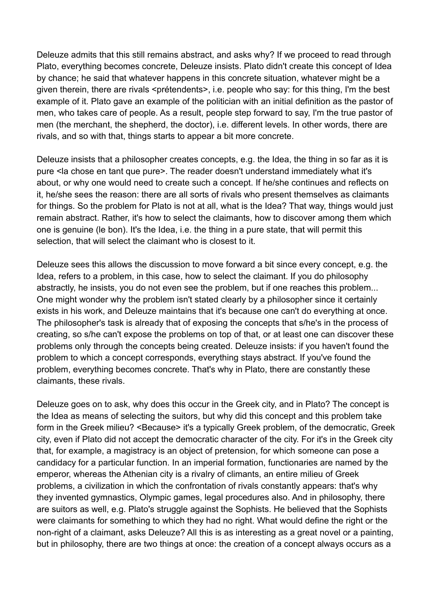Deleuze admits that this still remains abstract, and asks why? If we proceed to read through Plato, everything becomes concrete, Deleuze insists. Plato didn't create this concept of Idea by chance; he said that whatever happens in this concrete situation, whatever might be a given therein, there are rivals <prétendents>, i.e. people who say: for this thing, I'm the best example of it. Plato gave an example of the politician with an initial definition as the pastor of men, who takes care of people. As a result, people step forward to say, I'm the true pastor of men (the merchant, the shepherd, the doctor), i.e. different levels. In other words, there are rivals, and so with that, things starts to appear a bit more concrete.

Deleuze insists that a philosopher creates concepts, e.g. the Idea, the thing in so far as it is pure <la chose en tant que pure>. The reader doesn't understand immediately what it's about, or why one would need to create such a concept. If he/she continues and reflects on it, he/she sees the reason: there are all sorts of rivals who present themselves as claimants for things. So the problem for Plato is not at all, what is the Idea? That way, things would just remain abstract. Rather, it's how to select the claimants, how to discover among them which one is genuine (le bon). It's the Idea, i.e. the thing in a pure state, that will permit this selection, that will select the claimant who is closest to it.

Deleuze sees this allows the discussion to move forward a bit since every concept, e.g. the Idea, refers to a problem, in this case, how to select the claimant. If you do philosophy abstractly, he insists, you do not even see the problem, but if one reaches this problem... One might wonder why the problem isn't stated clearly by a philosopher since it certainly exists in his work, and Deleuze maintains that it's because one can't do everything at once. The philosopher's task is already that of exposing the concepts that s/he's in the process of creating, so s/he can't expose the problems on top of that, or at least one can discover these problems only through the concepts being created. Deleuze insists: if you haven't found the problem to which a concept corresponds, everything stays abstract. If you've found the problem, everything becomes concrete. That's why in Plato, there are constantly these claimants, these rivals.

Deleuze goes on to ask, why does this occur in the Greek city, and in Plato? The concept is the Idea as means of selecting the suitors, but why did this concept and this problem take form in the Greek milieu? <Because> it's a typically Greek problem, of the democratic, Greek city, even if Plato did not accept the democratic character of the city. For it's in the Greek city that, for example, a magistracy is an object of pretension, for which someone can pose a candidacy for a particular function. In an imperial formation, functionaries are named by the emperor, whereas the Athenian city is a rivalry of climants, an entire milieu of Greek problems, a civilization in which the confrontation of rivals constantly appears: that's why they invented gymnastics, Olympic games, legal procedures also. And in philosophy, there are suitors as well, e.g. Plato's struggle against the Sophists. He believed that the Sophists were claimants for something to which they had no right. What would define the right or the non-right of a claimant, asks Deleuze? All this is as interesting as a great novel or a painting, but in philosophy, there are two things at once: the creation of a concept always occurs as a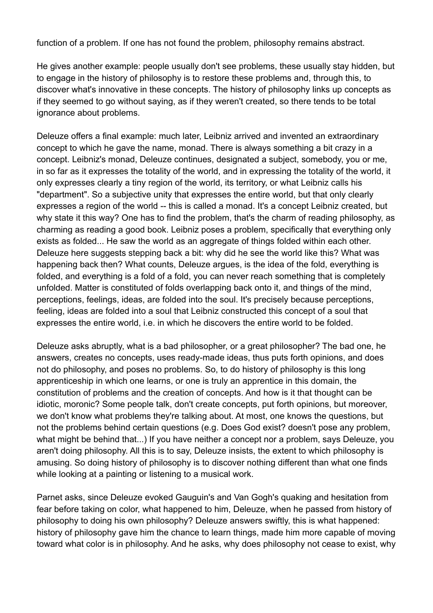function of a problem. If one has not found the problem, philosophy remains abstract.

He gives another example: people usually don't see problems, these usually stay hidden, but to engage in the history of philosophy is to restore these problems and, through this, to discover what's innovative in these concepts. The history of philosophy links up concepts as if they seemed to go without saying, as if they weren't created, so there tends to be total ignorance about problems.

Deleuze offers a final example: much later, Leibniz arrived and invented an extraordinary concept to which he gave the name, monad. There is always something a bit crazy in a concept. Leibniz's monad, Deleuze continues, designated a subject, somebody, you or me, in so far as it expresses the totality of the world, and in expressing the totality of the world, it only expresses clearly a tiny region of the world, its territory, or what Leibniz calls his "department". So a subjective unity that expresses the entire world, but that only clearly expresses a region of the world -- this is called a monad. It's a concept Leibniz created, but why state it this way? One has to find the problem, that's the charm of reading philosophy, as charming as reading a good book. Leibniz poses a problem, specifically that everything only exists as folded... He saw the world as an aggregate of things folded within each other. Deleuze here suggests stepping back a bit: why did he see the world like this? What was happening back then? What counts, Deleuze argues, is the idea of the fold, everything is folded, and everything is a fold of a fold, you can never reach something that is completely unfolded. Matter is constituted of folds overlapping back onto it, and things of the mind, perceptions, feelings, ideas, are folded into the soul. It's precisely because perceptions, feeling, ideas are folded into a soul that Leibniz constructed this concept of a soul that expresses the entire world, i.e. in which he discovers the entire world to be folded.

Deleuze asks abruptly, what is a bad philosopher, or a great philosopher? The bad one, he answers, creates no concepts, uses ready-made ideas, thus puts forth opinions, and does not do philosophy, and poses no problems. So, to do history of philosophy is this long apprenticeship in which one learns, or one is truly an apprentice in this domain, the constitution of problems and the creation of concepts. And how is it that thought can be idiotic, moronic? Some people talk, don't create concepts, put forth opinions, but moreover, we don't know what problems they're talking about. At most, one knows the questions, but not the problems behind certain questions (e.g. Does God exist? doesn't pose any problem, what might be behind that...) If you have neither a concept nor a problem, says Deleuze, you aren't doing philosophy. All this is to say, Deleuze insists, the extent to which philosophy is amusing. So doing history of philosophy is to discover nothing different than what one finds while looking at a painting or listening to a musical work.

Parnet asks, since Deleuze evoked Gauguin's and Van Gogh's quaking and hesitation from fear before taking on color, what happened to him, Deleuze, when he passed from history of philosophy to doing his own philosophy? Deleuze answers swiftly, this is what happened: history of philosophy gave him the chance to learn things, made him more capable of moving toward what color is in philosophy. And he asks, why does philosophy not cease to exist, why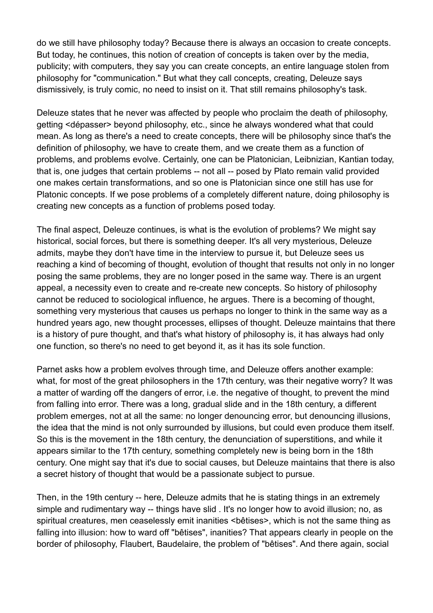do we still have philosophy today? Because there is always an occasion to create concepts. But today, he continues, this notion of creation of concepts is taken over by the media, publicity; with computers, they say you can create concepts, an entire language stolen from philosophy for "communication." But what they call concepts, creating, Deleuze says dismissively, is truly comic, no need to insist on it. That still remains philosophy's task.

Deleuze states that he never was affected by people who proclaim the death of philosophy, getting <dépasser> beyond philosophy, etc., since he always wondered what that could mean. As long as there's a need to create concepts, there will be philosophy since that's the definition of philosophy, we have to create them, and we create them as a function of problems, and problems evolve. Certainly, one can be Platonician, Leibnizian, Kantian today, that is, one judges that certain problems -- not all -- posed by Plato remain valid provided one makes certain transformations, and so one is Platonician since one still has use for Platonic concepts. If we pose problems of a completely different nature, doing philosophy is creating new concepts as a function of problems posed today.

The final aspect, Deleuze continues, is what is the evolution of problems? We might say historical, social forces, but there is something deeper. It's all very mysterious, Deleuze admits, maybe they don't have time in the interview to pursue it, but Deleuze sees us reaching a kind of becoming of thought, evolution of thought that results not only in no longer posing the same problems, they are no longer posed in the same way. There is an urgent appeal, a necessity even to create and re-create new concepts. So history of philosophy cannot be reduced to sociological influence, he argues. There is a becoming of thought, something very mysterious that causes us perhaps no longer to think in the same way as a hundred years ago, new thought processes, ellipses of thought. Deleuze maintains that there is a history of pure thought, and that's what history of philosophy is, it has always had only one function, so there's no need to get beyond it, as it has its sole function.

Parnet asks how a problem evolves through time, and Deleuze offers another example: what, for most of the great philosophers in the 17th century, was their negative worry? It was a matter of warding off the dangers of error, i.e. the negative of thought, to prevent the mind from falling into error. There was a long, gradual slide and in the 18th century, a different problem emerges, not at all the same: no longer denouncing error, but denouncing illusions, the idea that the mind is not only surrounded by illusions, but could even produce them itself. So this is the movement in the 18th century, the denunciation of superstitions, and while it appears similar to the 17th century, something completely new is being born in the 18th century. One might say that it's due to social causes, but Deleuze maintains that there is also a secret history of thought that would be a passionate subject to pursue.

Then, in the 19th century -- here, Deleuze admits that he is stating things in an extremely simple and rudimentary way -- things have slid. It's no longer how to avoid illusion; no, as spiritual creatures, men ceaselessly emit inanities <br/>betises>, which is not the same thing as falling into illusion: how to ward off "bêtises", inanities? That appears clearly in people on the border of philosophy, Flaubert, Baudelaire, the problem of "bêtises". And there again, social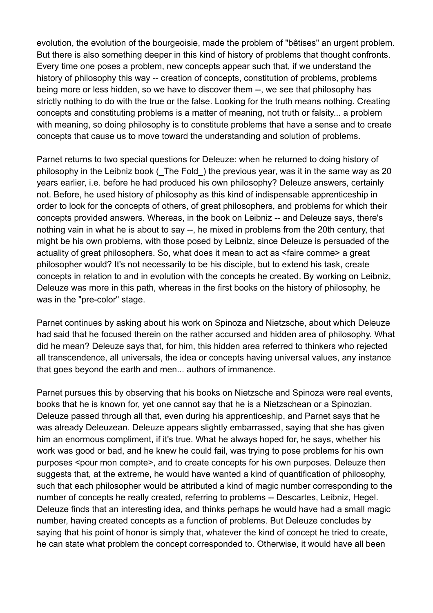evolution, the evolution of the bourgeoisie, made the problem of "bêtises" an urgent problem. But there is also something deeper in this kind of history of problems that thought confronts. Every time one poses a problem, new concepts appear such that, if we understand the history of philosophy this way -- creation of concepts, constitution of problems, problems being more or less hidden, so we have to discover them --, we see that philosophy has strictly nothing to do with the true or the false. Looking for the truth means nothing. Creating concepts and constituting problems is a matter of meaning, not truth or falsity... a problem with meaning, so doing philosophy is to constitute problems that have a sense and to create concepts that cause us to move toward the understanding and solution of problems.

Parnet returns to two special questions for Deleuze: when he returned to doing history of philosophy in the Leibniz book (\_The Fold\_) the previous year, was it in the same way as 20 years earlier, i.e. before he had produced his own philosophy? Deleuze answers, certainly not. Before, he used history of philosophy as this kind of indispensable apprenticeship in order to look for the concepts of others, of great philosophers, and problems for which their concepts provided answers. Whereas, in the book on Leibniz -- and Deleuze says, there's nothing vain in what he is about to say --, he mixed in problems from the 20th century, that might be his own problems, with those posed by Leibniz, since Deleuze is persuaded of the actuality of great philosophers. So, what does it mean to act as <faire comme> a great philosopher would? It's not necessarily to be his disciple, but to extend his task, create concepts in relation to and in evolution with the concepts he created. By working on Leibniz, Deleuze was more in this path, whereas in the first books on the history of philosophy, he was in the "pre-color" stage.

Parnet continues by asking about his work on Spinoza and Nietzsche, about which Deleuze had said that he focused therein on the rather accursed and hidden area of philosophy. What did he mean? Deleuze says that, for him, this hidden area referred to thinkers who rejected all transcendence, all universals, the idea or concepts having universal values, any instance that goes beyond the earth and men... authors of immanence.

Parnet pursues this by observing that his books on Nietzsche and Spinoza were real events, books that he is known for, yet one cannot say that he is a Nietzschean or a Spinozian. Deleuze passed through all that, even during his apprenticeship, and Parnet says that he was already Deleuzean. Deleuze appears slightly embarrassed, saying that she has given him an enormous compliment, if it's true. What he always hoped for, he says, whether his work was good or bad, and he knew he could fail, was trying to pose problems for his own purposes <pour mon compte>, and to create concepts for his own purposes. Deleuze then suggests that, at the extreme, he would have wanted a kind of quantification of philosophy, such that each philosopher would be attributed a kind of magic number corresponding to the number of concepts he really created, referring to problems -- Descartes, Leibniz, Hegel. Deleuze finds that an interesting idea, and thinks perhaps he would have had a small magic number, having created concepts as a function of problems. But Deleuze concludes by saying that his point of honor is simply that, whatever the kind of concept he tried to create, he can state what problem the concept corresponded to. Otherwise, it would have all been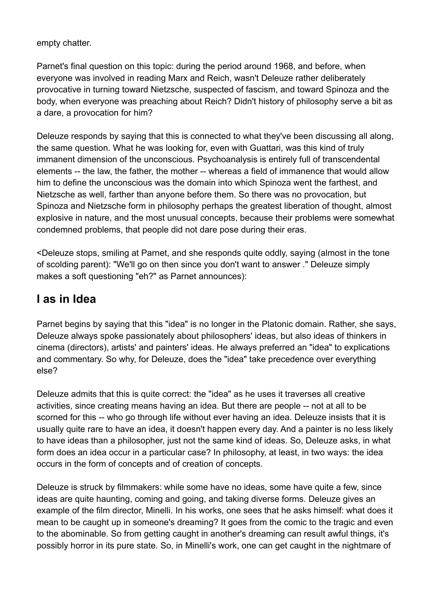empty chatter.

Parnet's final question on this topic: during the period around 1968, and before, when everyone was involved in reading Marx and Reich, wasn't Deleuze rather deliberately provocative in turning toward Nietzsche, suspected of fascism, and toward Spinoza and the body, when everyone was preaching about Reich? Didn't history of philosophy serve a bit as a dare, a provocation for him?

Deleuze responds by saying that this is connected to what they've been discussing all along, the same question. What he was looking for, even with Guattari, was this kind of truly immanent dimension of the unconscious. Psychoanalysis is entirely full of transcendental elements -- the law, the father, the mother -- whereas a field of immanence that would allow him to define the unconscious was the domain into which Spinoza went the farthest, and Nietzsche as well, farther than anyone before them. So there was no provocation, but Spinoza and Nietzsche form in philosophy perhaps the greatest liberation of thought, almost explosive in nature, and the most unusual concepts, because their problems were somewhat condemned problems, that people did not dare pose during their eras.

<Deleuze stops, smiling at Parnet, and she responds quite oddly, saying (almost in the tone of scolding parent): "We'll go on then since you don't want to answer ." Deleuze simply makes a soft questioning "eh?" as Parnet announces):

### **I as in Idea**

Parnet begins by saying that this "idea" is no longer in the Platonic domain. Rather, she says, Deleuze always spoke passionately about philosophers' ideas, but also ideas of thinkers in cinema (directors), artists' and painters' ideas. He always preferred an "idea" to explications and commentary. So why, for Deleuze, does the "idea" take precedence over everything else?

Deleuze admits that this is quite correct: the "idea" as he uses it traverses all creative activities, since creating means having an idea. But there are people -- not at all to be scorned for this -- who go through life without ever having an idea. Deleuze insists that it is usually quite rare to have an idea, it doesn't happen every day. And a painter is no less likely to have ideas than a philosopher, just not the same kind of ideas. So, Deleuze asks, in what form does an idea occur in a particular case? In philosophy, at least, in two ways: the idea occurs in the form of concepts and of creation of concepts.

Deleuze is struck by filmmakers: while some have no ideas, some have quite a few, since ideas are quite haunting, coming and going, and taking diverse forms. Deleuze gives an example of the film director, Minelli. In his works, one sees that he asks himself: what does it mean to be caught up in someone's dreaming? It goes from the comic to the tragic and even to the abominable. So from getting caught in another's dreaming can result awful things, it's possibly horror in its pure state. So, in Minelli's work, one can get caught in the nightmare of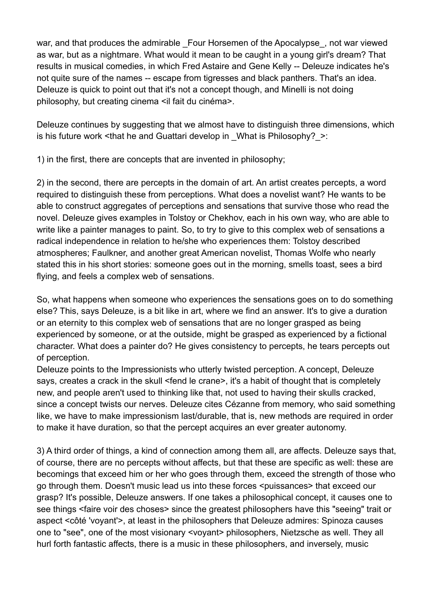war, and that produces the admirable \_Four Horsemen of the Apocalypse\_, not war viewed as war, but as a nightmare. What would it mean to be caught in a young girl's dream? That results in musical comedies, in which Fred Astaire and Gene Kelly -- Deleuze indicates he's not quite sure of the names -- escape from tigresses and black panthers. That's an idea. Deleuze is quick to point out that it's not a concept though, and Minelli is not doing philosophy, but creating cinema <il fait du cinéma>.

Deleuze continues by suggesting that we almost have to distinguish three dimensions, which is his future work  $\leq$ that he and Guattari develop in What is Philosophy?  $\geq$ :

1) in the first, there are concepts that are invented in philosophy;

2) in the second, there are percepts in the domain of art. An artist creates percepts, a word required to distinguish these from perceptions. What does a novelist want? He wants to be able to construct aggregates of perceptions and sensations that survive those who read the novel. Deleuze gives examples in Tolstoy or Chekhov, each in his own way, who are able to write like a painter manages to paint. So, to try to give to this complex web of sensations a radical independence in relation to he/she who experiences them: Tolstoy described atmospheres; Faulkner, and another great American novelist, Thomas Wolfe who nearly stated this in his short stories: someone goes out in the morning, smells toast, sees a bird flying, and feels a complex web of sensations.

So, what happens when someone who experiences the sensations goes on to do something else? This, says Deleuze, is a bit like in art, where we find an answer. It's to give a duration or an eternity to this complex web of sensations that are no longer grasped as being experienced by someone, or at the outside, might be grasped as experienced by a fictional character. What does a painter do? He gives consistency to percepts, he tears percepts out of perception.

Deleuze points to the Impressionists who utterly twisted perception. A concept, Deleuze says, creates a crack in the skull <fend le crane>, it's a habit of thought that is completely new, and people aren't used to thinking like that, not used to having their skulls cracked, since a concept twists our nerves. Deleuze cites Cézanne from memory, who said something like, we have to make impressionism last/durable, that is, new methods are required in order to make it have duration, so that the percept acquires an ever greater autonomy.

3) A third order of things, a kind of connection among them all, are affects. Deleuze says that, of course, there are no percepts without affects, but that these are specific as well: these are becomings that exceed him or her who goes through them, exceed the strength of those who go through them. Doesn't music lead us into these forces <puissances> that exceed our grasp? It's possible, Deleuze answers. If one takes a philosophical concept, it causes one to see things <faire voir des choses> since the greatest philosophers have this "seeing" trait or aspect <côté 'voyant'>, at least in the philosophers that Deleuze admires: Spinoza causes one to "see", one of the most visionary <voyant> philosophers, Nietzsche as well. They all hurl forth fantastic affects, there is a music in these philosophers, and inversely, music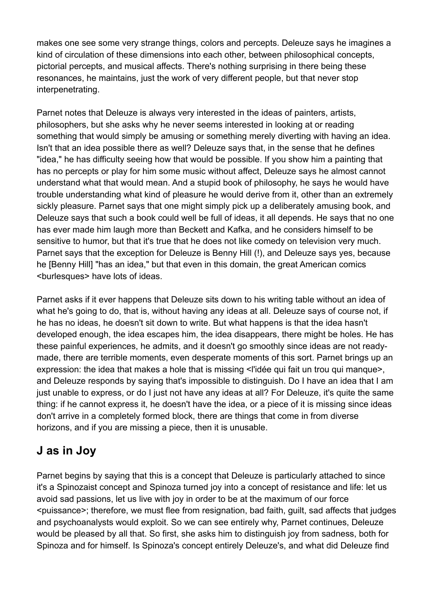makes one see some very strange things, colors and percepts. Deleuze says he imagines a kind of circulation of these dimensions into each other, between philosophical concepts, pictorial percepts, and musical affects. There's nothing surprising in there being these resonances, he maintains, just the work of very different people, but that never stop interpenetrating.

Parnet notes that Deleuze is always very interested in the ideas of painters, artists, philosophers, but she asks why he never seems interested in looking at or reading something that would simply be amusing or something merely diverting with having an idea. Isn't that an idea possible there as well? Deleuze says that, in the sense that he defines "idea," he has difficulty seeing how that would be possible. If you show him a painting that has no percepts or play for him some music without affect, Deleuze says he almost cannot understand what that would mean. And a stupid book of philosophy, he says he would have trouble understanding what kind of pleasure he would derive from it, other than an extremely sickly pleasure. Parnet says that one might simply pick up a deliberately amusing book, and Deleuze says that such a book could well be full of ideas, it all depends. He says that no one has ever made him laugh more than Beckett and Kafka, and he considers himself to be sensitive to humor, but that it's true that he does not like comedy on television very much. Parnet says that the exception for Deleuze is Benny Hill (!), and Deleuze says yes, because he [Benny Hill] "has an idea," but that even in this domain, the great American comics <burlesques> have lots of ideas.

Parnet asks if it ever happens that Deleuze sits down to his writing table without an idea of what he's going to do, that is, without having any ideas at all. Deleuze says of course not, if he has no ideas, he doesn't sit down to write. But what happens is that the idea hasn't developed enough, the idea escapes him, the idea disappears, there might be holes. He has these painful experiences, he admits, and it doesn't go smoothly since ideas are not readymade, there are terrible moments, even desperate moments of this sort. Parnet brings up an expression: the idea that makes a hole that is missing <l'idée qui fait un trou qui manque>, and Deleuze responds by saying that's impossible to distinguish. Do I have an idea that I am just unable to express, or do I just not have any ideas at all? For Deleuze, it's quite the same thing: if he cannot express it, he doesn't have the idea, or a piece of it is missing since ideas don't arrive in a completely formed block, there are things that come in from diverse horizons, and if you are missing a piece, then it is unusable.

## **J as in Joy**

Parnet begins by saying that this is a concept that Deleuze is particularly attached to since it's a Spinozaist concept and Spinoza turned joy into a concept of resistance and life: let us avoid sad passions, let us live with joy in order to be at the maximum of our force <puissance>; therefore, we must flee from resignation, bad faith, guilt, sad affects that judges and psychoanalysts would exploit. So we can see entirely why, Parnet continues, Deleuze would be pleased by all that. So first, she asks him to distinguish joy from sadness, both for Spinoza and for himself. Is Spinoza's concept entirely Deleuze's, and what did Deleuze find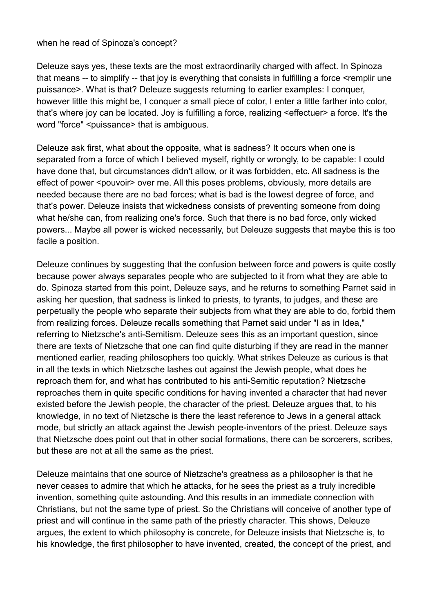#### when he read of Spinoza's concept?

Deleuze says yes, these texts are the most extraordinarily charged with affect. In Spinoza that means -- to simplify -- that joy is everything that consists in fulfilling a force <remplir une puissance>. What is that? Deleuze suggests returning to earlier examples: I conquer, however little this might be, I conquer a small piece of color, I enter a little farther into color, that's where joy can be located. Joy is fulfilling a force, realizing <effectuer> a force. It's the word "force" <puissance> that is ambiguous.

Deleuze ask first, what about the opposite, what is sadness? It occurs when one is separated from a force of which I believed myself, rightly or wrongly, to be capable: I could have done that, but circumstances didn't allow, or it was forbidden, etc. All sadness is the effect of power <pouvoir> over me. All this poses problems, obviously, more details are needed because there are no bad forces; what is bad is the lowest degree of force, and that's power. Deleuze insists that wickedness consists of preventing someone from doing what he/she can, from realizing one's force. Such that there is no bad force, only wicked powers... Maybe all power is wicked necessarily, but Deleuze suggests that maybe this is too facile a position.

Deleuze continues by suggesting that the confusion between force and powers is quite costly because power always separates people who are subjected to it from what they are able to do. Spinoza started from this point, Deleuze says, and he returns to something Parnet said in asking her question, that sadness is linked to priests, to tyrants, to judges, and these are perpetually the people who separate their subjects from what they are able to do, forbid them from realizing forces. Deleuze recalls something that Parnet said under "I as in Idea," referring to Nietzsche's anti-Semitism. Deleuze sees this as an important question, since there are texts of Nietzsche that one can find quite disturbing if they are read in the manner mentioned earlier, reading philosophers too quickly. What strikes Deleuze as curious is that in all the texts in which Nietzsche lashes out against the Jewish people, what does he reproach them for, and what has contributed to his anti-Semitic reputation? Nietzsche reproaches them in quite specific conditions for having invented a character that had never existed before the Jewish people, the character of the priest. Deleuze argues that, to his knowledge, in no text of Nietzsche is there the least reference to Jews in a general attack mode, but strictly an attack against the Jewish people-inventors of the priest. Deleuze says that Nietzsche does point out that in other social formations, there can be sorcerers, scribes, but these are not at all the same as the priest.

Deleuze maintains that one source of Nietzsche's greatness as a philosopher is that he never ceases to admire that which he attacks, for he sees the priest as a truly incredible invention, something quite astounding. And this results in an immediate connection with Christians, but not the same type of priest. So the Christians will conceive of another type of priest and will continue in the same path of the priestly character. This shows, Deleuze argues, the extent to which philosophy is concrete, for Deleuze insists that Nietzsche is, to his knowledge, the first philosopher to have invented, created, the concept of the priest, and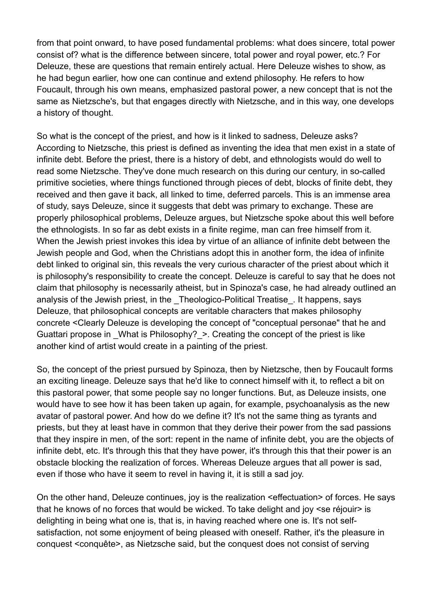from that point onward, to have posed fundamental problems: what does sincere, total power consist of? what is the difference between sincere, total power and royal power, etc.? For Deleuze, these are questions that remain entirely actual. Here Deleuze wishes to show, as he had begun earlier, how one can continue and extend philosophy. He refers to how Foucault, through his own means, emphasized pastoral power, a new concept that is not the same as Nietzsche's, but that engages directly with Nietzsche, and in this way, one develops a history of thought.

So what is the concept of the priest, and how is it linked to sadness, Deleuze asks? According to Nietzsche, this priest is defined as inventing the idea that men exist in a state of infinite debt. Before the priest, there is a history of debt, and ethnologists would do well to read some Nietzsche. They've done much research on this during our century, in so-called primitive societies, where things functioned through pieces of debt, blocks of finite debt, they received and then gave it back, all linked to time, deferred parcels. This is an immense area of study, says Deleuze, since it suggests that debt was primary to exchange. These are properly philosophical problems, Deleuze argues, but Nietzsche spoke about this well before the ethnologists. In so far as debt exists in a finite regime, man can free himself from it. When the Jewish priest invokes this idea by virtue of an alliance of infinite debt between the Jewish people and God, when the Christians adopt this in another form, the idea of infinite debt linked to original sin, this reveals the very curious character of the priest about which it is philosophy's responsibility to create the concept. Deleuze is careful to say that he does not claim that philosophy is necessarily atheist, but in Spinoza's case, he had already outlined an analysis of the Jewish priest, in the \_Theologico-Political Treatise\_. It happens, says Deleuze, that philosophical concepts are veritable characters that makes philosophy concrete <Clearly Deleuze is developing the concept of "conceptual personae" that he and Guattari propose in What is Philosophy? > Creating the concept of the priest is like another kind of artist would create in a painting of the priest.

So, the concept of the priest pursued by Spinoza, then by Nietzsche, then by Foucault forms an exciting lineage. Deleuze says that he'd like to connect himself with it, to reflect a bit on this pastoral power, that some people say no longer functions. But, as Deleuze insists, one would have to see how it has been taken up again, for example, psychoanalysis as the new avatar of pastoral power. And how do we define it? It's not the same thing as tyrants and priests, but they at least have in common that they derive their power from the sad passions that they inspire in men, of the sort: repent in the name of infinite debt, you are the objects of infinite debt, etc. It's through this that they have power, it's through this that their power is an obstacle blocking the realization of forces. Whereas Deleuze argues that all power is sad, even if those who have it seem to revel in having it, it is still a sad joy.

On the other hand, Deleuze continues, joy is the realization <effectuation> of forces. He says that he knows of no forces that would be wicked. To take delight and joy <se réjouir> is delighting in being what one is, that is, in having reached where one is. It's not selfsatisfaction, not some enjoyment of being pleased with oneself. Rather, it's the pleasure in conquest <conquête>, as Nietzsche said, but the conquest does not consist of serving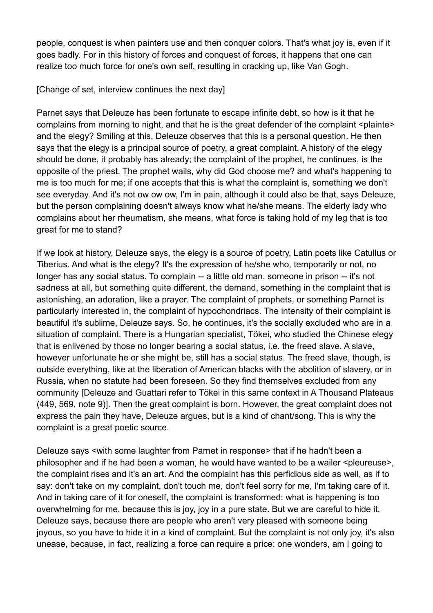people, conquest is when painters use and then conquer colors. That's what joy is, even if it goes badly. For in this history of forces and conquest of forces, it happens that one can realize too much force for one's own self, resulting in cracking up, like Van Gogh.

[Change of set, interview continues the next day]

Parnet says that Deleuze has been fortunate to escape infinite debt, so how is it that he complains from morning to night, and that he is the great defender of the complaint <plainte> and the elegy? Smiling at this, Deleuze observes that this is a personal question. He then says that the elegy is a principal source of poetry, a great complaint. A history of the elegy should be done, it probably has already; the complaint of the prophet, he continues, is the opposite of the priest. The prophet wails, why did God choose me? and what's happening to me is too much for me; if one accepts that this is what the complaint is, something we don't see everyday. And it's not ow ow ow, I'm in pain, although it could also be that, says Deleuze, but the person complaining doesn't always know what he/she means. The elderly lady who complains about her rheumatism, she means, what force is taking hold of my leg that is too great for me to stand?

If we look at history, Deleuze says, the elegy is a source of poetry, Latin poets like Catullus or Tiberius. And what is the elegy? It's the expression of he/she who, temporarily or not, no longer has any social status. To complain -- a little old man, someone in prison -- it's not sadness at all, but something quite different, the demand, something in the complaint that is astonishing, an adoration, like a prayer. The complaint of prophets, or something Parnet is particularly interested in, the complaint of hypochondriacs. The intensity of their complaint is beautiful it's sublime, Deleuze says. So, he continues, it's the socially excluded who are in a situation of complaint. There is a Hungarian specialist, Tökei, who studied the Chinese elegy that is enlivened by those no longer bearing a social status, i.e. the freed slave. A slave, however unfortunate he or she might be, still has a social status. The freed slave, though, is outside everything, like at the liberation of American blacks with the abolition of slavery, or in Russia, when no statute had been foreseen. So they find themselves excluded from any community [Deleuze and Guattari refer to Tökei in this same context in A Thousand Plateaus (449, 569, note 9)]. Then the great complaint is born. However, the great complaint does not express the pain they have, Deleuze argues, but is a kind of chant/song. This is why the complaint is a great poetic source.

Deleuze says <with some laughter from Parnet in response> that if he hadn't been a philosopher and if he had been a woman, he would have wanted to be a wailer <pleureuse>, the complaint rises and it's an art. And the complaint has this perfidious side as well, as if to say: don't take on my complaint, don't touch me, don't feel sorry for me, I'm taking care of it. And in taking care of it for oneself, the complaint is transformed: what is happening is too overwhelming for me, because this is joy, joy in a pure state. But we are careful to hide it, Deleuze says, because there are people who aren't very pleased with someone being joyous, so you have to hide it in a kind of complaint. But the complaint is not only joy, it's also unease, because, in fact, realizing a force can require a price: one wonders, am I going to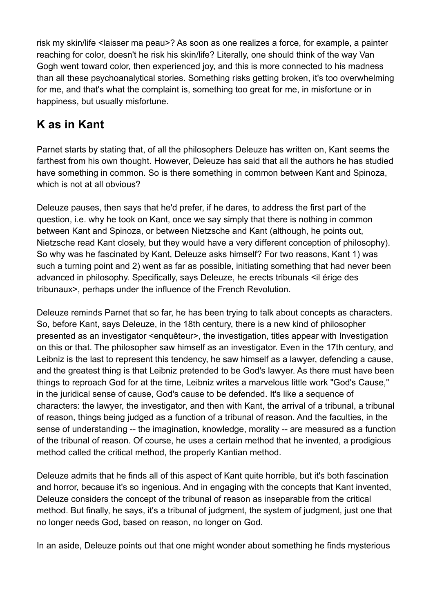risk my skin/life <laisser ma peau>? As soon as one realizes a force, for example, a painter reaching for color, doesn't he risk his skin/life? Literally, one should think of the way Van Gogh went toward color, then experienced joy, and this is more connected to his madness than all these psychoanalytical stories. Something risks getting broken, it's too overwhelming for me, and that's what the complaint is, something too great for me, in misfortune or in happiness, but usually misfortune.

# **K as in Kant**

Parnet starts by stating that, of all the philosophers Deleuze has written on, Kant seems the farthest from his own thought. However, Deleuze has said that all the authors he has studied have something in common. So is there something in common between Kant and Spinoza, which is not at all obvious?

Deleuze pauses, then says that he'd prefer, if he dares, to address the first part of the question, i.e. why he took on Kant, once we say simply that there is nothing in common between Kant and Spinoza, or between Nietzsche and Kant (although, he points out, Nietzsche read Kant closely, but they would have a very different conception of philosophy). So why was he fascinated by Kant, Deleuze asks himself? For two reasons, Kant 1) was such a turning point and 2) went as far as possible, initiating something that had never been advanced in philosophy. Specifically, says Deleuze, he erects tribunals <il érige des tribunaux>, perhaps under the influence of the French Revolution.

Deleuze reminds Parnet that so far, he has been trying to talk about concepts as characters. So, before Kant, says Deleuze, in the 18th century, there is a new kind of philosopher presented as an investigator <enquêteur>, the investigation, titles appear with Investigation on this or that. The philosopher saw himself as an investigator. Even in the 17th century, and Leibniz is the last to represent this tendency, he saw himself as a lawyer, defending a cause, and the greatest thing is that Leibniz pretended to be God's lawyer. As there must have been things to reproach God for at the time, Leibniz writes a marvelous little work "God's Cause," in the juridical sense of cause, God's cause to be defended. It's like a sequence of characters: the lawyer, the investigator, and then with Kant, the arrival of a tribunal, a tribunal of reason, things being judged as a function of a tribunal of reason. And the faculties, in the sense of understanding -- the imagination, knowledge, morality -- are measured as a function of the tribunal of reason. Of course, he uses a certain method that he invented, a prodigious method called the critical method, the properly Kantian method.

Deleuze admits that he finds all of this aspect of Kant quite horrible, but it's both fascination and horror, because it's so ingenious. And in engaging with the concepts that Kant invented, Deleuze considers the concept of the tribunal of reason as inseparable from the critical method. But finally, he says, it's a tribunal of judgment, the system of judgment, just one that no longer needs God, based on reason, no longer on God.

In an aside, Deleuze points out that one might wonder about something he finds mysterious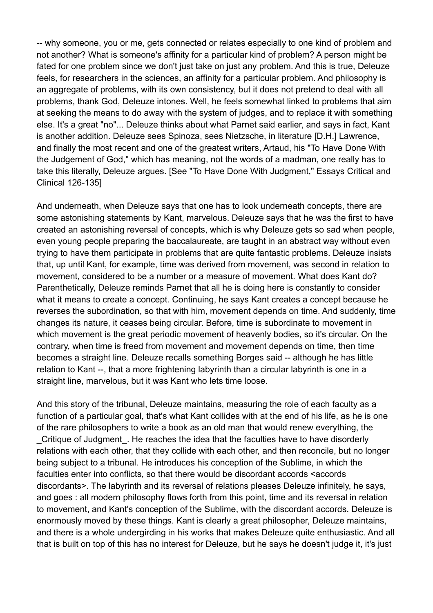-- why someone, you or me, gets connected or relates especially to one kind of problem and not another? What is someone's affinity for a particular kind of problem? A person might be fated for one problem since we don't just take on just any problem. And this is true, Deleuze feels, for researchers in the sciences, an affinity for a particular problem. And philosophy is an aggregate of problems, with its own consistency, but it does not pretend to deal with all problems, thank God, Deleuze intones. Well, he feels somewhat linked to problems that aim at seeking the means to do away with the system of judges, and to replace it with something else. It's a great "no"... Deleuze thinks about what Parnet said earlier, and says in fact, Kant is another addition. Deleuze sees Spinoza, sees Nietzsche, in literature [D.H.] Lawrence, and finally the most recent and one of the greatest writers, Artaud, his "To Have Done With the Judgement of God," which has meaning, not the words of a madman, one really has to take this literally, Deleuze argues. [See "To Have Done With Judgment," Essays Critical and Clinical 126-135]

And underneath, when Deleuze says that one has to look underneath concepts, there are some astonishing statements by Kant, marvelous. Deleuze says that he was the first to have created an astonishing reversal of concepts, which is why Deleuze gets so sad when people, even young people preparing the baccalaureate, are taught in an abstract way without even trying to have them participate in problems that are quite fantastic problems. Deleuze insists that, up until Kant, for example, time was derived from movement, was second in relation to movement, considered to be a number or a measure of movement. What does Kant do? Parenthetically, Deleuze reminds Parnet that all he is doing here is constantly to consider what it means to create a concept. Continuing, he says Kant creates a concept because he reverses the subordination, so that with him, movement depends on time. And suddenly, time changes its nature, it ceases being circular. Before, time is subordinate to movement in which movement is the great periodic movement of heavenly bodies, so it's circular. On the contrary, when time is freed from movement and movement depends on time, then time becomes a straight line. Deleuze recalls something Borges said -- although he has little relation to Kant --, that a more frightening labyrinth than a circular labyrinth is one in a straight line, marvelous, but it was Kant who lets time loose.

And this story of the tribunal, Deleuze maintains, measuring the role of each faculty as a function of a particular goal, that's what Kant collides with at the end of his life, as he is one of the rare philosophers to write a book as an old man that would renew everything, the \_Critique of Judgment\_. He reaches the idea that the faculties have to have disorderly relations with each other, that they collide with each other, and then reconcile, but no longer being subject to a tribunal. He introduces his conception of the Sublime, in which the faculties enter into conflicts, so that there would be discordant accords <accords discordants>. The labyrinth and its reversal of relations pleases Deleuze infinitely, he says, and goes : all modern philosophy flows forth from this point, time and its reversal in relation to movement, and Kant's conception of the Sublime, with the discordant accords. Deleuze is enormously moved by these things. Kant is clearly a great philosopher, Deleuze maintains, and there is a whole undergirding in his works that makes Deleuze quite enthusiastic. And all that is built on top of this has no interest for Deleuze, but he says he doesn't judge it, it's just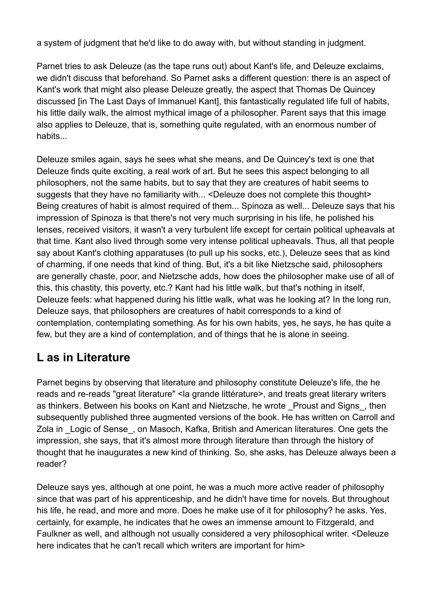a system of judgment that he'd like to do away with, but without standing in judgment.

Parnet tries to ask Deleuze (as the tape runs out) about Kant's life, and Deleuze exclaims, we didn't discuss that beforehand. So Parnet asks a different question: there is an aspect of Kant's work that might also please Deleuze greatly, the aspect that Thomas De Quincey discussed [in The Last Days of Immanuel Kant], this fantastically regulated life full of habits, his little daily walk, the almost mythical image of a philosopher. Parent says that this image also applies to Deleuze, that is, something quite regulated, with an enormous number of habits...

Deleuze smiles again, says he sees what she means, and De Quincey's text is one that Deleuze finds quite exciting, a real work of art. But he sees this aspect belonging to all philosophers, not the same habits, but to say that they are creatures of habit seems to suggests that they have no familiarity with... <Deleuze does not complete this thought> Being creatures of habit is almost required of them... Spinoza as well... Deleuze says that his impression of Spinoza is that there's not very much surprising in his life, he polished his lenses, received visitors, it wasn't a very turbulent life except for certain political upheavals at that time. Kant also lived through some very intense political upheavals. Thus, all that people say about Kant's clothing apparatuses (to pull up his socks, etc.), Deleuze sees that as kind of charming, if one needs that kind of thing. But, it's a bit like Nietzsche said, philosophers are generally chaste, poor, and Nietzsche adds, how does the philosopher make use of all of this, this chastity, this poverty, etc.? Kant had his little walk, but that's nothing in itself, Deleuze feels: what happened during his little walk, what was he looking at? In the long run, Deleuze says, that philosophers are creatures of habit corresponds to a kind of contemplation, contemplating something. As for his own habits, yes, he says, he has quite a few, but they are a kind of contemplation, and of things that he is alone in seeing.

## **L as in Literature**

Parnet begins by observing that literature and philosophy constitute Deleuze's life, the he reads and re-reads "great literature" <la grande littérature>, and treats great literary writers as thinkers. Between his books on Kant and Nietzsche, he wrote Proust and Signs, then subsequently published three augmented versions of the book. He has written on Carroll and Zola in Logic of Sense, on Masoch, Kafka, British and American literatures. One gets the impression, she says, that it's almost more through literature than through the history of thought that he inaugurates a new kind of thinking. So, she asks, has Deleuze always been a reader?

Deleuze says yes, although at one point, he was a much more active reader of philosophy since that was part of his apprenticeship, and he didn't have time for novels. But throughout his life, he read, and more and more. Does he make use of it for philosophy? he asks. Yes, certainly, for example, he indicates that he owes an immense amount to Fitzgerald, and Faulkner as well, and although not usually considered a very philosophical writer. <Deleuze here indicates that he can't recall which writers are important for him>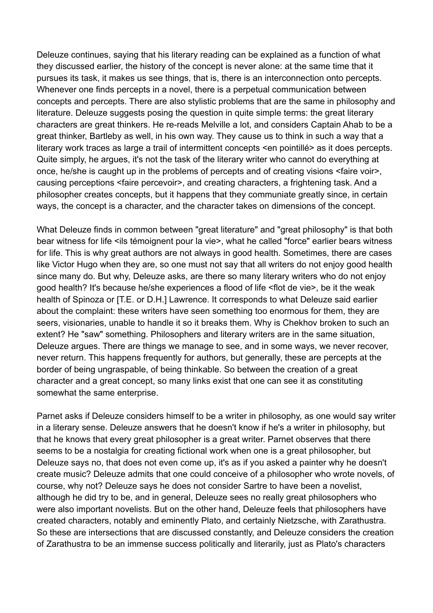Deleuze continues, saying that his literary reading can be explained as a function of what they discussed earlier, the history of the concept is never alone: at the same time that it pursues its task, it makes us see things, that is, there is an interconnection onto percepts. Whenever one finds percepts in a novel, there is a perpetual communication between concepts and percepts. There are also stylistic problems that are the same in philosophy and literature. Deleuze suggests posing the question in quite simple terms: the great literary characters are great thinkers. He re-reads Melville a lot, and considers Captain Ahab to be a great thinker, Bartleby as well, in his own way. They cause us to think in such a way that a literary work traces as large a trail of intermittent concepts <en pointillé> as it does percepts. Quite simply, he argues, it's not the task of the literary writer who cannot do everything at once, he/she is caught up in the problems of percepts and of creating visions <faire voir>, causing perceptions <faire percevoir>, and creating characters, a frightening task. And a philosopher creates concepts, but it happens that they communiate greatly since, in certain ways, the concept is a character, and the character takes on dimensions of the concept.

What Deleuze finds in common between "great literature" and "great philosophy" is that both bear witness for life <ils témoignent pour la vie>, what he called "force" earlier bears witness for life. This is why great authors are not always in good health. Sometimes, there are cases like Victor Hugo when they are, so one must not say that all writers do not enjoy good health since many do. But why, Deleuze asks, are there so many literary writers who do not enjoy good health? It's because he/she experiences a flood of life <flot de vie>, be it the weak health of Spinoza or [T.E. or D.H.] Lawrence. It corresponds to what Deleuze said earlier about the complaint: these writers have seen something too enormous for them, they are seers, visionaries, unable to handle it so it breaks them. Why is Chekhov broken to such an extent? He "saw" something. Philosophers and literary writers are in the same situation, Deleuze argues. There are things we manage to see, and in some ways, we never recover, never return. This happens frequently for authors, but generally, these are percepts at the border of being ungraspable, of being thinkable. So between the creation of a great character and a great concept, so many links exist that one can see it as constituting somewhat the same enterprise.

Parnet asks if Deleuze considers himself to be a writer in philosophy, as one would say writer in a literary sense. Deleuze answers that he doesn't know if he's a writer in philosophy, but that he knows that every great philosopher is a great writer. Parnet observes that there seems to be a nostalgia for creating fictional work when one is a great philosopher, but Deleuze says no, that does not even come up, it's as if you asked a painter why he doesn't create music? Deleuze admits that one could conceive of a philosopher who wrote novels, of course, why not? Deleuze says he does not consider Sartre to have been a novelist, although he did try to be, and in general, Deleuze sees no really great philosophers who were also important novelists. But on the other hand, Deleuze feels that philosophers have created characters, notably and eminently Plato, and certainly Nietzsche, with Zarathustra. So these are intersections that are discussed constantly, and Deleuze considers the creation of Zarathustra to be an immense success politically and literarily, just as Plato's characters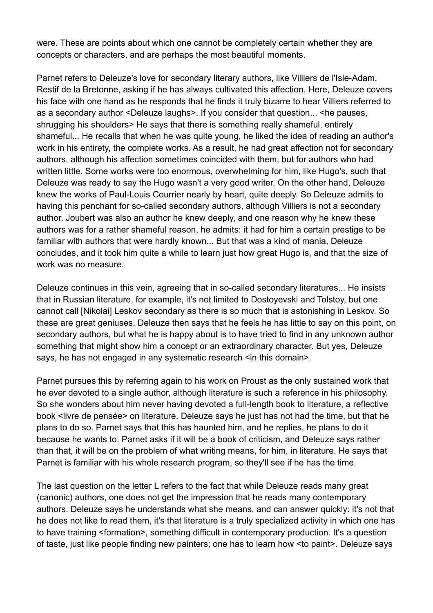were. These are points about which one cannot be completely certain whether they are concepts or characters, and are perhaps the most beautiful moments.

Parnet refers to Deleuze's love for secondary literary authors, like Villiers de l'Isle-Adam, Restif de la Bretonne, asking if he has always cultivated this affection. Here, Deleuze covers his face with one hand as he responds that he finds it truly bizarre to hear Villiers referred to as a secondary author <Deleuze laughs>. If you consider that question... <he pauses, shrugging his shoulders> He says that there is something really shameful, entirely shameful... He recalls that when he was quite young, he liked the idea of reading an author's work in his entirety, the complete works. As a result, he had great affection not for secondary authors, although his affection sometimes coincided with them, but for authors who had written little. Some works were too enormous, overwhelming for him, like Hugo's, such that Deleuze was ready to say the Hugo wasn't a very good writer. On the other hand, Deleuze knew the works of Paul-Louis Courrier nearly by heart, quite deeply. So Deleuze admits to having this penchant for so-called secondary authors, although Villiers is not a secondary author. Joubert was also an author he knew deeply, and one reason why he knew these authors was for a rather shameful reason, he admits: it had for him a certain prestige to be familiar with authors that were hardly known... But that was a kind of mania, Deleuze concludes, and it took him quite a while to learn just how great Hugo is, and that the size of work was no measure.

Deleuze continues in this vein, agreeing that in so-called secondary literatures... He insists that in Russian literature, for example, it's not limited to Dostoyevski and Tolstoy, but one cannot call [Nikolai] Leskov secondary as there is so much that is astonishing in Leskov. So these are great geniuses. Deleuze then says that he feels he has little to say on this point, on secondary authors, but what he is happy about is to have tried to find in any unknown author something that might show him a concept or an extraordinary character. But yes, Deleuze says, he has not engaged in any systematic research  $\leq$  in this domain>.

Parnet pursues this by referring again to his work on Proust as the only sustained work that he ever devoted to a single author, although literature is such a reference in his philosophy. So she wonders about him never having devoted a full-length book to literature, a reflective book <livre de pensée> on literature. Deleuze says he just has not had the time, but that he plans to do so. Parnet says that this has haunted him, and he replies, he plans to do it because he wants to. Parnet asks if it will be a book of criticism, and Deleuze says rather than that, it will be on the problem of what writing means, for him, in literature. He says that Parnet is familiar with his whole research program, so they'll see if he has the time.

The last question on the letter L refers to the fact that while Deleuze reads many great (canonic) authors, one does not get the impression that he reads many contemporary authors. Deleuze says he understands what she means, and can answer quickly: it's not that he does not like to read them, it's that literature is a truly specialized activity in which one has to have training <formation>, something difficult in contemporary production. It's a question of taste, just like people finding new painters; one has to learn how <to paint>. Deleuze says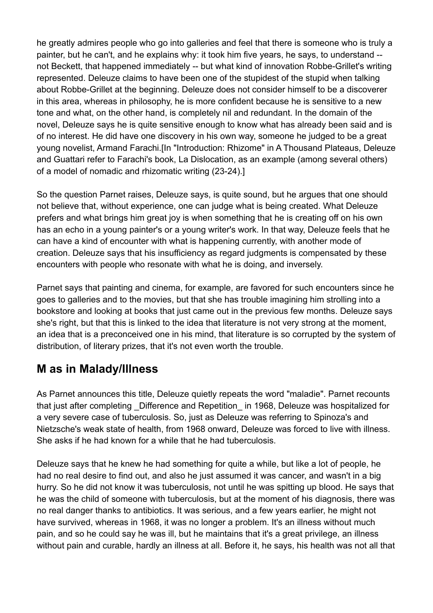he greatly admires people who go into galleries and feel that there is someone who is truly a painter, but he can't, and he explains why: it took him five years, he says, to understand - not Beckett, that happened immediately -- but what kind of innovation Robbe-Grillet's writing represented. Deleuze claims to have been one of the stupidest of the stupid when talking about Robbe-Grillet at the beginning. Deleuze does not consider himself to be a discoverer in this area, whereas in philosophy, he is more confident because he is sensitive to a new tone and what, on the other hand, is completely nil and redundant. In the domain of the novel, Deleuze says he is quite sensitive enough to know what has already been said and is of no interest. He did have one discovery in his own way, someone he judged to be a great young novelist, Armand Farachi.[In "Introduction: Rhizome" in A Thousand Plateaus, Deleuze and Guattari refer to Farachi's book, La Dislocation, as an example (among several others) of a model of nomadic and rhizomatic writing (23-24).]

So the question Parnet raises, Deleuze says, is quite sound, but he argues that one should not believe that, without experience, one can judge what is being created. What Deleuze prefers and what brings him great joy is when something that he is creating off on his own has an echo in a young painter's or a young writer's work. In that way, Deleuze feels that he can have a kind of encounter with what is happening currently, with another mode of creation. Deleuze says that his insufficiency as regard judgments is compensated by these encounters with people who resonate with what he is doing, and inversely.

Parnet says that painting and cinema, for example, are favored for such encounters since he goes to galleries and to the movies, but that she has trouble imagining him strolling into a bookstore and looking at books that just came out in the previous few months. Deleuze says she's right, but that this is linked to the idea that literature is not very strong at the moment, an idea that is a preconceived one in his mind, that literature is so corrupted by the system of distribution, of literary prizes, that it's not even worth the trouble.

### **M as in Malady/Illness**

As Parnet announces this title, Deleuze quietly repeats the word "maladie". Parnet recounts that just after completing Difference and Repetition in 1968, Deleuze was hospitalized for a very severe case of tuberculosis. So, just as Deleuze was referring to Spinoza's and Nietzsche's weak state of health, from 1968 onward, Deleuze was forced to live with illness. She asks if he had known for a while that he had tuberculosis.

Deleuze says that he knew he had something for quite a while, but like a lot of people, he had no real desire to find out, and also he just assumed it was cancer, and wasn't in a big hurry. So he did not know it was tuberculosis, not until he was spitting up blood. He says that he was the child of someone with tuberculosis, but at the moment of his diagnosis, there was no real danger thanks to antibiotics. It was serious, and a few years earlier, he might not have survived, whereas in 1968, it was no longer a problem. It's an illness without much pain, and so he could say he was ill, but he maintains that it's a great privilege, an illness without pain and curable, hardly an illness at all. Before it, he says, his health was not all that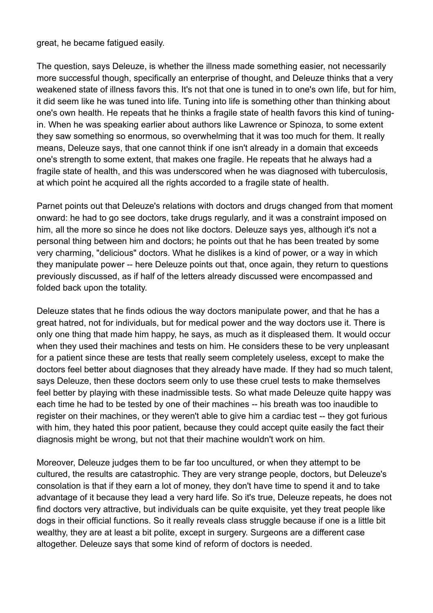great, he became fatigued easily.

The question, says Deleuze, is whether the illness made something easier, not necessarily more successful though, specifically an enterprise of thought, and Deleuze thinks that a very weakened state of illness favors this. It's not that one is tuned in to one's own life, but for him, it did seem like he was tuned into life. Tuning into life is something other than thinking about one's own health. He repeats that he thinks a fragile state of health favors this kind of tuningin. When he was speaking earlier about authors like Lawrence or Spinoza, to some extent they saw something so enormous, so overwhelming that it was too much for them. It really means, Deleuze says, that one cannot think if one isn't already in a domain that exceeds one's strength to some extent, that makes one fragile. He repeats that he always had a fragile state of health, and this was underscored when he was diagnosed with tuberculosis, at which point he acquired all the rights accorded to a fragile state of health.

Parnet points out that Deleuze's relations with doctors and drugs changed from that moment onward: he had to go see doctors, take drugs regularly, and it was a constraint imposed on him, all the more so since he does not like doctors. Deleuze says yes, although it's not a personal thing between him and doctors; he points out that he has been treated by some very charming, "delicious" doctors. What he dislikes is a kind of power, or a way in which they manipulate power -- here Deleuze points out that, once again, they return to questions previously discussed, as if half of the letters already discussed were encompassed and folded back upon the totality.

Deleuze states that he finds odious the way doctors manipulate power, and that he has a great hatred, not for individuals, but for medical power and the way doctors use it. There is only one thing that made him happy, he says, as much as it displeased them. It would occur when they used their machines and tests on him. He considers these to be very unpleasant for a patient since these are tests that really seem completely useless, except to make the doctors feel better about diagnoses that they already have made. If they had so much talent, says Deleuze, then these doctors seem only to use these cruel tests to make themselves feel better by playing with these inadmissible tests. So what made Deleuze quite happy was each time he had to be tested by one of their machines -- his breath was too inaudible to register on their machines, or they weren't able to give him a cardiac test -- they got furious with him, they hated this poor patient, because they could accept quite easily the fact their diagnosis might be wrong, but not that their machine wouldn't work on him.

Moreover, Deleuze judges them to be far too uncultured, or when they attempt to be cultured, the results are catastrophic. They are very strange people, doctors, but Deleuze's consolation is that if they earn a lot of money, they don't have time to spend it and to take advantage of it because they lead a very hard life. So it's true, Deleuze repeats, he does not find doctors very attractive, but individuals can be quite exquisite, yet they treat people like dogs in their official functions. So it really reveals class struggle because if one is a little bit wealthy, they are at least a bit polite, except in surgery. Surgeons are a different case altogether. Deleuze says that some kind of reform of doctors is needed.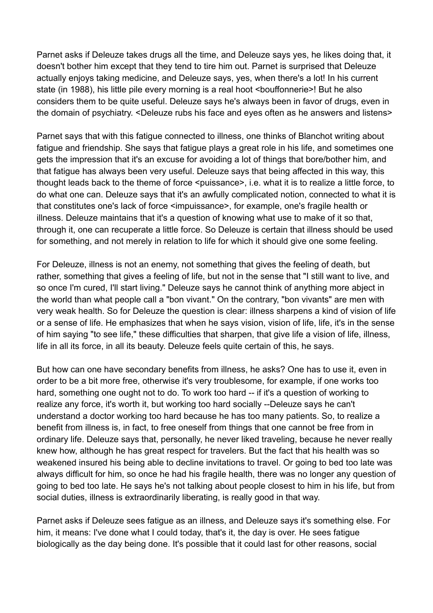Parnet asks if Deleuze takes drugs all the time, and Deleuze says yes, he likes doing that, it doesn't bother him except that they tend to tire him out. Parnet is surprised that Deleuze actually enjoys taking medicine, and Deleuze says, yes, when there's a lot! In his current state (in 1988), his little pile every morning is a real hoot <br/>bouffonnerie>! But he also considers them to be quite useful. Deleuze says he's always been in favor of drugs, even in the domain of psychiatry. <Deleuze rubs his face and eyes often as he answers and listens>

Parnet says that with this fatigue connected to illness, one thinks of Blanchot writing about fatigue and friendship. She says that fatigue plays a great role in his life, and sometimes one gets the impression that it's an excuse for avoiding a lot of things that bore/bother him, and that fatigue has always been very useful. Deleuze says that being affected in this way, this thought leads back to the theme of force <puissance>, i.e. what it is to realize a little force, to do what one can. Deleuze says that it's an awfully complicated notion, connected to what it is that constitutes one's lack of force <impuissance>, for example, one's fragile health or illness. Deleuze maintains that it's a question of knowing what use to make of it so that, through it, one can recuperate a little force. So Deleuze is certain that illness should be used for something, and not merely in relation to life for which it should give one some feeling.

For Deleuze, illness is not an enemy, not something that gives the feeling of death, but rather, something that gives a feeling of life, but not in the sense that "I still want to live, and so once I'm cured, I'll start living." Deleuze says he cannot think of anything more abject in the world than what people call a "bon vivant." On the contrary, "bon vivants" are men with very weak health. So for Deleuze the question is clear: illness sharpens a kind of vision of life or a sense of life. He emphasizes that when he says vision, vision of life, life, it's in the sense of him saying "to see life," these difficulties that sharpen, that give life a vision of life, illness, life in all its force, in all its beauty. Deleuze feels quite certain of this, he says.

But how can one have secondary benefits from illness, he asks? One has to use it, even in order to be a bit more free, otherwise it's very troublesome, for example, if one works too hard, something one ought not to do. To work too hard -- if it's a question of working to realize any force, it's worth it, but working too hard socially --Deleuze says he can't understand a doctor working too hard because he has too many patients. So, to realize a benefit from illness is, in fact, to free oneself from things that one cannot be free from in ordinary life. Deleuze says that, personally, he never liked traveling, because he never really knew how, although he has great respect for travelers. But the fact that his health was so weakened insured his being able to decline invitations to travel. Or going to bed too late was always difficult for him, so once he had his fragile health, there was no longer any question of going to bed too late. He says he's not talking about people closest to him in his life, but from social duties, illness is extraordinarily liberating, is really good in that way.

Parnet asks if Deleuze sees fatigue as an illness, and Deleuze says it's something else. For him, it means: I've done what I could today, that's it, the day is over. He sees fatigue biologically as the day being done. It's possible that it could last for other reasons, social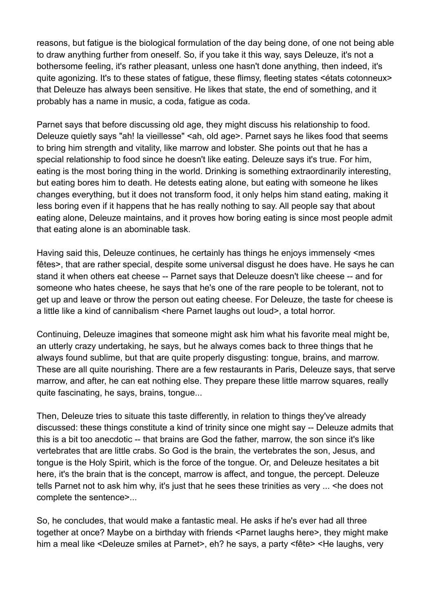reasons, but fatigue is the biological formulation of the day being done, of one not being able to draw anything further from oneself. So, if you take it this way, says Deleuze, it's not a bothersome feeling, it's rather pleasant, unless one hasn't done anything, then indeed, it's quite agonizing. It's to these states of fatigue, these flimsy, fleeting states <états cotonneux> that Deleuze has always been sensitive. He likes that state, the end of something, and it probably has a name in music, a coda, fatigue as coda.

Parnet says that before discussing old age, they might discuss his relationship to food. Deleuze quietly says "ah! la vieillesse" <ah, old age>. Parnet says he likes food that seems to bring him strength and vitality, like marrow and lobster. She points out that he has a special relationship to food since he doesn't like eating. Deleuze says it's true. For him, eating is the most boring thing in the world. Drinking is something extraordinarily interesting, but eating bores him to death. He detests eating alone, but eating with someone he likes changes everything, but it does not transform food, it only helps him stand eating, making it less boring even if it happens that he has really nothing to say. All people say that about eating alone, Deleuze maintains, and it proves how boring eating is since most people admit that eating alone is an abominable task.

Having said this, Deleuze continues, he certainly has things he enjoys immensely <mes fêtes>, that are rather special, despite some universal disgust he does have. He says he can stand it when others eat cheese -- Parnet says that Deleuze doesn't like cheese -- and for someone who hates cheese, he says that he's one of the rare people to be tolerant, not to get up and leave or throw the person out eating cheese. For Deleuze, the taste for cheese is a little like a kind of cannibalism <here Parnet laughs out loud>, a total horror.

Continuing, Deleuze imagines that someone might ask him what his favorite meal might be, an utterly crazy undertaking, he says, but he always comes back to three things that he always found sublime, but that are quite properly disgusting: tongue, brains, and marrow. These are all quite nourishing. There are a few restaurants in Paris, Deleuze says, that serve marrow, and after, he can eat nothing else. They prepare these little marrow squares, really quite fascinating, he says, brains, tongue...

Then, Deleuze tries to situate this taste differently, in relation to things they've already discussed: these things constitute a kind of trinity since one might say -- Deleuze admits that this is a bit too anecdotic -- that brains are God the father, marrow, the son since it's like vertebrates that are little crabs. So God is the brain, the vertebrates the son, Jesus, and tongue is the Holy Spirit, which is the force of the tongue. Or, and Deleuze hesitates a bit here, it's the brain that is the concept, marrow is affect, and tongue, the percept. Deleuze tells Parnet not to ask him why, it's just that he sees these trinities as very ... <he does not complete the sentence>...

So, he concludes, that would make a fantastic meal. He asks if he's ever had all three together at once? Maybe on a birthday with friends <Parnet laughs here>, they might make him a meal like <Deleuze smiles at Parnet>, eh? he says, a party <fête> <He laughs, very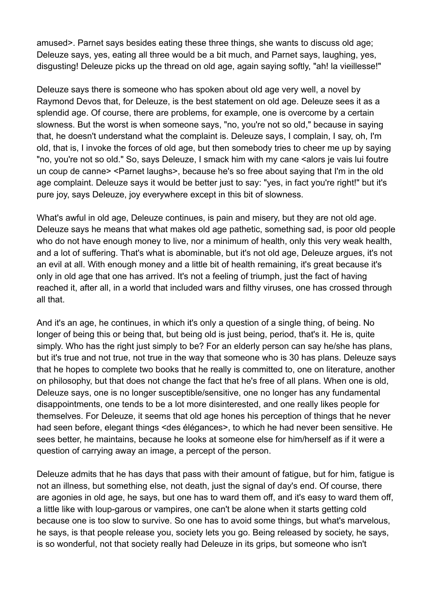amused>. Parnet says besides eating these three things, she wants to discuss old age; Deleuze says, yes, eating all three would be a bit much, and Parnet says, laughing, yes, disgusting! Deleuze picks up the thread on old age, again saying softly, "ah! la vieillesse!"

Deleuze says there is someone who has spoken about old age very well, a novel by Raymond Devos that, for Deleuze, is the best statement on old age. Deleuze sees it as a splendid age. Of course, there are problems, for example, one is overcome by a certain slowness. But the worst is when someone says, "no, you're not so old," because in saying that, he doesn't understand what the complaint is. Deleuze says, I complain, I say, oh, I'm old, that is, I invoke the forces of old age, but then somebody tries to cheer me up by saying "no, you're not so old." So, says Deleuze, I smack him with my cane <alors je vais lui foutre un coup de canne> <Parnet laughs>, because he's so free about saying that I'm in the old age complaint. Deleuze says it would be better just to say: "yes, in fact you're right!" but it's pure joy, says Deleuze, joy everywhere except in this bit of slowness.

What's awful in old age, Deleuze continues, is pain and misery, but they are not old age. Deleuze says he means that what makes old age pathetic, something sad, is poor old people who do not have enough money to live, nor a minimum of health, only this very weak health, and a lot of suffering. That's what is abominable, but it's not old age, Deleuze argues, it's not an evil at all. With enough money and a little bit of health remaining, it's great because it's only in old age that one has arrived. It's not a feeling of triumph, just the fact of having reached it, after all, in a world that included wars and filthy viruses, one has crossed through all that.

And it's an age, he continues, in which it's only a question of a single thing, of being. No longer of being this or being that, but being old is just being, period, that's it. He is, quite simply. Who has the right just simply to be? For an elderly person can say he/she has plans, but it's true and not true, not true in the way that someone who is 30 has plans. Deleuze says that he hopes to complete two books that he really is committed to, one on literature, another on philosophy, but that does not change the fact that he's free of all plans. When one is old, Deleuze says, one is no longer susceptible/sensitive, one no longer has any fundamental disappointments, one tends to be a lot more disinterested, and one really likes people for themselves. For Deleuze, it seems that old age hones his perception of things that he never had seen before, elegant things <des élégances>, to which he had never been sensitive. He sees better, he maintains, because he looks at someone else for him/herself as if it were a question of carrying away an image, a percept of the person.

Deleuze admits that he has days that pass with their amount of fatigue, but for him, fatigue is not an illness, but something else, not death, just the signal of day's end. Of course, there are agonies in old age, he says, but one has to ward them off, and it's easy to ward them off, a little like with loup-garous or vampires, one can't be alone when it starts getting cold because one is too slow to survive. So one has to avoid some things, but what's marvelous, he says, is that people release you, society lets you go. Being released by society, he says, is so wonderful, not that society really had Deleuze in its grips, but someone who isn't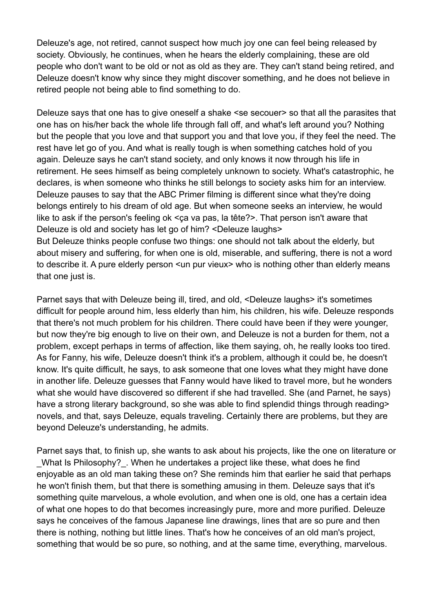Deleuze's age, not retired, cannot suspect how much joy one can feel being released by society. Obviously, he continues, when he hears the elderly complaining, these are old people who don't want to be old or not as old as they are. They can't stand being retired, and Deleuze doesn't know why since they might discover something, and he does not believe in retired people not being able to find something to do.

Deleuze says that one has to give oneself a shake <se secouer> so that all the parasites that one has on his/her back the whole life through fall off, and what's left around you? Nothing but the people that you love and that support you and that love you, if they feel the need. The rest have let go of you. And what is really tough is when something catches hold of you again. Deleuze says he can't stand society, and only knows it now through his life in retirement. He sees himself as being completely unknown to society. What's catastrophic, he declares, is when someone who thinks he still belongs to society asks him for an interview. Deleuze pauses to say that the ABC Primer filming is different since what they're doing belongs entirely to his dream of old age. But when someone seeks an interview, he would like to ask if the person's feeling ok <ça va pas, la tête?>. That person isn't aware that Deleuze is old and society has let go of him? <Deleuze laughs> But Deleuze thinks people confuse two things: one should not talk about the elderly, but

about misery and suffering, for when one is old, miserable, and suffering, there is not a word to describe it. A pure elderly person <un pur vieux> who is nothing other than elderly means that one just is.

Parnet says that with Deleuze being ill, tired, and old, <Deleuze laughs> it's sometimes difficult for people around him, less elderly than him, his children, his wife. Deleuze responds that there's not much problem for his children. There could have been if they were younger, but now they're big enough to live on their own, and Deleuze is not a burden for them, not a problem, except perhaps in terms of affection, like them saying, oh, he really looks too tired. As for Fanny, his wife, Deleuze doesn't think it's a problem, although it could be, he doesn't know. It's quite difficult, he says, to ask someone that one loves what they might have done in another life. Deleuze guesses that Fanny would have liked to travel more, but he wonders what she would have discovered so different if she had travelled. She (and Parnet, he says) have a strong literary background, so she was able to find splendid things through reading> novels, and that, says Deleuze, equals traveling. Certainly there are problems, but they are beyond Deleuze's understanding, he admits.

Parnet says that, to finish up, she wants to ask about his projects, like the one on literature or What Is Philosophy? . When he undertakes a project like these, what does he find enjoyable as an old man taking these on? She reminds him that earlier he said that perhaps he won't finish them, but that there is something amusing in them. Deleuze says that it's something quite marvelous, a whole evolution, and when one is old, one has a certain idea of what one hopes to do that becomes increasingly pure, more and more purified. Deleuze says he conceives of the famous Japanese line drawings, lines that are so pure and then there is nothing, nothing but little lines. That's how he conceives of an old man's project, something that would be so pure, so nothing, and at the same time, everything, marvelous.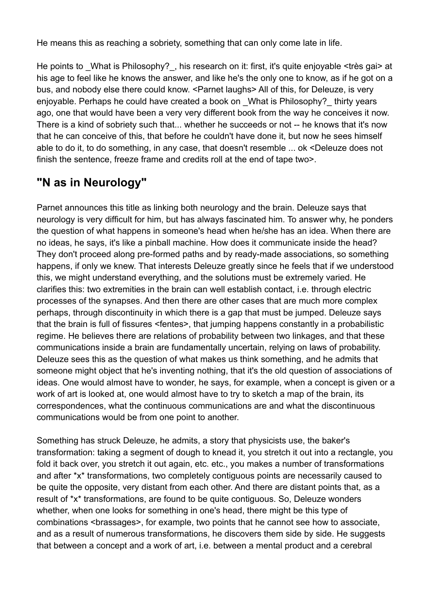He means this as reaching a sobriety, something that can only come late in life.

He points to What is Philosophy?, his research on it: first, it's quite enjoyable <très gai> at his age to feel like he knows the answer, and like he's the only one to know, as if he got on a bus, and nobody else there could know. <Parnet laughs> All of this, for Deleuze, is very enjoyable. Perhaps he could have created a book on What is Philosophy? thirty years ago, one that would have been a very very different book from the way he conceives it now. There is a kind of sobriety such that... whether he succeeds or not -- he knows that it's now that he can conceive of this, that before he couldn't have done it, but now he sees himself able to do it, to do something, in any case, that doesn't resemble ... ok <Deleuze does not finish the sentence, freeze frame and credits roll at the end of tape two>.

## **"N as in Neurology"**

Parnet announces this title as linking both neurology and the brain. Deleuze says that neurology is very difficult for him, but has always fascinated him. To answer why, he ponders the question of what happens in someone's head when he/she has an idea. When there are no ideas, he says, it's like a pinball machine. How does it communicate inside the head? They don't proceed along pre-formed paths and by ready-made associations, so something happens, if only we knew. That interests Deleuze greatly since he feels that if we understood this, we might understand everything, and the solutions must be extremely varied. He clarifies this: two extremities in the brain can well establish contact, i.e. through electric processes of the synapses. And then there are other cases that are much more complex perhaps, through discontinuity in which there is a gap that must be jumped. Deleuze says that the brain is full of fissures <fentes>, that jumping happens constantly in a probabilistic regime. He believes there are relations of probability between two linkages, and that these communications inside a brain are fundamentally uncertain, relying on laws of probability. Deleuze sees this as the question of what makes us think something, and he admits that someone might object that he's inventing nothing, that it's the old question of associations of ideas. One would almost have to wonder, he says, for example, when a concept is given or a work of art is looked at, one would almost have to try to sketch a map of the brain, its correspondences, what the continuous communications are and what the discontinuous communications would be from one point to another.

Something has struck Deleuze, he admits, a story that physicists use, the baker's transformation: taking a segment of dough to knead it, you stretch it out into a rectangle, you fold it back over, you stretch it out again, etc. etc., you makes a number of transformations and after \*x\* transformations, two completely contiguous points are necessarily caused to be quite the opposite, very distant from each other. And there are distant points that, as a result of \*x\* transformations, are found to be quite contiguous. So, Deleuze wonders whether, when one looks for something in one's head, there might be this type of combinations <br assages>, for example, two points that he cannot see how to associate, and as a result of numerous transformations, he discovers them side by side. He suggests that between a concept and a work of art, i.e. between a mental product and a cerebral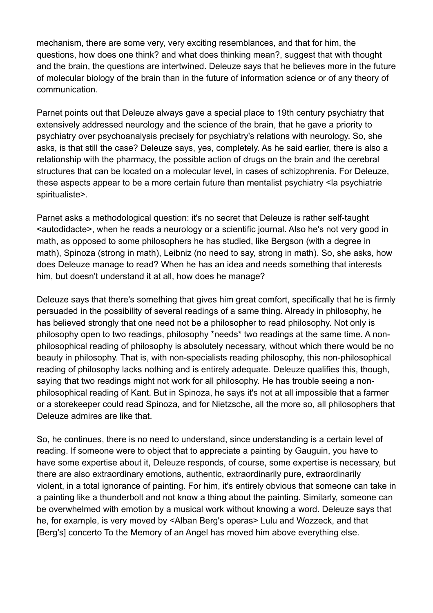mechanism, there are some very, very exciting resemblances, and that for him, the questions, how does one think? and what does thinking mean?, suggest that with thought and the brain, the questions are intertwined. Deleuze says that he believes more in the future of molecular biology of the brain than in the future of information science or of any theory of communication.

Parnet points out that Deleuze always gave a special place to 19th century psychiatry that extensively addressed neurology and the science of the brain, that he gave a priority to psychiatry over psychoanalysis precisely for psychiatry's relations with neurology. So, she asks, is that still the case? Deleuze says, yes, completely. As he said earlier, there is also a relationship with the pharmacy, the possible action of drugs on the brain and the cerebral structures that can be located on a molecular level, in cases of schizophrenia. For Deleuze, these aspects appear to be a more certain future than mentalist psychiatry <la psychiatrie spiritualiste>.

Parnet asks a methodological question: it's no secret that Deleuze is rather self-taught <autodidacte>, when he reads a neurology or a scientific journal. Also he's not very good in math, as opposed to some philosophers he has studied, like Bergson (with a degree in math), Spinoza (strong in math), Leibniz (no need to say, strong in math). So, she asks, how does Deleuze manage to read? When he has an idea and needs something that interests him, but doesn't understand it at all, how does he manage?

Deleuze says that there's something that gives him great comfort, specifically that he is firmly persuaded in the possibility of several readings of a same thing. Already in philosophy, he has believed strongly that one need not be a philosopher to read philosophy. Not only is philosophy open to two readings, philosophy \*needs\* two readings at the same time. A nonphilosophical reading of philosophy is absolutely necessary, without which there would be no beauty in philosophy. That is, with non-specialists reading philosophy, this non-philosophical reading of philosophy lacks nothing and is entirely adequate. Deleuze qualifies this, though, saying that two readings might not work for all philosophy. He has trouble seeing a nonphilosophical reading of Kant. But in Spinoza, he says it's not at all impossible that a farmer or a storekeeper could read Spinoza, and for Nietzsche, all the more so, all philosophers that Deleuze admires are like that.

So, he continues, there is no need to understand, since understanding is a certain level of reading. If someone were to object that to appreciate a painting by Gauguin, you have to have some expertise about it, Deleuze responds, of course, some expertise is necessary, but there are also extraordinary emotions, authentic, extraordinarily pure, extraordinarily violent, in a total ignorance of painting. For him, it's entirely obvious that someone can take in a painting like a thunderbolt and not know a thing about the painting. Similarly, someone can be overwhelmed with emotion by a musical work without knowing a word. Deleuze says that he, for example, is very moved by <Alban Berg's operas> Lulu and Wozzeck, and that [Berg's] concerto To the Memory of an Angel has moved him above everything else.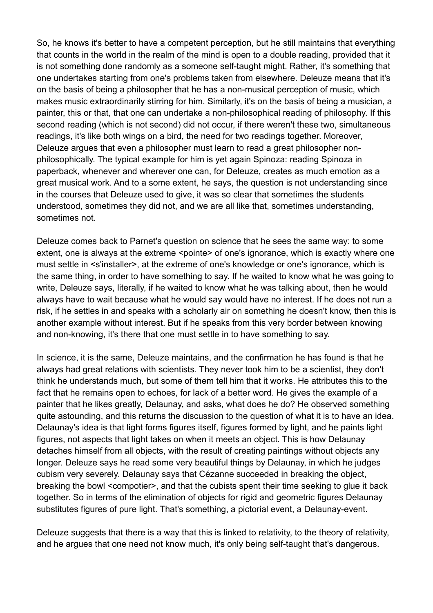So, he knows it's better to have a competent perception, but he still maintains that everything that counts in the world in the realm of the mind is open to a double reading, provided that it is not something done randomly as a someone self-taught might. Rather, it's something that one undertakes starting from one's problems taken from elsewhere. Deleuze means that it's on the basis of being a philosopher that he has a non-musical perception of music, which makes music extraordinarily stirring for him. Similarly, it's on the basis of being a musician, a painter, this or that, that one can undertake a non-philosophical reading of philosophy. If this second reading (which is not second) did not occur, if there weren't these two, simultaneous readings, it's like both wings on a bird, the need for two readings together. Moreover, Deleuze argues that even a philosopher must learn to read a great philosopher nonphilosophically. The typical example for him is yet again Spinoza: reading Spinoza in paperback, whenever and wherever one can, for Deleuze, creates as much emotion as a great musical work. And to a some extent, he says, the question is not understanding since in the courses that Deleuze used to give, it was so clear that sometimes the students understood, sometimes they did not, and we are all like that, sometimes understanding, sometimes not.

Deleuze comes back to Parnet's question on science that he sees the same way: to some extent, one is always at the extreme <pointe> of one's ignorance, which is exactly where one must settle in <s'installer>, at the extreme of one's knowledge or one's ignorance, which is the same thing, in order to have something to say. If he waited to know what he was going to write, Deleuze says, literally, if he waited to know what he was talking about, then he would always have to wait because what he would say would have no interest. If he does not run a risk, if he settles in and speaks with a scholarly air on something he doesn't know, then this is another example without interest. But if he speaks from this very border between knowing and non-knowing, it's there that one must settle in to have something to say.

In science, it is the same, Deleuze maintains, and the confirmation he has found is that he always had great relations with scientists. They never took him to be a scientist, they don't think he understands much, but some of them tell him that it works. He attributes this to the fact that he remains open to echoes, for lack of a better word. He gives the example of a painter that he likes greatly, Delaunay, and asks, what does he do? He observed something quite astounding, and this returns the discussion to the question of what it is to have an idea. Delaunay's idea is that light forms figures itself, figures formed by light, and he paints light figures, not aspects that light takes on when it meets an object. This is how Delaunay detaches himself from all objects, with the result of creating paintings without objects any longer. Deleuze says he read some very beautiful things by Delaunay, in which he judges cubism very severely. Delaunay says that Cézanne succeeded in breaking the object, breaking the bowl <compotier>, and that the cubists spent their time seeking to glue it back together. So in terms of the elimination of objects for rigid and geometric figures Delaunay substitutes figures of pure light. That's something, a pictorial event, a Delaunay-event.

Deleuze suggests that there is a way that this is linked to relativity, to the theory of relativity, and he argues that one need not know much, it's only being self-taught that's dangerous.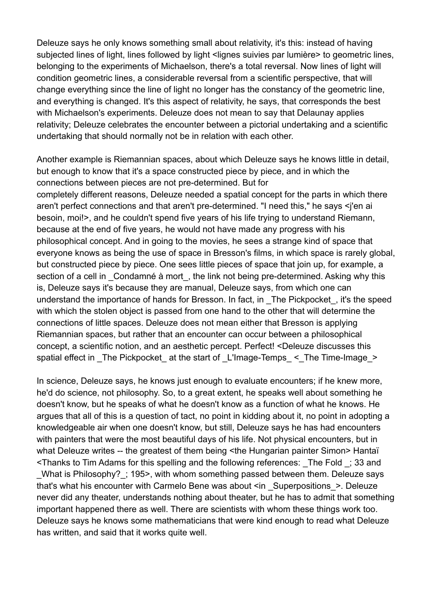Deleuze says he only knows something small about relativity, it's this: instead of having subjected lines of light, lines followed by light <lignes suivies par lumière> to geometric lines, belonging to the experiments of Michaelson, there's a total reversal. Now lines of light will condition geometric lines, a considerable reversal from a scientific perspective, that will change everything since the line of light no longer has the constancy of the geometric line, and everything is changed. It's this aspect of relativity, he says, that corresponds the best with Michaelson's experiments. Deleuze does not mean to say that Delaunay applies relativity; Deleuze celebrates the encounter between a pictorial undertaking and a scientific undertaking that should normally not be in relation with each other.

Another example is Riemannian spaces, about which Deleuze says he knows little in detail, but enough to know that it's a space constructed piece by piece, and in which the connections between pieces are not pre-determined. But for completely different reasons, Deleuze needed a spatial concept for the parts in which there aren't perfect connections and that aren't pre-determined. "I need this," he says <i'en ai besoin, moi!>, and he couldn't spend five years of his life trying to understand Riemann, because at the end of five years, he would not have made any progress with his philosophical concept. And in going to the movies, he sees a strange kind of space that everyone knows as being the use of space in Bresson's films, in which space is rarely global, but constructed piece by piece. One sees little pieces of space that join up, for example, a section of a cell in Condamné à mort, the link not being pre-determined. Asking why this is, Deleuze says it's because they are manual, Deleuze says, from which one can understand the importance of hands for Bresson. In fact, in The Pickpocket, it's the speed with which the stolen object is passed from one hand to the other that will determine the connections of little spaces. Deleuze does not mean either that Bresson is applying Riemannian spaces, but rather that an encounter can occur between a philosophical concept, a scientific notion, and an aesthetic percept. Perfect! <Deleuze discusses this spatial effect in \_The Pickpocket\_ at the start of \_L'Image-Temps\_ < The Time-Image >

In science, Deleuze says, he knows just enough to evaluate encounters; if he knew more, he'd do science, not philosophy. So, to a great extent, he speaks well about something he doesn't know, but he speaks of what he doesn't know as a function of what he knows. He argues that all of this is a question of tact, no point in kidding about it, no point in adopting a knowledgeable air when one doesn't know, but still, Deleuze says he has had encounters with painters that were the most beautiful days of his life. Not physical encounters, but in what Deleuze writes -- the greatest of them being <the Hungarian painter Simon> Hantaï <Thanks to Tim Adams for this spelling and the following references: \_The Fold \_; 33 and What is Philosophy?; 195>, with whom something passed between them. Deleuze says that's what his encounter with Carmelo Bene was about <in Superpositions >. Deleuze never did any theater, understands nothing about theater, but he has to admit that something important happened there as well. There are scientists with whom these things work too. Deleuze says he knows some mathematicians that were kind enough to read what Deleuze has written, and said that it works quite well.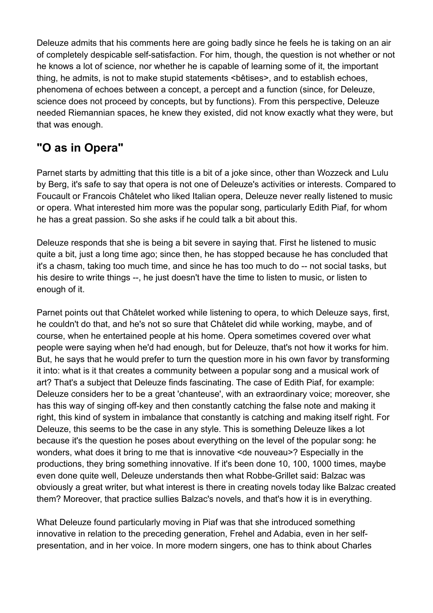Deleuze admits that his comments here are going badly since he feels he is taking on an air of completely despicable self-satisfaction. For him, though, the question is not whether or not he knows a lot of science, nor whether he is capable of learning some of it, the important thing, he admits, is not to make stupid statements <br/>betises>, and to establish echoes, phenomena of echoes between a concept, a percept and a function (since, for Deleuze, science does not proceed by concepts, but by functions). From this perspective, Deleuze needed Riemannian spaces, he knew they existed, did not know exactly what they were, but that was enough.

## **"O as in Opera"**

Parnet starts by admitting that this title is a bit of a joke since, other than Wozzeck and Lulu by Berg, it's safe to say that opera is not one of Deleuze's activities or interests. Compared to Foucault or Francois Châtelet who liked Italian opera, Deleuze never really listened to music or opera. What interested him more was the popular song, particularly Edith Piaf, for whom he has a great passion. So she asks if he could talk a bit about this.

Deleuze responds that she is being a bit severe in saying that. First he listened to music quite a bit, just a long time ago; since then, he has stopped because he has concluded that it's a chasm, taking too much time, and since he has too much to do -- not social tasks, but his desire to write things --, he just doesn't have the time to listen to music, or listen to enough of it.

Parnet points out that Châtelet worked while listening to opera, to which Deleuze says, first, he couldn't do that, and he's not so sure that Châtelet did while working, maybe, and of course, when he entertained people at his home. Opera sometimes covered over what people were saying when he'd had enough, but for Deleuze, that's not how it works for him. But, he says that he would prefer to turn the question more in his own favor by transforming it into: what is it that creates a community between a popular song and a musical work of art? That's a subject that Deleuze finds fascinating. The case of Edith Piaf, for example: Deleuze considers her to be a great 'chanteuse', with an extraordinary voice; moreover, she has this way of singing off-key and then constantly catching the false note and making it right, this kind of system in imbalance that constantly is catching and making itself right. For Deleuze, this seems to be the case in any style. This is something Deleuze likes a lot because it's the question he poses about everything on the level of the popular song: he wonders, what does it bring to me that is innovative <de nouveau>? Especially in the productions, they bring something innovative. If it's been done 10, 100, 1000 times, maybe even done quite well, Deleuze understands then what Robbe-Grillet said: Balzac was obviously a great writer, but what interest is there in creating novels today like Balzac created them? Moreover, that practice sullies Balzac's novels, and that's how it is in everything.

What Deleuze found particularly moving in Piaf was that she introduced something innovative in relation to the preceding generation, Frehel and Adabia, even in her selfpresentation, and in her voice. In more modern singers, one has to think about Charles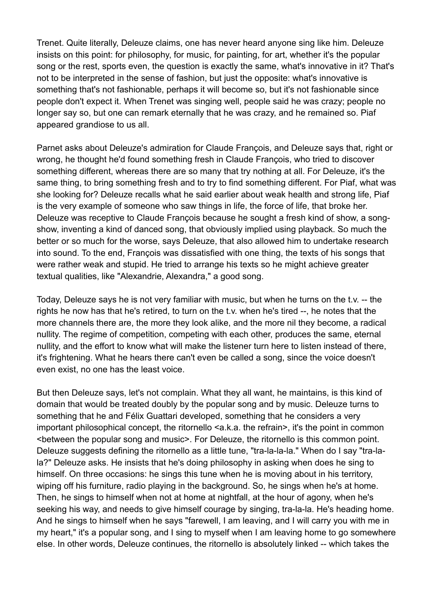Trenet. Quite literally, Deleuze claims, one has never heard anyone sing like him. Deleuze insists on this point: for philosophy, for music, for painting, for art, whether it's the popular song or the rest, sports even, the question is exactly the same, what's innovative in it? That's not to be interpreted in the sense of fashion, but just the opposite: what's innovative is something that's not fashionable, perhaps it will become so, but it's not fashionable since people don't expect it. When Trenet was singing well, people said he was crazy; people no longer say so, but one can remark eternally that he was crazy, and he remained so. Piaf appeared grandiose to us all.

Parnet asks about Deleuze's admiration for Claude François, and Deleuze says that, right or wrong, he thought he'd found something fresh in Claude François, who tried to discover something different, whereas there are so many that try nothing at all. For Deleuze, it's the same thing, to bring something fresh and to try to find something different. For Piaf, what was she looking for? Deleuze recalls what he said earlier about weak health and strong life, Piaf is the very example of someone who saw things in life, the force of life, that broke her. Deleuze was receptive to Claude François because he sought a fresh kind of show, a songshow, inventing a kind of danced song, that obviously implied using playback. So much the better or so much for the worse, says Deleuze, that also allowed him to undertake research into sound. To the end, François was dissatisfied with one thing, the texts of his songs that were rather weak and stupid. He tried to arrange his texts so he might achieve greater textual qualities, like "Alexandrie, Alexandra," a good song.

Today, Deleuze says he is not very familiar with music, but when he turns on the t.v. -- the rights he now has that he's retired, to turn on the t.v. when he's tired --, he notes that the more channels there are, the more they look alike, and the more nil they become, a radical nullity. The regime of competition, competing with each other, produces the same, eternal nullity, and the effort to know what will make the listener turn here to listen instead of there, it's frightening. What he hears there can't even be called a song, since the voice doesn't even exist, no one has the least voice.

But then Deleuze says, let's not complain. What they all want, he maintains, is this kind of domain that would be treated doubly by the popular song and by music. Deleuze turns to something that he and Félix Guattari developed, something that he considers a very important philosophical concept, the ritornello <a.k.a. the refrain>, it's the point in common <between the popular song and music>. For Deleuze, the ritornello is this common point. Deleuze suggests defining the ritornello as a little tune, "tra-la-la-la." When do I say "tra-lala?" Deleuze asks. He insists that he's doing philosophy in asking when does he sing to himself. On three occasions: he sings this tune when he is moving about in his territory, wiping off his furniture, radio playing in the background. So, he sings when he's at home. Then, he sings to himself when not at home at nightfall, at the hour of agony, when he's seeking his way, and needs to give himself courage by singing, tra-la-la. He's heading home. And he sings to himself when he says "farewell, I am leaving, and I will carry you with me in my heart," it's a popular song, and I sing to myself when I am leaving home to go somewhere else. In other words, Deleuze continues, the ritornello is absolutely linked -- which takes the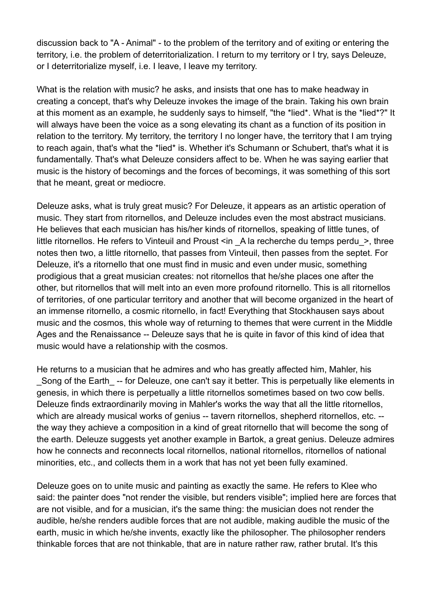discussion back to "A - Animal" - to the problem of the territory and of exiting or entering the territory, i.e. the problem of deterritorialization. I return to my territory or I try, says Deleuze, or I deterritorialize myself, i.e. I leave, I leave my territory.

What is the relation with music? he asks, and insists that one has to make headway in creating a concept, that's why Deleuze invokes the image of the brain. Taking his own brain at this moment as an example, he suddenly says to himself, "the \*lied\*. What is the \*lied\*?" It will always have been the voice as a song elevating its chant as a function of its position in relation to the territory. My territory, the territory I no longer have, the territory that I am trying to reach again, that's what the \*lied\* is. Whether it's Schumann or Schubert, that's what it is fundamentally. That's what Deleuze considers affect to be. When he was saying earlier that music is the history of becomings and the forces of becomings, it was something of this sort that he meant, great or mediocre.

Deleuze asks, what is truly great music? For Deleuze, it appears as an artistic operation of music. They start from ritornellos, and Deleuze includes even the most abstract musicians. He believes that each musician has his/her kinds of ritornellos, speaking of little tunes, of little ritornellos. He refers to Vinteuil and Proust <in A la recherche du temps perdu >, three notes then two, a little ritornello, that passes from Vinteuil, then passes from the septet. For Deleuze, it's a ritornello that one must find in music and even under music, something prodigious that a great musician creates: not ritornellos that he/she places one after the other, but ritornellos that will melt into an even more profound ritornello. This is all ritornellos of territories, of one particular territory and another that will become organized in the heart of an immense ritornello, a cosmic ritornello, in fact! Everything that Stockhausen says about music and the cosmos, this whole way of returning to themes that were current in the Middle Ages and the Renaissance -- Deleuze says that he is quite in favor of this kind of idea that music would have a relationship with the cosmos.

He returns to a musician that he admires and who has greatly affected him, Mahler, his Song of the Earth -- for Deleuze, one can't say it better. This is perpetually like elements in genesis, in which there is perpetually a little ritornellos sometimes based on two cow bells. Deleuze finds extraordinarily moving in Mahler's works the way that all the little ritornellos, which are already musical works of genius -- tavern ritornellos, shepherd ritornellos, etc. -the way they achieve a composition in a kind of great ritornello that will become the song of the earth. Deleuze suggests yet another example in Bartok, a great genius. Deleuze admires how he connects and reconnects local ritornellos, national ritornellos, ritornellos of national minorities, etc., and collects them in a work that has not yet been fully examined.

Deleuze goes on to unite music and painting as exactly the same. He refers to Klee who said: the painter does "not render the visible, but renders visible"; implied here are forces that are not visible, and for a musician, it's the same thing: the musician does not render the audible, he/she renders audible forces that are not audible, making audible the music of the earth, music in which he/she invents, exactly like the philosopher. The philosopher renders thinkable forces that are not thinkable, that are in nature rather raw, rather brutal. It's this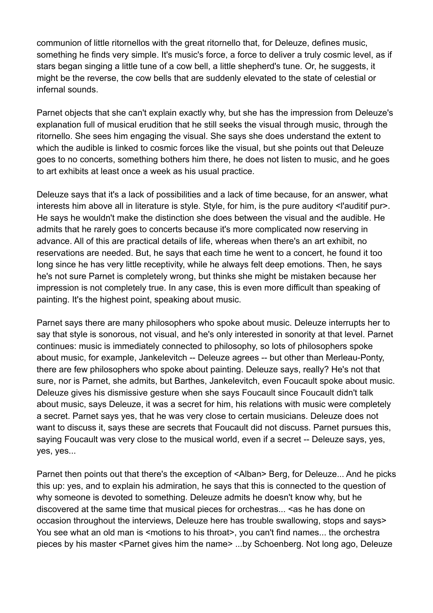communion of little ritornellos with the great ritornello that, for Deleuze, defines music, something he finds very simple. It's music's force, a force to deliver a truly cosmic level, as if stars began singing a little tune of a cow bell, a little shepherd's tune. Or, he suggests, it might be the reverse, the cow bells that are suddenly elevated to the state of celestial or infernal sounds.

Parnet objects that she can't explain exactly why, but she has the impression from Deleuze's explanation full of musical erudition that he still seeks the visual through music, through the ritornello. She sees him engaging the visual. She says she does understand the extent to which the audible is linked to cosmic forces like the visual, but she points out that Deleuze goes to no concerts, something bothers him there, he does not listen to music, and he goes to art exhibits at least once a week as his usual practice.

Deleuze says that it's a lack of possibilities and a lack of time because, for an answer, what interests him above all in literature is style. Style, for him, is the pure auditory <l'auditif pur>. He says he wouldn't make the distinction she does between the visual and the audible. He admits that he rarely goes to concerts because it's more complicated now reserving in advance. All of this are practical details of life, whereas when there's an art exhibit, no reservations are needed. But, he says that each time he went to a concert, he found it too long since he has very little receptivity, while he always felt deep emotions. Then, he says he's not sure Parnet is completely wrong, but thinks she might be mistaken because her impression is not completely true. In any case, this is even more difficult than speaking of painting. It's the highest point, speaking about music.

Parnet says there are many philosophers who spoke about music. Deleuze interrupts her to say that style is sonorous, not visual, and he's only interested in sonority at that level. Parnet continues: music is immediately connected to philosophy, so lots of philosophers spoke about music, for example, Jankelevitch -- Deleuze agrees -- but other than Merleau-Ponty, there are few philosophers who spoke about painting. Deleuze says, really? He's not that sure, nor is Parnet, she admits, but Barthes, Jankelevitch, even Foucault spoke about music. Deleuze gives his dismissive gesture when she says Foucault since Foucault didn't talk about music, says Deleuze, it was a secret for him, his relations with music were completely a secret. Parnet says yes, that he was very close to certain musicians. Deleuze does not want to discuss it, says these are secrets that Foucault did not discuss. Parnet pursues this, saying Foucault was very close to the musical world, even if a secret -- Deleuze says, yes, yes, yes...

Parnet then points out that there's the exception of <Alban> Berg, for Deleuze... And he picks this up: yes, and to explain his admiration, he says that this is connected to the question of why someone is devoted to something. Deleuze admits he doesn't know why, but he discovered at the same time that musical pieces for orchestras... <as he has done on occasion throughout the interviews, Deleuze here has trouble swallowing, stops and says> You see what an old man is <motions to his throat>, you can't find names... the orchestra pieces by his master <Parnet gives him the name> ...by Schoenberg. Not long ago, Deleuze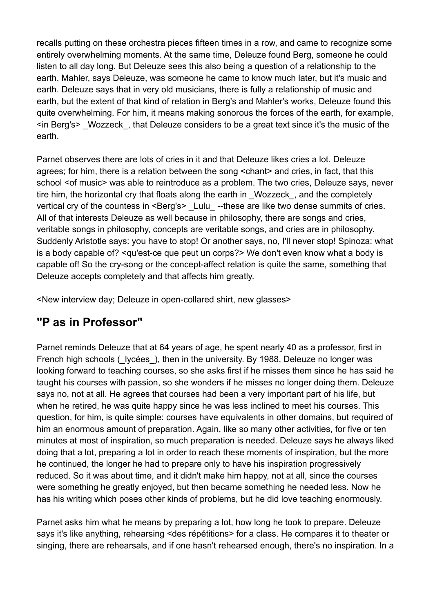recalls putting on these orchestra pieces fifteen times in a row, and came to recognize some entirely overwhelming moments. At the same time, Deleuze found Berg, someone he could listen to all day long. But Deleuze sees this also being a question of a relationship to the earth. Mahler, says Deleuze, was someone he came to know much later, but it's music and earth. Deleuze says that in very old musicians, there is fully a relationship of music and earth, but the extent of that kind of relation in Berg's and Mahler's works, Deleuze found this quite overwhelming. For him, it means making sonorous the forces of the earth, for example, <in Berg's> \_Wozzeck\_, that Deleuze considers to be a great text since it's the music of the earth.

Parnet observes there are lots of cries in it and that Deleuze likes cries a lot. Deleuze agrees; for him, there is a relation between the song <chant> and cries, in fact, that this school <of music> was able to reintroduce as a problem. The two cries, Deleuze says, never tire him, the horizontal cry that floats along the earth in Wozzeck, and the completely vertical cry of the countess in <Berg's> Lulu --these are like two dense summits of cries. All of that interests Deleuze as well because in philosophy, there are songs and cries, veritable songs in philosophy, concepts are veritable songs, and cries are in philosophy. Suddenly Aristotle says: you have to stop! Or another says, no, I'll never stop! Spinoza: what is a body capable of? <qu'est-ce que peut un corps?> We don't even know what a body is capable of! So the cry-song or the concept-affect relation is quite the same, something that Deleuze accepts completely and that affects him greatly.

<New interview day; Deleuze in open-collared shirt, new glasses>

### **"P as in Professor"**

Parnet reminds Deleuze that at 64 years of age, he spent nearly 40 as a professor, first in French high schools ( lycées ), then in the university. By 1988, Deleuze no longer was looking forward to teaching courses, so she asks first if he misses them since he has said he taught his courses with passion, so she wonders if he misses no longer doing them. Deleuze says no, not at all. He agrees that courses had been a very important part of his life, but when he retired, he was quite happy since he was less inclined to meet his courses. This question, for him, is quite simple: courses have equivalents in other domains, but required of him an enormous amount of preparation. Again, like so many other activities, for five or ten minutes at most of inspiration, so much preparation is needed. Deleuze says he always liked doing that a lot, preparing a lot in order to reach these moments of inspiration, but the more he continued, the longer he had to prepare only to have his inspiration progressively reduced. So it was about time, and it didn't make him happy, not at all, since the courses were something he greatly enjoyed, but then became something he needed less. Now he has his writing which poses other kinds of problems, but he did love teaching enormously.

Parnet asks him what he means by preparing a lot, how long he took to prepare. Deleuze says it's like anything, rehearsing <des répétitions> for a class. He compares it to theater or singing, there are rehearsals, and if one hasn't rehearsed enough, there's no inspiration. In a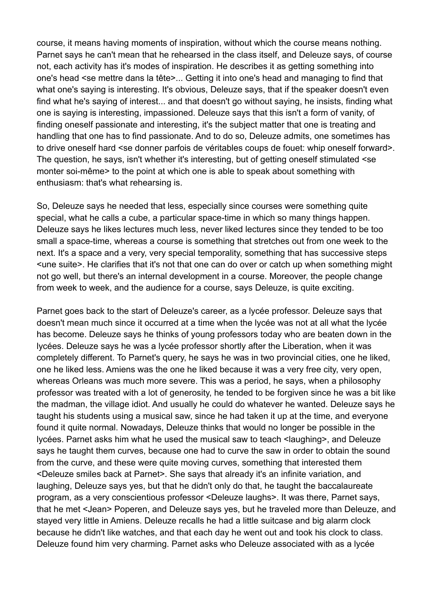course, it means having moments of inspiration, without which the course means nothing. Parnet says he can't mean that he rehearsed in the class itself, and Deleuze says, of course not, each activity has it's modes of inspiration. He describes it as getting something into one's head <se mettre dans la tête>... Getting it into one's head and managing to find that what one's saying is interesting. It's obvious, Deleuze says, that if the speaker doesn't even find what he's saying of interest... and that doesn't go without saying, he insists, finding what one is saying is interesting, impassioned. Deleuze says that this isn't a form of vanity, of finding oneself passionate and interesting, it's the subject matter that one is treating and handling that one has to find passionate. And to do so, Deleuze admits, one sometimes has to drive oneself hard <se donner parfois de véritables coups de fouet: whip oneself forward>. The question, he says, isn't whether it's interesting, but of getting oneself stimulated <se monter soi-même> to the point at which one is able to speak about something with enthusiasm: that's what rehearsing is.

So, Deleuze says he needed that less, especially since courses were something quite special, what he calls a cube, a particular space-time in which so many things happen. Deleuze says he likes lectures much less, never liked lectures since they tended to be too small a space-time, whereas a course is something that stretches out from one week to the next. It's a space and a very, very special temporality, something that has successive steps <une suite>. He clarifies that it's not that one can do over or catch up when something might not go well, but there's an internal development in a course. Moreover, the people change from week to week, and the audience for a course, says Deleuze, is quite exciting.

Parnet goes back to the start of Deleuze's career, as a lycée professor. Deleuze says that doesn't mean much since it occurred at a time when the lycée was not at all what the lycée has become. Deleuze says he thinks of young professors today who are beaten down in the lycées. Deleuze says he was a lycée professor shortly after the Liberation, when it was completely different. To Parnet's query, he says he was in two provincial cities, one he liked, one he liked less. Amiens was the one he liked because it was a very free city, very open, whereas Orleans was much more severe. This was a period, he says, when a philosophy professor was treated with a lot of generosity, he tended to be forgiven since he was a bit like the madman, the village idiot. And usually he could do whatever he wanted. Deleuze says he taught his students using a musical saw, since he had taken it up at the time, and everyone found it quite normal. Nowadays, Deleuze thinks that would no longer be possible in the lycées. Parnet asks him what he used the musical saw to teach <laughing>, and Deleuze says he taught them curves, because one had to curve the saw in order to obtain the sound from the curve, and these were quite moving curves, something that interested them <Deleuze smiles back at Parnet>. She says that already it's an infinite variation, and laughing, Deleuze says yes, but that he didn't only do that, he taught the baccalaureate program, as a very conscientious professor <Deleuze laughs>. It was there, Parnet says, that he met <Jean> Poperen, and Deleuze says yes, but he traveled more than Deleuze, and stayed very little in Amiens. Deleuze recalls he had a little suitcase and big alarm clock because he didn't like watches, and that each day he went out and took his clock to class. Deleuze found him very charming. Parnet asks who Deleuze associated with as a lycée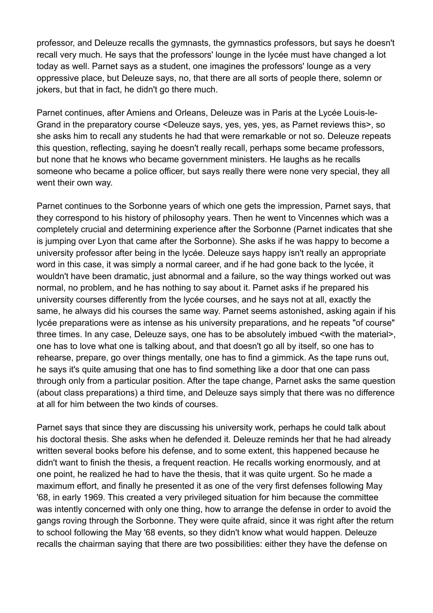professor, and Deleuze recalls the gymnasts, the gymnastics professors, but says he doesn't recall very much. He says that the professors' lounge in the lycée must have changed a lot today as well. Parnet says as a student, one imagines the professors' lounge as a very oppressive place, but Deleuze says, no, that there are all sorts of people there, solemn or jokers, but that in fact, he didn't go there much.

Parnet continues, after Amiens and Orleans, Deleuze was in Paris at the Lycée Louis-le-Grand in the preparatory course <Deleuze says, yes, yes, yes, as Parnet reviews this>, so she asks him to recall any students he had that were remarkable or not so. Deleuze repeats this question, reflecting, saying he doesn't really recall, perhaps some became professors, but none that he knows who became government ministers. He laughs as he recalls someone who became a police officer, but says really there were none very special, they all went their own way.

Parnet continues to the Sorbonne years of which one gets the impression, Parnet says, that they correspond to his history of philosophy years. Then he went to Vincennes which was a completely crucial and determining experience after the Sorbonne (Parnet indicates that she is jumping over Lyon that came after the Sorbonne). She asks if he was happy to become a university professor after being in the lycée. Deleuze says happy isn't really an appropriate word in this case, it was simply a normal career, and if he had gone back to the lycée, it wouldn't have been dramatic, just abnormal and a failure, so the way things worked out was normal, no problem, and he has nothing to say about it. Parnet asks if he prepared his university courses differently from the lycée courses, and he says not at all, exactly the same, he always did his courses the same way. Parnet seems astonished, asking again if his lycée preparations were as intense as his university preparations, and he repeats "of course" three times. In any case, Deleuze says, one has to be absolutely imbued <with the material>, one has to love what one is talking about, and that doesn't go all by itself, so one has to rehearse, prepare, go over things mentally, one has to find a gimmick. As the tape runs out, he says it's quite amusing that one has to find something like a door that one can pass through only from a particular position. After the tape change, Parnet asks the same question (about class preparations) a third time, and Deleuze says simply that there was no difference at all for him between the two kinds of courses.

Parnet says that since they are discussing his university work, perhaps he could talk about his doctoral thesis. She asks when he defended it. Deleuze reminds her that he had already written several books before his defense, and to some extent, this happened because he didn't want to finish the thesis, a frequent reaction. He recalls working enormously, and at one point, he realized he had to have the thesis, that it was quite urgent. So he made a maximum effort, and finally he presented it as one of the very first defenses following May '68, in early 1969. This created a very privileged situation for him because the committee was intently concerned with only one thing, how to arrange the defense in order to avoid the gangs roving through the Sorbonne. They were quite afraid, since it was right after the return to school following the May '68 events, so they didn't know what would happen. Deleuze recalls the chairman saying that there are two possibilities: either they have the defense on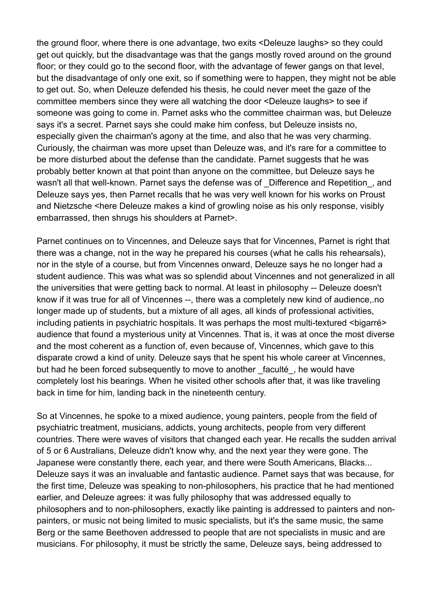the ground floor, where there is one advantage, two exits <Deleuze laughs> so they could get out quickly, but the disadvantage was that the gangs mostly roved around on the ground floor; or they could go to the second floor, with the advantage of fewer gangs on that level, but the disadvantage of only one exit, so if something were to happen, they might not be able to get out. So, when Deleuze defended his thesis, he could never meet the gaze of the committee members since they were all watching the door <Deleuze laughs> to see if someone was going to come in. Parnet asks who the committee chairman was, but Deleuze says it's a secret. Parnet says she could make him confess, but Deleuze insists no, especially given the chairman's agony at the time, and also that he was very charming. Curiously, the chairman was more upset than Deleuze was, and it's rare for a committee to be more disturbed about the defense than the candidate. Parnet suggests that he was probably better known at that point than anyone on the committee, but Deleuze says he wasn't all that well-known. Parnet says the defense was of Difference and Repetition, and Deleuze says yes, then Parnet recalls that he was very well known for his works on Proust and Nietzsche <here Deleuze makes a kind of growling noise as his only response, visibly embarrassed, then shrugs his shoulders at Parnet>.

Parnet continues on to Vincennes, and Deleuze says that for Vincennes, Parnet is right that there was a change, not in the way he prepared his courses (what he calls his rehearsals), nor in the style of a course, but from Vincennes onward, Deleuze says he no longer had a student audience. This was what was so splendid about Vincennes and not generalized in all the universities that were getting back to normal. At least in philosophy -- Deleuze doesn't know if it was true for all of Vincennes --, there was a completely new kind of audience,.no longer made up of students, but a mixture of all ages, all kinds of professional activities, including patients in psychiatric hospitals. It was perhaps the most multi-textured <br/>bigarré> audience that found a mysterious unity at Vincennes. That is, it was at once the most diverse and the most coherent as a function of, even because of, Vincennes, which gave to this disparate crowd a kind of unity. Deleuze says that he spent his whole career at Vincennes, but had he been forced subsequently to move to another faculté, he would have completely lost his bearings. When he visited other schools after that, it was like traveling back in time for him, landing back in the nineteenth century.

So at Vincennes, he spoke to a mixed audience, young painters, people from the field of psychiatric treatment, musicians, addicts, young architects, people from very different countries. There were waves of visitors that changed each year. He recalls the sudden arrival of 5 or 6 Australians, Deleuze didn't know why, and the next year they were gone. The Japanese were constantly there, each year, and there were South Americans, Blacks... Deleuze says it was an invaluable and fantastic audience. Parnet says that was because, for the first time, Deleuze was speaking to non-philosophers, his practice that he had mentioned earlier, and Deleuze agrees: it was fully philosophy that was addressed equally to philosophers and to non-philosophers, exactly like painting is addressed to painters and nonpainters, or music not being limited to music specialists, but it's the same music, the same Berg or the same Beethoven addressed to people that are not specialists in music and are musicians. For philosophy, it must be strictly the same, Deleuze says, being addressed to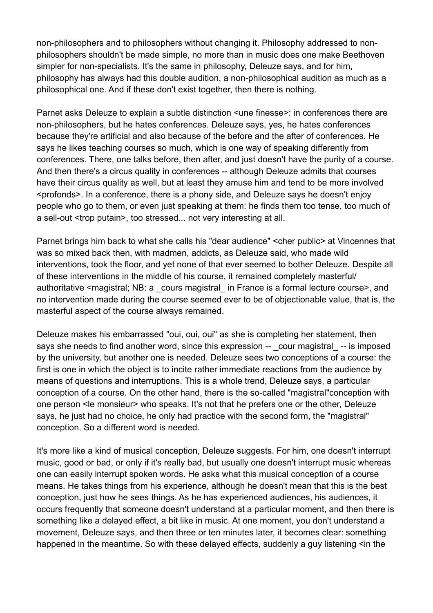non-philosophers and to philosophers without changing it. Philosophy addressed to nonphilosophers shouldn't be made simple, no more than in music does one make Beethoven simpler for non-specialists. It's the same in philosophy, Deleuze says, and for him, philosophy has always had this double audition, a non-philosophical audition as much as a philosophical one. And if these don't exist together, then there is nothing.

Parnet asks Deleuze to explain a subtle distinction <une finesse>: in conferences there are non-philosophers, but he hates conferences. Deleuze says, yes, he hates conferences because they're artificial and also because of the before and the after of conferences. He says he likes teaching courses so much, which is one way of speaking differently from conferences. There, one talks before, then after, and just doesn't have the purity of a course. And then there's a circus quality in conferences -- although Deleuze admits that courses have their circus quality as well, but at least they amuse him and tend to be more involved <profonds>. In a conference, there is a phony side, and Deleuze says he doesn't enjoy people who go to them, or even just speaking at them: he finds them too tense, too much of a sell-out <trop putain>, too stressed... not very interesting at all.

Parnet brings him back to what she calls his "dear audience" <cher public> at Vincennes that was so mixed back then, with madmen, addicts, as Deleuze said, who made wild interventions, took the floor, and yet none of that ever seemed to bother Deleuze. Despite all of these interventions in the middle of his course, it remained completely masterful/ authoritative <magistral; NB: a cours magistral in France is a formal lecture course>, and no intervention made during the course seemed ever to be of objectionable value, that is, the masterful aspect of the course always remained.

Deleuze makes his embarrassed "oui, oui, oui" as she is completing her statement, then says she needs to find another word, since this expression -- cour magistral -- is imposed by the university, but another one is needed. Deleuze sees two conceptions of a course: the first is one in which the object is to incite rather immediate reactions from the audience by means of questions and interruptions. This is a whole trend, Deleuze says, a particular conception of a course. On the other hand, there is the so-called "magistral"conception with one person <le monsieur> who speaks. It's not that he prefers one or the other, Deleuze says, he just had no choice, he only had practice with the second form, the "magistral" conception. So a different word is needed.

It's more like a kind of musical conception, Deleuze suggests. For him, one doesn't interrupt music, good or bad, or only if it's really bad, but usually one doesn't interrupt music whereas one can easily interrupt spoken words. He asks what this musical conception of a course means. He takes things from his experience, although he doesn't mean that this is the best conception, just how he sees things. As he has experienced audiences, his audiences, it occurs frequently that someone doesn't understand at a particular moment, and then there is something like a delayed effect, a bit like in music. At one moment, you don't understand a movement, Deleuze says, and then three or ten minutes later, it becomes clear: something happened in the meantime. So with these delayed effects, suddenly a guy listening  $\leq$  in the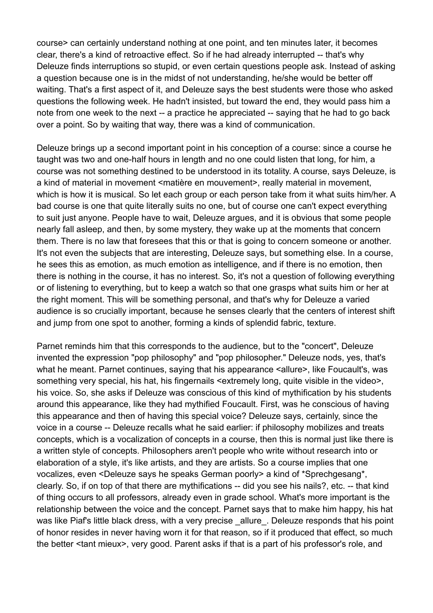course> can certainly understand nothing at one point, and ten minutes later, it becomes clear, there's a kind of retroactive effect. So if he had already interrupted -- that's why Deleuze finds interruptions so stupid, or even certain questions people ask. Instead of asking a question because one is in the midst of not understanding, he/she would be better off waiting. That's a first aspect of it, and Deleuze says the best students were those who asked questions the following week. He hadn't insisted, but toward the end, they would pass him a note from one week to the next -- a practice he appreciated -- saying that he had to go back over a point. So by waiting that way, there was a kind of communication.

Deleuze brings up a second important point in his conception of a course: since a course he taught was two and one-half hours in length and no one could listen that long, for him, a course was not something destined to be understood in its totality. A course, says Deleuze, is a kind of material in movement <matière en mouvement>, really material in movement, which is how it is musical. So let each group or each person take from it what suits him/her. A bad course is one that quite literally suits no one, but of course one can't expect everything to suit just anyone. People have to wait, Deleuze argues, and it is obvious that some people nearly fall asleep, and then, by some mystery, they wake up at the moments that concern them. There is no law that foresees that this or that is going to concern someone or another. It's not even the subjects that are interesting, Deleuze says, but something else. In a course, he sees this as emotion, as much emotion as intelligence, and if there is no emotion, then there is nothing in the course, it has no interest. So, it's not a question of following everything or of listening to everything, but to keep a watch so that one grasps what suits him or her at the right moment. This will be something personal, and that's why for Deleuze a varied audience is so crucially important, because he senses clearly that the centers of interest shift and jump from one spot to another, forming a kinds of splendid fabric, texture.

Parnet reminds him that this corresponds to the audience, but to the "concert", Deleuze invented the expression "pop philosophy" and "pop philosopher." Deleuze nods, yes, that's what he meant. Parnet continues, saying that his appearance <allure>, like Foucault's, was something very special, his hat, his fingernails <extremely long, quite visible in the video>, his voice. So, she asks if Deleuze was conscious of this kind of mythification by his students around this appearance, like they had mythified Foucault. First, was he conscious of having this appearance and then of having this special voice? Deleuze says, certainly, since the voice in a course -- Deleuze recalls what he said earlier: if philosophy mobilizes and treats concepts, which is a vocalization of concepts in a course, then this is normal just like there is a written style of concepts. Philosophers aren't people who write without research into or elaboration of a style, it's like artists, and they are artists. So a course implies that one vocalizes, even <Deleuze says he speaks German poorly> a kind of \*Sprechgesang\*, clearly. So, if on top of that there are mythifications -- did you see his nails?, etc. -- that kind of thing occurs to all professors, already even in grade school. What's more important is the relationship between the voice and the concept. Parnet says that to make him happy, his hat was like Piaf's little black dress, with a very precise allure. Deleuze responds that his point of honor resides in never having worn it for that reason, so if it produced that effect, so much the better <tant mieux>, very good. Parent asks if that is a part of his professor's role, and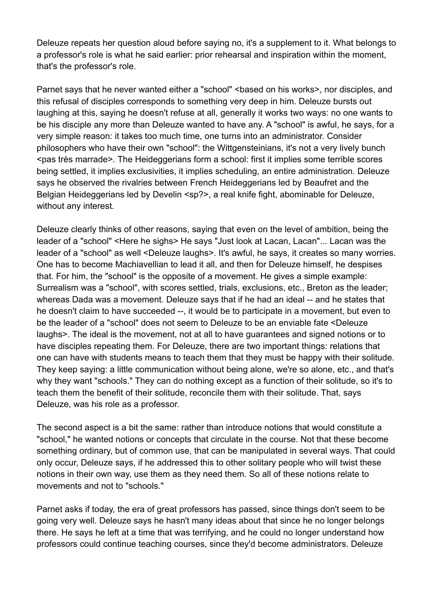Deleuze repeats her question aloud before saying no, it's a supplement to it. What belongs to a professor's role is what he said earlier: prior rehearsal and inspiration within the moment, that's the professor's role.

Parnet says that he never wanted either a "school" <br/>based on his works>, nor disciples, and this refusal of disciples corresponds to something very deep in him. Deleuze bursts out laughing at this, saying he doesn't refuse at all, generally it works two ways: no one wants to be his disciple any more than Deleuze wanted to have any. A "school" is awful, he says, for a very simple reason: it takes too much time, one turns into an administrator. Consider philosophers who have their own "school": the Wittgensteinians, it's not a very lively bunch <pas très marrade>. The Heideggerians form a school: first it implies some terrible scores being settled, it implies exclusivities, it implies scheduling, an entire administration. Deleuze says he observed the rivalries between French Heideggerians led by Beaufret and the Belgian Heideggerians led by Develin <sp?>, a real knife fight, abominable for Deleuze, without any interest.

Deleuze clearly thinks of other reasons, saying that even on the level of ambition, being the leader of a "school" <Here he sighs> He says "Just look at Lacan, Lacan"... Lacan was the leader of a "school" as well <Deleuze laughs>. It's awful, he says, it creates so many worries. One has to become Machiavellian to lead it all, and then for Deleuze himself, he despises that. For him, the "school" is the opposite of a movement. He gives a simple example: Surrealism was a "school", with scores settled, trials, exclusions, etc., Breton as the leader; whereas Dada was a movement. Deleuze says that if he had an ideal -- and he states that he doesn't claim to have succeeded --, it would be to participate in a movement, but even to be the leader of a "school" does not seem to Deleuze to be an enviable fate <Deleuze laughs>. The ideal is the movement, not at all to have guarantees and signed notions or to have disciples repeating them. For Deleuze, there are two important things: relations that one can have with students means to teach them that they must be happy with their solitude. They keep saying: a little communication without being alone, we're so alone, etc., and that's why they want "schools." They can do nothing except as a function of their solitude, so it's to teach them the benefit of their solitude, reconcile them with their solitude. That, says Deleuze, was his role as a professor.

The second aspect is a bit the same: rather than introduce notions that would constitute a "school," he wanted notions or concepts that circulate in the course. Not that these become something ordinary, but of common use, that can be manipulated in several ways. That could only occur, Deleuze says, if he addressed this to other solitary people who will twist these notions in their own way, use them as they need them. So all of these notions relate to movements and not to "schools."

Parnet asks if today, the era of great professors has passed, since things don't seem to be going very well. Deleuze says he hasn't many ideas about that since he no longer belongs there. He says he left at a time that was terrifying, and he could no longer understand how professors could continue teaching courses, since they'd become administrators. Deleuze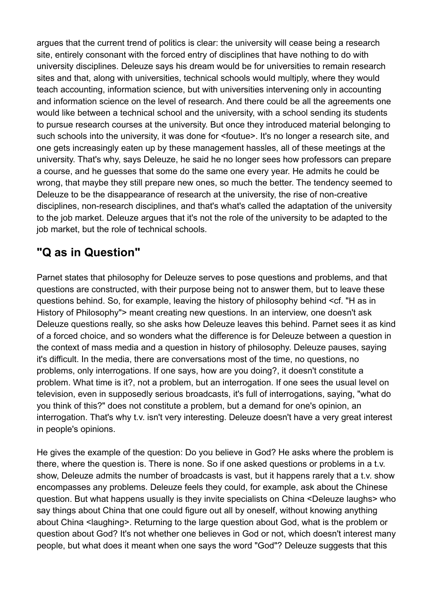argues that the current trend of politics is clear: the university will cease being a research site, entirely consonant with the forced entry of disciplines that have nothing to do with university disciplines. Deleuze says his dream would be for universities to remain research sites and that, along with universities, technical schools would multiply, where they would teach accounting, information science, but with universities intervening only in accounting and information science on the level of research. And there could be all the agreements one would like between a technical school and the university, with a school sending its students to pursue research courses at the university. But once they introduced material belonging to such schools into the university, it was done for <foutue>. It's no longer a research site, and one gets increasingly eaten up by these management hassles, all of these meetings at the university. That's why, says Deleuze, he said he no longer sees how professors can prepare a course, and he guesses that some do the same one every year. He admits he could be wrong, that maybe they still prepare new ones, so much the better. The tendency seemed to Deleuze to be the disappearance of research at the university, the rise of non-creative disciplines, non-research disciplines, and that's what's called the adaptation of the university to the job market. Deleuze argues that it's not the role of the university to be adapted to the job market, but the role of technical schools.

# **"Q as in Question"**

Parnet states that philosophy for Deleuze serves to pose questions and problems, and that questions are constructed, with their purpose being not to answer them, but to leave these questions behind. So, for example, leaving the history of philosophy behind <cf. "H as in History of Philosophy"> meant creating new questions. In an interview, one doesn't ask Deleuze questions really, so she asks how Deleuze leaves this behind. Parnet sees it as kind of a forced choice, and so wonders what the difference is for Deleuze between a question in the context of mass media and a question in history of philosophy. Deleuze pauses, saying it's difficult. In the media, there are conversations most of the time, no questions, no problems, only interrogations. If one says, how are you doing?, it doesn't constitute a problem. What time is it?, not a problem, but an interrogation. If one sees the usual level on television, even in supposedly serious broadcasts, it's full of interrogations, saying, "what do you think of this?" does not constitute a problem, but a demand for one's opinion, an interrogation. That's why t.v. isn't very interesting. Deleuze doesn't have a very great interest in people's opinions.

He gives the example of the question: Do you believe in God? He asks where the problem is there, where the question is. There is none. So if one asked questions or problems in a t.v. show, Deleuze admits the number of broadcasts is vast, but it happens rarely that a t.v. show encompasses any problems. Deleuze feels they could, for example, ask about the Chinese question. But what happens usually is they invite specialists on China <Deleuze laughs> who say things about China that one could figure out all by oneself, without knowing anything about China <laughing>. Returning to the large question about God, what is the problem or question about God? It's not whether one believes in God or not, which doesn't interest many people, but what does it meant when one says the word "God"? Deleuze suggests that this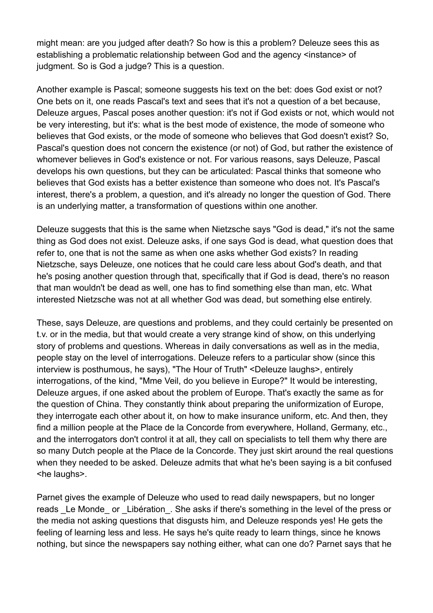might mean: are you judged after death? So how is this a problem? Deleuze sees this as establishing a problematic relationship between God and the agency <instance> of judgment. So is God a judge? This is a question.

Another example is Pascal; someone suggests his text on the bet: does God exist or not? One bets on it, one reads Pascal's text and sees that it's not a question of a bet because, Deleuze argues, Pascal poses another question: it's not if God exists or not, which would not be very interesting, but it's: what is the best mode of existence, the mode of someone who believes that God exists, or the mode of someone who believes that God doesn't exist? So, Pascal's question does not concern the existence (or not) of God, but rather the existence of whomever believes in God's existence or not. For various reasons, says Deleuze, Pascal develops his own questions, but they can be articulated: Pascal thinks that someone who believes that God exists has a better existence than someone who does not. It's Pascal's interest, there's a problem, a question, and it's already no longer the question of God. There is an underlying matter, a transformation of questions within one another.

Deleuze suggests that this is the same when Nietzsche says "God is dead," it's not the same thing as God does not exist. Deleuze asks, if one says God is dead, what question does that refer to, one that is not the same as when one asks whether God exists? In reading Nietzsche, says Deleuze, one notices that he could care less about God's death, and that he's posing another question through that, specifically that if God is dead, there's no reason that man wouldn't be dead as well, one has to find something else than man, etc. What interested Nietzsche was not at all whether God was dead, but something else entirely.

These, says Deleuze, are questions and problems, and they could certainly be presented on t.v. or in the media, but that would create a very strange kind of show, on this underlying story of problems and questions. Whereas in daily conversations as well as in the media, people stay on the level of interrogations. Deleuze refers to a particular show (since this interview is posthumous, he says), "The Hour of Truth" <Deleuze laughs>, entirely interrogations, of the kind, "Mme Veil, do you believe in Europe?" It would be interesting, Deleuze argues, if one asked about the problem of Europe. That's exactly the same as for the question of China. They constantly think about preparing the uniformization of Europe, they interrogate each other about it, on how to make insurance uniform, etc. And then, they find a million people at the Place de la Concorde from everywhere, Holland, Germany, etc., and the interrogators don't control it at all, they call on specialists to tell them why there are so many Dutch people at the Place de la Concorde. They just skirt around the real questions when they needed to be asked. Deleuze admits that what he's been saying is a bit confused <he laughs>.

Parnet gives the example of Deleuze who used to read daily newspapers, but no longer reads Le Monde or Libération. She asks if there's something in the level of the press or the media not asking questions that disgusts him, and Deleuze responds yes! He gets the feeling of learning less and less. He says he's quite ready to learn things, since he knows nothing, but since the newspapers say nothing either, what can one do? Parnet says that he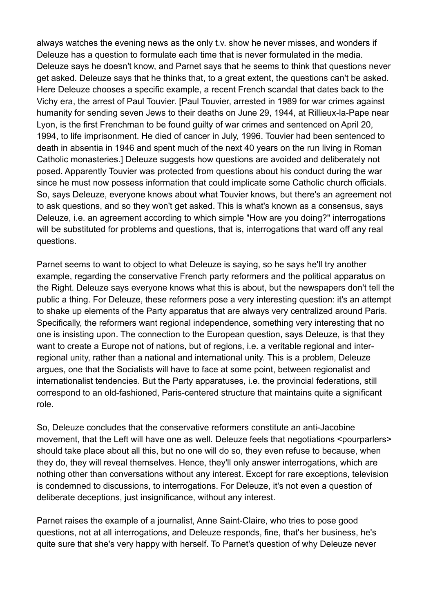always watches the evening news as the only t.v. show he never misses, and wonders if Deleuze has a question to formulate each time that is never formulated in the media. Deleuze says he doesn't know, and Parnet says that he seems to think that questions never get asked. Deleuze says that he thinks that, to a great extent, the questions can't be asked. Here Deleuze chooses a specific example, a recent French scandal that dates back to the Vichy era, the arrest of Paul Touvier. [Paul Touvier, arrested in 1989 for war crimes against humanity for sending seven Jews to their deaths on June 29, 1944, at Rillieux-la-Pape near Lyon, is the first Frenchman to be found guilty of war crimes and sentenced on April 20, 1994, to life imprisonment. He died of cancer in July, 1996. Touvier had been sentenced to death in absentia in 1946 and spent much of the next 40 years on the run living in Roman Catholic monasteries.] Deleuze suggests how questions are avoided and deliberately not posed. Apparently Touvier was protected from questions about his conduct during the war since he must now possess information that could implicate some Catholic church officials. So, says Deleuze, everyone knows about what Touvier knows, but there's an agreement not to ask questions, and so they won't get asked. This is what's known as a consensus, says Deleuze, i.e. an agreement according to which simple "How are you doing?" interrogations will be substituted for problems and questions, that is, interrogations that ward off any real questions.

Parnet seems to want to object to what Deleuze is saying, so he says he'll try another example, regarding the conservative French party reformers and the political apparatus on the Right. Deleuze says everyone knows what this is about, but the newspapers don't tell the public a thing. For Deleuze, these reformers pose a very interesting question: it's an attempt to shake up elements of the Party apparatus that are always very centralized around Paris. Specifically, the reformers want regional independence, something very interesting that no one is insisting upon. The connection to the European question, says Deleuze, is that they want to create a Europe not of nations, but of regions, i.e. a veritable regional and interregional unity, rather than a national and international unity. This is a problem, Deleuze argues, one that the Socialists will have to face at some point, between regionalist and internationalist tendencies. But the Party apparatuses, i.e. the provincial federations, still correspond to an old-fashioned, Paris-centered structure that maintains quite a significant role.

So, Deleuze concludes that the conservative reformers constitute an anti-Jacobine movement, that the Left will have one as well. Deleuze feels that negotiations <pourparlers> should take place about all this, but no one will do so, they even refuse to because, when they do, they will reveal themselves. Hence, they'll only answer interrogations, which are nothing other than conversations without any interest. Except for rare exceptions, television is condemned to discussions, to interrogations. For Deleuze, it's not even a question of deliberate deceptions, just insignificance, without any interest.

Parnet raises the example of a journalist, Anne Saint-Claire, who tries to pose good questions, not at all interrogations, and Deleuze responds, fine, that's her business, he's quite sure that she's very happy with herself. To Parnet's question of why Deleuze never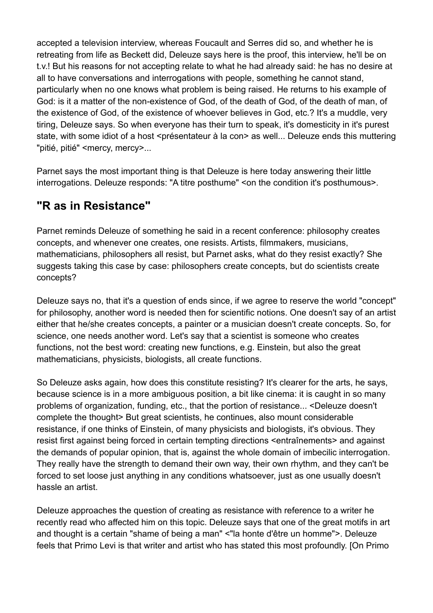accepted a television interview, whereas Foucault and Serres did so, and whether he is retreating from life as Beckett did, Deleuze says here is the proof, this interview, he'll be on t.v.! But his reasons for not accepting relate to what he had already said: he has no desire at all to have conversations and interrogations with people, something he cannot stand, particularly when no one knows what problem is being raised. He returns to his example of God: is it a matter of the non-existence of God, of the death of God, of the death of man, of the existence of God, of the existence of whoever believes in God, etc.? It's a muddle, very tiring, Deleuze says. So when everyone has their turn to speak, it's domesticity in it's purest state, with some idiot of a host <présentateur à la con> as well... Deleuze ends this muttering "pitié, pitié" <mercy, mercy>...

Parnet says the most important thing is that Deleuze is here today answering their little interrogations. Deleuze responds: "A titre posthume" <on the condition it's posthumous>.

### **"R as in Resistance"**

Parnet reminds Deleuze of something he said in a recent conference: philosophy creates concepts, and whenever one creates, one resists. Artists, filmmakers, musicians, mathematicians, philosophers all resist, but Parnet asks, what do they resist exactly? She suggests taking this case by case: philosophers create concepts, but do scientists create concepts?

Deleuze says no, that it's a question of ends since, if we agree to reserve the world "concept" for philosophy, another word is needed then for scientific notions. One doesn't say of an artist either that he/she creates concepts, a painter or a musician doesn't create concepts. So, for science, one needs another word. Let's say that a scientist is someone who creates functions, not the best word: creating new functions, e.g. Einstein, but also the great mathematicians, physicists, biologists, all create functions.

So Deleuze asks again, how does this constitute resisting? It's clearer for the arts, he says, because science is in a more ambiguous position, a bit like cinema: it is caught in so many problems of organization, funding, etc., that the portion of resistance... <Deleuze doesn't complete the thought> But great scientists, he continues, also mount considerable resistance, if one thinks of Einstein, of many physicists and biologists, it's obvious. They resist first against being forced in certain tempting directions <entraînements> and against the demands of popular opinion, that is, against the whole domain of imbecilic interrogation. They really have the strength to demand their own way, their own rhythm, and they can't be forced to set loose just anything in any conditions whatsoever, just as one usually doesn't hassle an artist.

Deleuze approaches the question of creating as resistance with reference to a writer he recently read who affected him on this topic. Deleuze says that one of the great motifs in art and thought is a certain "shame of being a man" <"la honte d'être un homme">. Deleuze feels that Primo Levi is that writer and artist who has stated this most profoundly. [On Primo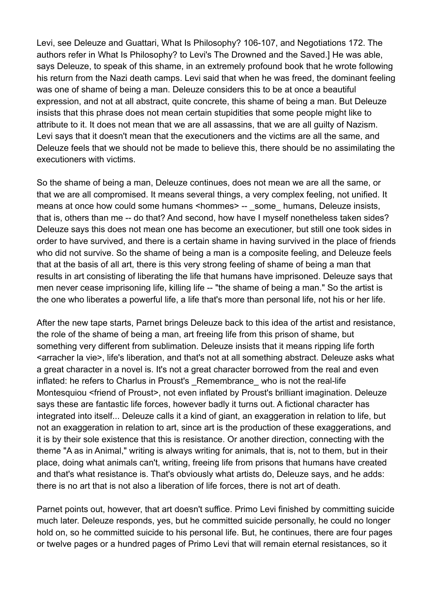Levi, see Deleuze and Guattari, What Is Philosophy? 106-107, and Negotiations 172. The authors refer in What Is Philosophy? to Levi's The Drowned and the Saved.] He was able, says Deleuze, to speak of this shame, in an extremely profound book that he wrote following his return from the Nazi death camps. Levi said that when he was freed, the dominant feeling was one of shame of being a man. Deleuze considers this to be at once a beautiful expression, and not at all abstract, quite concrete, this shame of being a man. But Deleuze insists that this phrase does not mean certain stupidities that some people might like to attribute to it. It does not mean that we are all assassins, that we are all guilty of Nazism. Levi says that it doesn't mean that the executioners and the victims are all the same, and Deleuze feels that we should not be made to believe this, there should be no assimilating the executioners with victims.

So the shame of being a man, Deleuze continues, does not mean we are all the same, or that we are all compromised. It means several things, a very complex feeling, not unified. It means at once how could some humans <hommes> -- some humans, Deleuze insists, that is, others than me -- do that? And second, how have I myself nonetheless taken sides? Deleuze says this does not mean one has become an executioner, but still one took sides in order to have survived, and there is a certain shame in having survived in the place of friends who did not survive. So the shame of being a man is a composite feeling, and Deleuze feels that at the basis of all art, there is this very strong feeling of shame of being a man that results in art consisting of liberating the life that humans have imprisoned. Deleuze says that men never cease imprisoning life, killing life -- "the shame of being a man." So the artist is the one who liberates a powerful life, a life that's more than personal life, not his or her life.

After the new tape starts, Parnet brings Deleuze back to this idea of the artist and resistance, the role of the shame of being a man, art freeing life from this prison of shame, but something very different from sublimation. Deleuze insists that it means ripping life forth <arracher la vie>, life's liberation, and that's not at all something abstract. Deleuze asks what a great character in a novel is. It's not a great character borrowed from the real and even inflated: he refers to Charlus in Proust's Remembrance who is not the real-life Montesquiou <friend of Proust>, not even inflated by Proust's brilliant imagination. Deleuze says these are fantastic life forces, however badly it turns out. A fictional character has integrated into itself... Deleuze calls it a kind of giant, an exaggeration in relation to life, but not an exaggeration in relation to art, since art is the production of these exaggerations, and it is by their sole existence that this is resistance. Or another direction, connecting with the theme "A as in Animal," writing is always writing for animals, that is, not to them, but in their place, doing what animals can't, writing, freeing life from prisons that humans have created and that's what resistance is. That's obviously what artists do, Deleuze says, and he adds: there is no art that is not also a liberation of life forces, there is not art of death.

Parnet points out, however, that art doesn't suffice. Primo Levi finished by committing suicide much later. Deleuze responds, yes, but he committed suicide personally, he could no longer hold on, so he committed suicide to his personal life. But, he continues, there are four pages or twelve pages or a hundred pages of Primo Levi that will remain eternal resistances, so it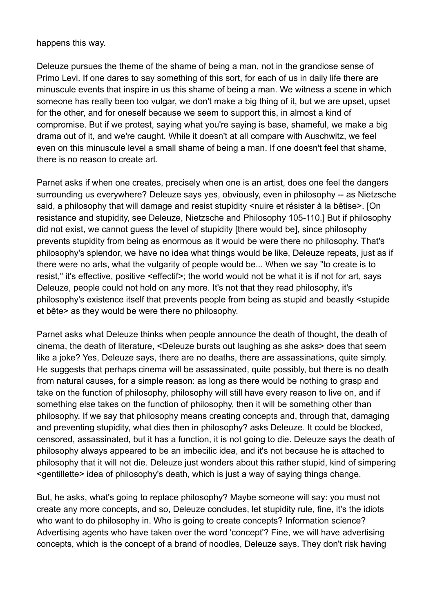#### happens this way.

Deleuze pursues the theme of the shame of being a man, not in the grandiose sense of Primo Levi. If one dares to say something of this sort, for each of us in daily life there are minuscule events that inspire in us this shame of being a man. We witness a scene in which someone has really been too vulgar, we don't make a big thing of it, but we are upset, upset for the other, and for oneself because we seem to support this, in almost a kind of compromise. But if we protest, saying what you're saying is base, shameful, we make a big drama out of it, and we're caught. While it doesn't at all compare with Auschwitz, we feel even on this minuscule level a small shame of being a man. If one doesn't feel that shame, there is no reason to create art.

Parnet asks if when one creates, precisely when one is an artist, does one feel the dangers surrounding us everywhere? Deleuze says yes, obviously, even in philosophy -- as Nietzsche said, a philosophy that will damage and resist stupidity <nuire et résister à la bêtise>. [On resistance and stupidity, see Deleuze, Nietzsche and Philosophy 105-110.] But if philosophy did not exist, we cannot guess the level of stupidity [there would be], since philosophy prevents stupidity from being as enormous as it would be were there no philosophy. That's philosophy's splendor, we have no idea what things would be like, Deleuze repeats, just as if there were no arts, what the vulgarity of people would be... When we say "to create is to resist," it's effective, positive <effectif>; the world would not be what it is if not for art, says Deleuze, people could not hold on any more. It's not that they read philosophy, it's philosophy's existence itself that prevents people from being as stupid and beastly <stupide et bête> as they would be were there no philosophy.

Parnet asks what Deleuze thinks when people announce the death of thought, the death of cinema, the death of literature, <Deleuze bursts out laughing as she asks> does that seem like a joke? Yes, Deleuze says, there are no deaths, there are assassinations, quite simply. He suggests that perhaps cinema will be assassinated, quite possibly, but there is no death from natural causes, for a simple reason: as long as there would be nothing to grasp and take on the function of philosophy, philosophy will still have every reason to live on, and if something else takes on the function of philosophy, then it will be something other than philosophy. If we say that philosophy means creating concepts and, through that, damaging and preventing stupidity, what dies then in philosophy? asks Deleuze. It could be blocked, censored, assassinated, but it has a function, it is not going to die. Deleuze says the death of philosophy always appeared to be an imbecilic idea, and it's not because he is attached to philosophy that it will not die. Deleuze just wonders about this rather stupid, kind of simpering <gentillette> idea of philosophy's death, which is just a way of saying things change.

But, he asks, what's going to replace philosophy? Maybe someone will say: you must not create any more concepts, and so, Deleuze concludes, let stupidity rule, fine, it's the idiots who want to do philosophy in. Who is going to create concepts? Information science? Advertising agents who have taken over the word 'concept'? Fine, we will have advertising concepts, which is the concept of a brand of noodles, Deleuze says. They don't risk having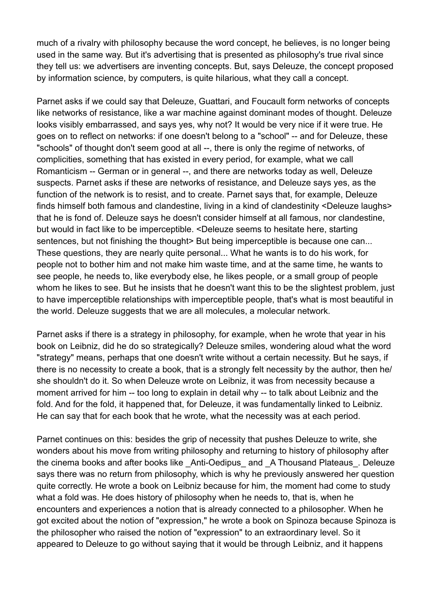much of a rivalry with philosophy because the word concept, he believes, is no longer being used in the same way. But it's advertising that is presented as philosophy's true rival since they tell us: we advertisers are inventing concepts. But, says Deleuze, the concept proposed by information science, by computers, is quite hilarious, what they call a concept.

Parnet asks if we could say that Deleuze, Guattari, and Foucault form networks of concepts like networks of resistance, like a war machine against dominant modes of thought. Deleuze looks visibly embarrassed, and says yes, why not? It would be very nice if it were true. He goes on to reflect on networks: if one doesn't belong to a "school" -- and for Deleuze, these "schools" of thought don't seem good at all --, there is only the regime of networks, of complicities, something that has existed in every period, for example, what we call Romanticism -- German or in general --, and there are networks today as well, Deleuze suspects. Parnet asks if these are networks of resistance, and Deleuze says yes, as the function of the network is to resist, and to create. Parnet says that, for example, Deleuze finds himself both famous and clandestine, living in a kind of clandestinity <Deleuze laughs> that he is fond of. Deleuze says he doesn't consider himself at all famous, nor clandestine, but would in fact like to be imperceptible. <Deleuze seems to hesitate here, starting sentences, but not finishing the thought > But being imperceptible is because one can... These questions, they are nearly quite personal... What he wants is to do his work, for people not to bother him and not make him waste time, and at the same time, he wants to see people, he needs to, like everybody else, he likes people, or a small group of people whom he likes to see. But he insists that he doesn't want this to be the slightest problem, just to have imperceptible relationships with imperceptible people, that's what is most beautiful in the world. Deleuze suggests that we are all molecules, a molecular network.

Parnet asks if there is a strategy in philosophy, for example, when he wrote that year in his book on Leibniz, did he do so strategically? Deleuze smiles, wondering aloud what the word "strategy" means, perhaps that one doesn't write without a certain necessity. But he says, if there is no necessity to create a book, that is a strongly felt necessity by the author, then he/ she shouldn't do it. So when Deleuze wrote on Leibniz, it was from necessity because a moment arrived for him -- too long to explain in detail why -- to talk about Leibniz and the fold. And for the fold, it happened that, for Deleuze, it was fundamentally linked to Leibniz. He can say that for each book that he wrote, what the necessity was at each period.

Parnet continues on this: besides the grip of necessity that pushes Deleuze to write, she wonders about his move from writing philosophy and returning to history of philosophy after the cinema books and after books like Anti-Oedipus and A Thousand Plateaus. Deleuze says there was no return from philosophy, which is why he previously answered her question quite correctly. He wrote a book on Leibniz because for him, the moment had come to study what a fold was. He does history of philosophy when he needs to, that is, when he encounters and experiences a notion that is already connected to a philosopher. When he got excited about the notion of "expression," he wrote a book on Spinoza because Spinoza is the philosopher who raised the notion of "expression" to an extraordinary level. So it appeared to Deleuze to go without saying that it would be through Leibniz, and it happens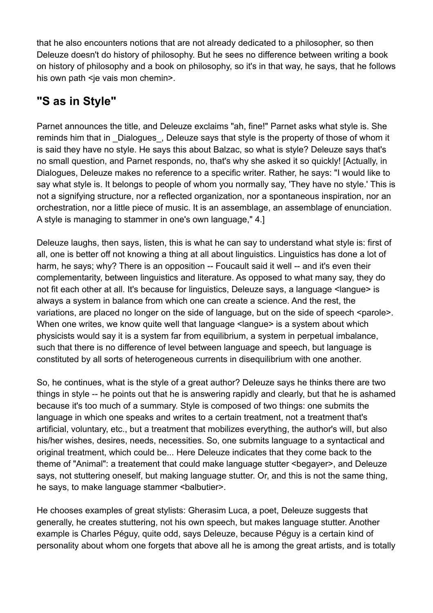that he also encounters notions that are not already dedicated to a philosopher, so then Deleuze doesn't do history of philosophy. But he sees no difference between writing a book on history of philosophy and a book on philosophy, so it's in that way, he says, that he follows his own path <je vais mon chemin>.

# **"S as in Style"**

Parnet announces the title, and Deleuze exclaims "ah, fine!" Parnet asks what style is. She reminds him that in Dialogues, Deleuze says that style is the property of those of whom it is said they have no style. He says this about Balzac, so what is style? Deleuze says that's no small question, and Parnet responds, no, that's why she asked it so quickly! [Actually, in Dialogues, Deleuze makes no reference to a specific writer. Rather, he says: "I would like to say what style is. It belongs to people of whom you normally say, 'They have no style.' This is not a signifying structure, nor a reflected organization, nor a spontaneous inspiration, nor an orchestration, nor a little piece of music. It is an assemblage, an assemblage of enunciation. A style is managing to stammer in one's own language," 4.]

Deleuze laughs, then says, listen, this is what he can say to understand what style is: first of all, one is better off not knowing a thing at all about linguistics. Linguistics has done a lot of harm, he says; why? There is an opposition -- Foucault said it well -- and it's even their complementarity, between linguistics and literature. As opposed to what many say, they do not fit each other at all. It's because for linguistics, Deleuze says, a language <langue> is always a system in balance from which one can create a science. And the rest, the variations, are placed no longer on the side of language, but on the side of speech <parole>. When one writes, we know quite well that language <langue> is a system about which physicists would say it is a system far from equilibrium, a system in perpetual imbalance, such that there is no difference of level between language and speech, but language is constituted by all sorts of heterogeneous currents in disequilibrium with one another.

So, he continues, what is the style of a great author? Deleuze says he thinks there are two things in style -- he points out that he is answering rapidly and clearly, but that he is ashamed because it's too much of a summary. Style is composed of two things: one submits the language in which one speaks and writes to a certain treatment, not a treatment that's artificial, voluntary, etc., but a treatment that mobilizes everything, the author's will, but also his/her wishes, desires, needs, necessities. So, one submits language to a syntactical and original treatment, which could be... Here Deleuze indicates that they come back to the theme of "Animal": a treatement that could make language stutter <begayer>, and Deleuze says, not stuttering oneself, but making language stutter. Or, and this is not the same thing, he says, to make language stammer <br/>balbutier>.

He chooses examples of great stylists: Gherasim Luca, a poet, Deleuze suggests that generally, he creates stuttering, not his own speech, but makes language stutter. Another example is Charles Péguy, quite odd, says Deleuze, because Péguy is a certain kind of personality about whom one forgets that above all he is among the great artists, and is totally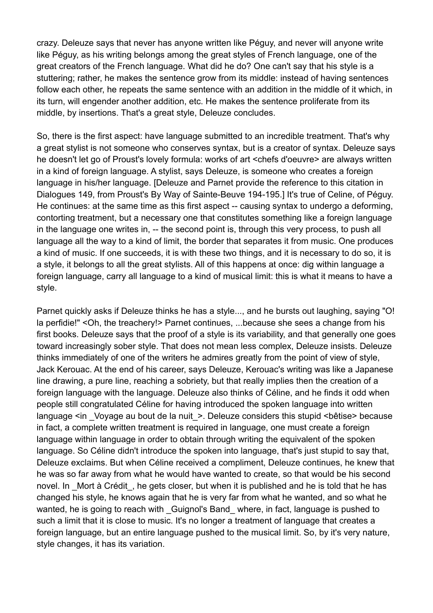crazy. Deleuze says that never has anyone written like Péguy, and never will anyone write like Péguy, as his writing belongs among the great styles of French language, one of the great creators of the French language. What did he do? One can't say that his style is a stuttering; rather, he makes the sentence grow from its middle: instead of having sentences follow each other, he repeats the same sentence with an addition in the middle of it which, in its turn, will engender another addition, etc. He makes the sentence proliferate from its middle, by insertions. That's a great style, Deleuze concludes.

So, there is the first aspect: have language submitted to an incredible treatment. That's why a great stylist is not someone who conserves syntax, but is a creator of syntax. Deleuze says he doesn't let go of Proust's lovely formula: works of art <chefs d'oeuvre> are always written in a kind of foreign language. A stylist, says Deleuze, is someone who creates a foreign language in his/her language. [Deleuze and Parnet provide the reference to this citation in Dialogues 149, from Proust's By Way of Sainte-Beuve 194-195.] It's true of Celine, of Péguy. He continues: at the same time as this first aspect -- causing syntax to undergo a deforming, contorting treatment, but a necessary one that constitutes something like a foreign language in the language one writes in, -- the second point is, through this very process, to push all language all the way to a kind of limit, the border that separates it from music. One produces a kind of music. If one succeeds, it is with these two things, and it is necessary to do so, it is a style, it belongs to all the great stylists. All of this happens at once: dig within language a foreign language, carry all language to a kind of musical limit: this is what it means to have a style.

Parnet quickly asks if Deleuze thinks he has a style..., and he bursts out laughing, saying "O! la perfidie!" <Oh, the treachery!> Parnet continues, ...because she sees a change from his first books. Deleuze says that the proof of a style is its variability, and that generally one goes toward increasingly sober style. That does not mean less complex, Deleuze insists. Deleuze thinks immediately of one of the writers he admires greatly from the point of view of style, Jack Kerouac. At the end of his career, says Deleuze, Kerouac's writing was like a Japanese line drawing, a pure line, reaching a sobriety, but that really implies then the creation of a foreign language with the language. Deleuze also thinks of Céline, and he finds it odd when people still congratulated Céline for having introduced the spoken language into written language <in Voyage au bout de la nuit >. Deleuze considers this stupid <br/>betise> because in fact, a complete written treatment is required in language, one must create a foreign language within language in order to obtain through writing the equivalent of the spoken language. So Céline didn't introduce the spoken into language, that's just stupid to say that, Deleuze exclaims. But when Céline received a compliment, Deleuze continues, he knew that he was so far away from what he would have wanted to create, so that would be his second novel. In Mort à Crédit, he gets closer, but when it is published and he is told that he has changed his style, he knows again that he is very far from what he wanted, and so what he wanted, he is going to reach with Guignol's Band where, in fact, language is pushed to such a limit that it is close to music. It's no longer a treatment of language that creates a foreign language, but an entire language pushed to the musical limit. So, by it's very nature, style changes, it has its variation.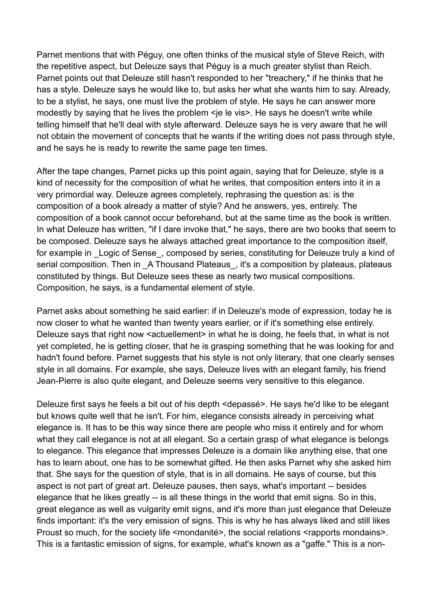Parnet mentions that with Péguy, one often thinks of the musical style of Steve Reich, with the repetitive aspect, but Deleuze says that Péguy is a much greater stylist than Reich. Parnet points out that Deleuze still hasn't responded to her "treachery," if he thinks that he has a style. Deleuze says he would like to, but asks her what she wants him to say. Already, to be a stylist, he says, one must live the problem of style. He says he can answer more modestly by saying that he lives the problem <ie le vis>. He says he doesn't write while telling himself that he'll deal with style afterward. Deleuze says he is very aware that he will not obtain the movement of concepts that he wants if the writing does not pass through style, and he says he is ready to rewrite the same page ten times.

After the tape changes, Parnet picks up this point again, saying that for Deleuze, style is a kind of necessity for the composition of what he writes, that composition enters into it in a very primordial way. Deleuze agrees completely, rephrasing the question as: is the composition of a book already a matter of style? And he answers, yes, entirely. The composition of a book cannot occur beforehand, but at the same time as the book is written. In what Deleuze has written, "if I dare invoke that," he says, there are two books that seem to be composed. Deleuze says he always attached great importance to the composition itself, for example in Logic of Sense, composed by series, constituting for Deleuze truly a kind of serial composition. Then in A Thousand Plateaus, it's a composition by plateaus, plateaus constituted by things. But Deleuze sees these as nearly two musical compositions. Composition, he says, is a fundamental element of style.

Parnet asks about something he said earlier: if in Deleuze's mode of expression, today he is now closer to what he wanted than twenty years earlier, or if it's something else entirely. Deleuze says that right now <actuellement> in what he is doing, he feels that, in what is not yet completed, he is getting closer, that he is grasping something that he was looking for and hadn't found before. Parnet suggests that his style is not only literary, that one clearly senses style in all domains. For example, she says, Deleuze lives with an elegant family, his friend Jean-Pierre is also quite elegant, and Deleuze seems very sensitive to this elegance.

Deleuze first says he feels a bit out of his depth <depassé>. He says he'd like to be elegant but knows quite well that he isn't. For him, elegance consists already in perceiving what elegance is. It has to be this way since there are people who miss it entirely and for whom what they call elegance is not at all elegant. So a certain grasp of what elegance is belongs to elegance. This elegance that impresses Deleuze is a domain like anything else, that one has to learn about, one has to be somewhat gifted. He then asks Parnet why she asked him that. She says for the question of style, that is in all domains. He says of course, but this aspect is not part of great art. Deleuze pauses, then says, what's important -- besides elegance that he likes greatly -- is all these things in the world that emit signs. So in this, great elegance as well as vulgarity emit signs, and it's more than just elegance that Deleuze finds important: it's the very emission of signs. This is why he has always liked and still likes Proust so much, for the society life <mondanité>, the social relations <rapports mondains>. This is a fantastic emission of signs, for example, what's known as a "gaffe." This is a non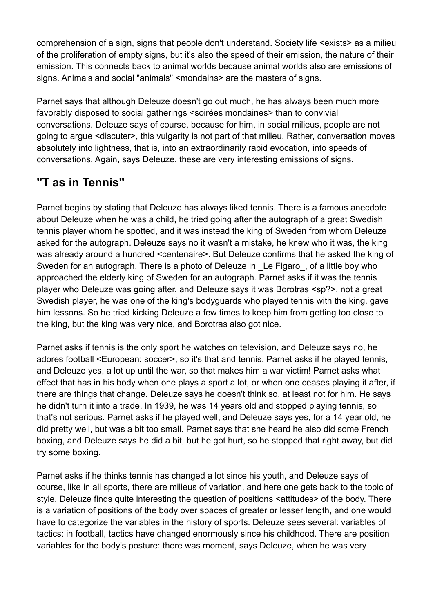comprehension of a sign, signs that people don't understand. Society life <exists> as a milieu of the proliferation of empty signs, but it's also the speed of their emission, the nature of their emission. This connects back to animal worlds because animal worlds also are emissions of signs. Animals and social "animals" <mondains> are the masters of signs.

Parnet says that although Deleuze doesn't go out much, he has always been much more favorably disposed to social gatherings <soirées mondaines> than to convivial conversations. Deleuze says of course, because for him, in social milieus, people are not going to argue <discuter>, this vulgarity is not part of that milieu. Rather, conversation moves absolutely into lightness, that is, into an extraordinarily rapid evocation, into speeds of conversations. Again, says Deleuze, these are very interesting emissions of signs.

# **"T as in Tennis"**

Parnet begins by stating that Deleuze has always liked tennis. There is a famous anecdote about Deleuze when he was a child, he tried going after the autograph of a great Swedish tennis player whom he spotted, and it was instead the king of Sweden from whom Deleuze asked for the autograph. Deleuze says no it wasn't a mistake, he knew who it was, the king was already around a hundred <centenaire>. But Deleuze confirms that he asked the king of Sweden for an autograph. There is a photo of Deleuze in Le Figaro, of a little boy who approached the elderly king of Sweden for an autograph. Parnet asks if it was the tennis player who Deleuze was going after, and Deleuze says it was Borotras <sp?>, not a great Swedish player, he was one of the king's bodyguards who played tennis with the king, gave him lessons. So he tried kicking Deleuze a few times to keep him from getting too close to the king, but the king was very nice, and Borotras also got nice.

Parnet asks if tennis is the only sport he watches on television, and Deleuze says no, he adores football <European: soccer>, so it's that and tennis. Parnet asks if he played tennis, and Deleuze yes, a lot up until the war, so that makes him a war victim! Parnet asks what effect that has in his body when one plays a sport a lot, or when one ceases playing it after, if there are things that change. Deleuze says he doesn't think so, at least not for him. He says he didn't turn it into a trade. In 1939, he was 14 years old and stopped playing tennis, so that's not serious. Parnet asks if he played well, and Deleuze says yes, for a 14 year old, he did pretty well, but was a bit too small. Parnet says that she heard he also did some French boxing, and Deleuze says he did a bit, but he got hurt, so he stopped that right away, but did try some boxing.

Parnet asks if he thinks tennis has changed a lot since his youth, and Deleuze says of course, like in all sports, there are milieus of variation, and here one gets back to the topic of style. Deleuze finds quite interesting the question of positions <attitudes> of the body. There is a variation of positions of the body over spaces of greater or lesser length, and one would have to categorize the variables in the history of sports. Deleuze sees several: variables of tactics: in football, tactics have changed enormously since his childhood. There are position variables for the body's posture: there was moment, says Deleuze, when he was very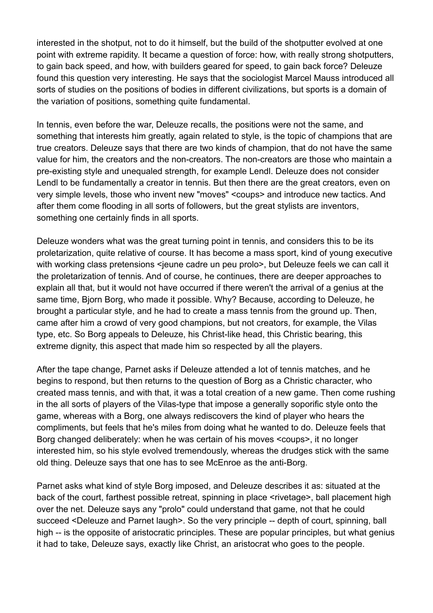interested in the shotput, not to do it himself, but the build of the shotputter evolved at one point with extreme rapidity. It became a question of force: how, with really strong shotputters, to gain back speed, and how, with builders geared for speed, to gain back force? Deleuze found this question very interesting. He says that the sociologist Marcel Mauss introduced all sorts of studies on the positions of bodies in different civilizations, but sports is a domain of the variation of positions, something quite fundamental.

In tennis, even before the war, Deleuze recalls, the positions were not the same, and something that interests him greatly, again related to style, is the topic of champions that are true creators. Deleuze says that there are two kinds of champion, that do not have the same value for him, the creators and the non-creators. The non-creators are those who maintain a pre-existing style and unequaled strength, for example Lendl. Deleuze does not consider Lendl to be fundamentally a creator in tennis. But then there are the great creators, even on very simple levels, those who invent new "moves" <coups> and introduce new tactics. And after them come flooding in all sorts of followers, but the great stylists are inventors, something one certainly finds in all sports.

Deleuze wonders what was the great turning point in tennis, and considers this to be its proletarization, quite relative of course. It has become a mass sport, kind of young executive with working class pretensions <jeune cadre un peu prolo>, but Deleuze feels we can call it the proletarization of tennis. And of course, he continues, there are deeper approaches to explain all that, but it would not have occurred if there weren't the arrival of a genius at the same time, Bjorn Borg, who made it possible. Why? Because, according to Deleuze, he brought a particular style, and he had to create a mass tennis from the ground up. Then, came after him a crowd of very good champions, but not creators, for example, the Vilas type, etc. So Borg appeals to Deleuze, his Christ-like head, this Christic bearing, this extreme dignity, this aspect that made him so respected by all the players.

After the tape change, Parnet asks if Deleuze attended a lot of tennis matches, and he begins to respond, but then returns to the question of Borg as a Christic character, who created mass tennis, and with that, it was a total creation of a new game. Then come rushing in the all sorts of players of the Vilas-type that impose a generally soporific style onto the game, whereas with a Borg, one always rediscovers the kind of player who hears the compliments, but feels that he's miles from doing what he wanted to do. Deleuze feels that Borg changed deliberately: when he was certain of his moves <coups>, it no longer interested him, so his style evolved tremendously, whereas the drudges stick with the same old thing. Deleuze says that one has to see McEnroe as the anti-Borg.

Parnet asks what kind of style Borg imposed, and Deleuze describes it as: situated at the back of the court, farthest possible retreat, spinning in place <rivetage>, ball placement high over the net. Deleuze says any "prolo" could understand that game, not that he could succeed <Deleuze and Parnet laugh>. So the very principle -- depth of court, spinning, ball high -- is the opposite of aristocratic principles. These are popular principles, but what genius it had to take, Deleuze says, exactly like Christ, an aristocrat who goes to the people.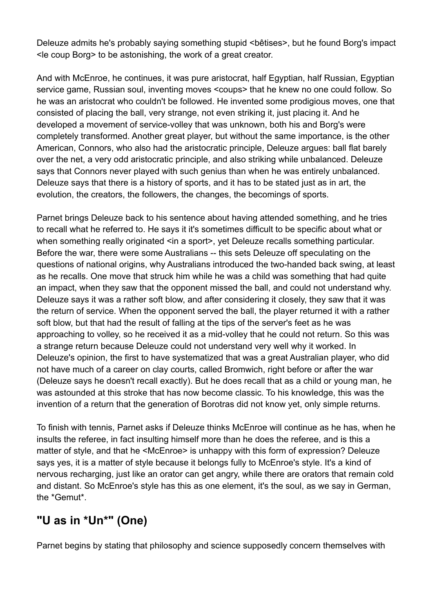Deleuze admits he's probably saying something stupid <br/>betises>, but he found Borg's impact <le coup Borg> to be astonishing, the work of a great creator.

And with McEnroe, he continues, it was pure aristocrat, half Egyptian, half Russian, Egyptian service game, Russian soul, inventing moves <coups> that he knew no one could follow. So he was an aristocrat who couldn't be followed. He invented some prodigious moves, one that consisted of placing the ball, very strange, not even striking it, just placing it. And he developed a movement of service-volley that was unknown, both his and Borg's were completely transformed. Another great player, but without the same importance, is the other American, Connors, who also had the aristocratic principle, Deleuze argues: ball flat barely over the net, a very odd aristocratic principle, and also striking while unbalanced. Deleuze says that Connors never played with such genius than when he was entirely unbalanced. Deleuze says that there is a history of sports, and it has to be stated just as in art, the evolution, the creators, the followers, the changes, the becomings of sports.

Parnet brings Deleuze back to his sentence about having attended something, and he tries to recall what he referred to. He says it it's sometimes difficult to be specific about what or when something really originated <in a sport>, yet Deleuze recalls something particular. Before the war, there were some Australians -- this sets Deleuze off speculating on the questions of national origins, why Australians introduced the two-handed back swing, at least as he recalls. One move that struck him while he was a child was something that had quite an impact, when they saw that the opponent missed the ball, and could not understand why. Deleuze says it was a rather soft blow, and after considering it closely, they saw that it was the return of service. When the opponent served the ball, the player returned it with a rather soft blow, but that had the result of falling at the tips of the server's feet as he was approaching to volley, so he received it as a mid-volley that he could not return. So this was a strange return because Deleuze could not understand very well why it worked. In Deleuze's opinion, the first to have systematized that was a great Australian player, who did not have much of a career on clay courts, called Bromwich, right before or after the war (Deleuze says he doesn't recall exactly). But he does recall that as a child or young man, he was astounded at this stroke that has now become classic. To his knowledge, this was the invention of a return that the generation of Borotras did not know yet, only simple returns.

To finish with tennis, Parnet asks if Deleuze thinks McEnroe will continue as he has, when he insults the referee, in fact insulting himself more than he does the referee, and is this a matter of style, and that he <McEnroe> is unhappy with this form of expression? Deleuze says yes, it is a matter of style because it belongs fully to McEnroe's style. It's a kind of nervous recharging, just like an orator can get angry, while there are orators that remain cold and distant. So McEnroe's style has this as one element, it's the soul, as we say in German, the \*Gemut\*.

# **"U as in \*Un\*" (One)**

Parnet begins by stating that philosophy and science supposedly concern themselves with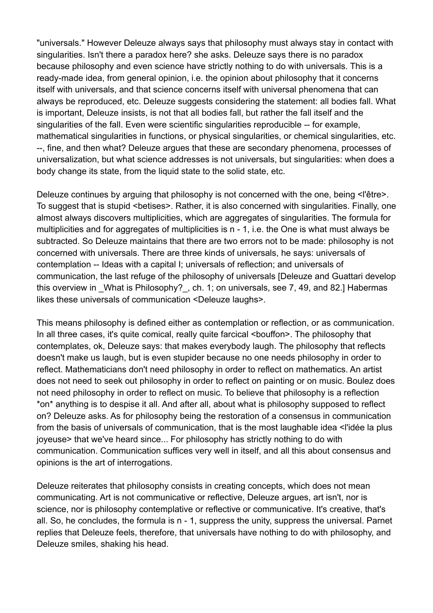"universals." However Deleuze always says that philosophy must always stay in contact with singularities. Isn't there a paradox here? she asks. Deleuze says there is no paradox because philosophy and even science have strictly nothing to do with universals. This is a ready-made idea, from general opinion, i.e. the opinion about philosophy that it concerns itself with universals, and that science concerns itself with universal phenomena that can always be reproduced, etc. Deleuze suggests considering the statement: all bodies fall. What is important, Deleuze insists, is not that all bodies fall, but rather the fall itself and the singularities of the fall. Even were scientific singularities reproducible -- for example, mathematical singularities in functions, or physical singularities, or chemical singularities, etc. --, fine, and then what? Deleuze argues that these are secondary phenomena, processes of universalization, but what science addresses is not universals, but singularities: when does a body change its state, from the liquid state to the solid state, etc.

Deleuze continues by arguing that philosophy is not concerned with the one, being <l'être>. To suggest that is stupid <betises>. Rather, it is also concerned with singularities. Finally, one almost always discovers multiplicities, which are aggregates of singularities. The formula for multiplicities and for aggregates of multiplicities is n - 1, i.e. the One is what must always be subtracted. So Deleuze maintains that there are two errors not to be made: philosophy is not concerned with universals. There are three kinds of universals, he says: universals of contemplation -- Ideas with a capital I; universals of reflection; and universals of communication, the last refuge of the philosophy of universals [Deleuze and Guattari develop this overview in What is Philosophy?, ch. 1; on universals, see 7, 49, and 82.] Habermas likes these universals of communication <Deleuze laughs>.

This means philosophy is defined either as contemplation or reflection, or as communication. In all three cases, it's quite comical, really quite farcical <br/>bouffon>. The philosophy that contemplates, ok, Deleuze says: that makes everybody laugh. The philosophy that reflects doesn't make us laugh, but is even stupider because no one needs philosophy in order to reflect. Mathematicians don't need philosophy in order to reflect on mathematics. An artist does not need to seek out philosophy in order to reflect on painting or on music. Boulez does not need philosophy in order to reflect on music. To believe that philosophy is a reflection \*on\* anything is to despise it all. And after all, about what is philosophy supposed to reflect on? Deleuze asks. As for philosophy being the restoration of a consensus in communication from the basis of universals of communication, that is the most laughable idea <l'idée la plus joyeuse> that we've heard since... For philosophy has strictly nothing to do with communication. Communication suffices very well in itself, and all this about consensus and opinions is the art of interrogations.

Deleuze reiterates that philosophy consists in creating concepts, which does not mean communicating. Art is not communicative or reflective, Deleuze argues, art isn't, nor is science, nor is philosophy contemplative or reflective or communicative. It's creative, that's all. So, he concludes, the formula is n - 1, suppress the unity, suppress the universal. Parnet replies that Deleuze feels, therefore, that universals have nothing to do with philosophy, and Deleuze smiles, shaking his head.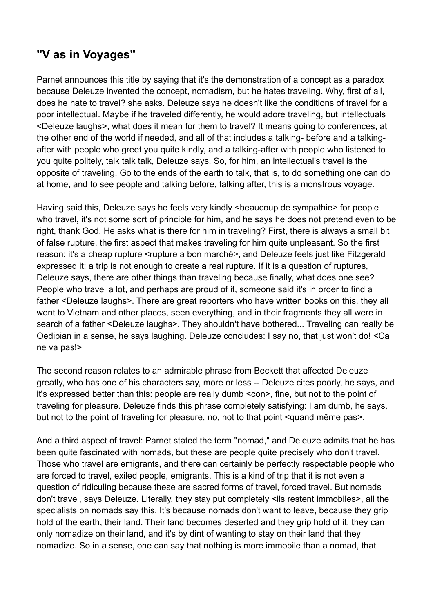### **"V as in Voyages"**

Parnet announces this title by saying that it's the demonstration of a concept as a paradox because Deleuze invented the concept, nomadism, but he hates traveling. Why, first of all, does he hate to travel? she asks. Deleuze says he doesn't like the conditions of travel for a poor intellectual. Maybe if he traveled differently, he would adore traveling, but intellectuals <Deleuze laughs>, what does it mean for them to travel? It means going to conferences, at the other end of the world if needed, and all of that includes a talking- before and a talkingafter with people who greet you quite kindly, and a talking-after with people who listened to you quite politely, talk talk talk, Deleuze says. So, for him, an intellectual's travel is the opposite of traveling. Go to the ends of the earth to talk, that is, to do something one can do at home, and to see people and talking before, talking after, this is a monstrous voyage.

Having said this, Deleuze says he feels very kindly <br >beaucoup de sympathie> for people who travel, it's not some sort of principle for him, and he says he does not pretend even to be right, thank God. He asks what is there for him in traveling? First, there is always a small bit of false rupture, the first aspect that makes traveling for him quite unpleasant. So the first reason: it's a cheap rupture <rupture a bon marché>, and Deleuze feels just like Fitzgerald expressed it: a trip is not enough to create a real rupture. If it is a question of ruptures, Deleuze says, there are other things than traveling because finally, what does one see? People who travel a lot, and perhaps are proud of it, someone said it's in order to find a father <Deleuze laughs>. There are great reporters who have written books on this, they all went to Vietnam and other places, seen everything, and in their fragments they all were in search of a father <Deleuze laughs>. They shouldn't have bothered... Traveling can really be Oedipian in a sense, he says laughing. Deleuze concludes: I say no, that just won't do! <Ca ne va pas!>

The second reason relates to an admirable phrase from Beckett that affected Deleuze greatly, who has one of his characters say, more or less -- Deleuze cites poorly, he says, and it's expressed better than this: people are really dumb <con>, fine, but not to the point of traveling for pleasure. Deleuze finds this phrase completely satisfying: I am dumb, he says, but not to the point of traveling for pleasure, no, not to that point <quand même pas>.

And a third aspect of travel: Parnet stated the term "nomad," and Deleuze admits that he has been quite fascinated with nomads, but these are people quite precisely who don't travel. Those who travel are emigrants, and there can certainly be perfectly respectable people who are forced to travel, exiled people, emigrants. This is a kind of trip that it is not even a question of ridiculing because these are sacred forms of travel, forced travel. But nomads don't travel, says Deleuze. Literally, they stay put completely <ils restent immobiles>, all the specialists on nomads say this. It's because nomads don't want to leave, because they grip hold of the earth, their land. Their land becomes deserted and they grip hold of it, they can only nomadize on their land, and it's by dint of wanting to stay on their land that they nomadize. So in a sense, one can say that nothing is more immobile than a nomad, that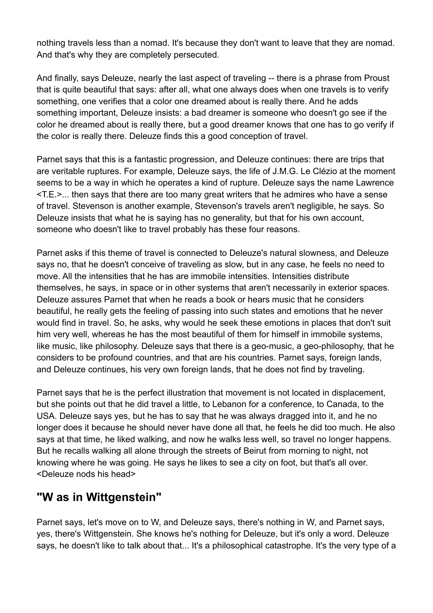nothing travels less than a nomad. It's because they don't want to leave that they are nomad. And that's why they are completely persecuted.

And finally, says Deleuze, nearly the last aspect of traveling -- there is a phrase from Proust that is quite beautiful that says: after all, what one always does when one travels is to verify something, one verifies that a color one dreamed about is really there. And he adds something important, Deleuze insists: a bad dreamer is someone who doesn't go see if the color he dreamed about is really there, but a good dreamer knows that one has to go verify if the color is really there. Deleuze finds this a good conception of travel.

Parnet says that this is a fantastic progression, and Deleuze continues: there are trips that are veritable ruptures. For example, Deleuze says, the life of J.M.G. Le Clézio at the moment seems to be a way in which he operates a kind of rupture. Deleuze says the name Lawrence <T.E.>... then says that there are too many great writers that he admires who have a sense of travel. Stevenson is another example, Stevenson's travels aren't negligible, he says. So Deleuze insists that what he is saying has no generality, but that for his own account, someone who doesn't like to travel probably has these four reasons.

Parnet asks if this theme of travel is connected to Deleuze's natural slowness, and Deleuze says no, that he doesn't conceive of traveling as slow, but in any case, he feels no need to move. All the intensities that he has are immobile intensities. Intensities distribute themselves, he says, in space or in other systems that aren't necessarily in exterior spaces. Deleuze assures Parnet that when he reads a book or hears music that he considers beautiful, he really gets the feeling of passing into such states and emotions that he never would find in travel. So, he asks, why would he seek these emotions in places that don't suit him very well, whereas he has the most beautiful of them for himself in immobile systems, like music, like philosophy. Deleuze says that there is a geo-music, a geo-philosophy, that he considers to be profound countries, and that are his countries. Parnet says, foreign lands, and Deleuze continues, his very own foreign lands, that he does not find by traveling.

Parnet says that he is the perfect illustration that movement is not located in displacement, but she points out that he did travel a little, to Lebanon for a conference, to Canada, to the USA. Deleuze says yes, but he has to say that he was always dragged into it, and he no longer does it because he should never have done all that, he feels he did too much. He also says at that time, he liked walking, and now he walks less well, so travel no longer happens. But he recalls walking all alone through the streets of Beirut from morning to night, not knowing where he was going. He says he likes to see a city on foot, but that's all over. <Deleuze nods his head>

## **"W as in Wittgenstein"**

Parnet says, let's move on to W, and Deleuze says, there's nothing in W, and Parnet says, yes, there's Wittgenstein. She knows he's nothing for Deleuze, but it's only a word. Deleuze says, he doesn't like to talk about that... It's a philosophical catastrophe. It's the very type of a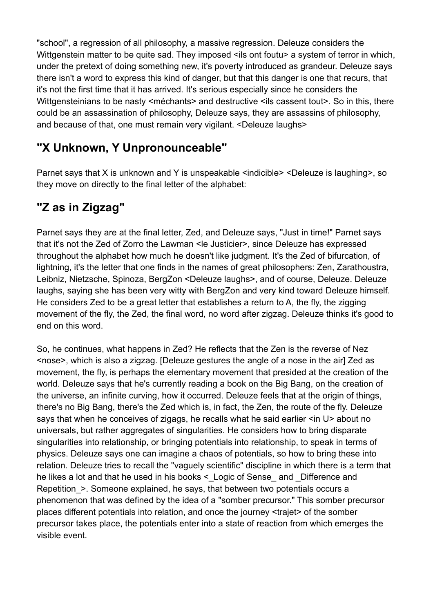"school", a regression of all philosophy, a massive regression. Deleuze considers the Wittgenstein matter to be quite sad. They imposed <ils ont foutu> a system of terror in which, under the pretext of doing something new, it's poverty introduced as grandeur. Deleuze says there isn't a word to express this kind of danger, but that this danger is one that recurs, that it's not the first time that it has arrived. It's serious especially since he considers the Wittgensteinians to be nasty <méchants> and destructive <ils cassent tout>. So in this, there could be an assassination of philosophy, Deleuze says, they are assassins of philosophy, and because of that, one must remain very vigilant. <Deleuze laughs>

## **"X Unknown, Y Unpronounceable"**

Parnet says that X is unknown and Y is unspeakable <indicible> <Deleuze is laughing>, so they move on directly to the final letter of the alphabet:

## **"Z as in Zigzag"**

Parnet says they are at the final letter, Zed, and Deleuze says, "Just in time!" Parnet says that it's not the Zed of Zorro the Lawman <le Justicier>, since Deleuze has expressed throughout the alphabet how much he doesn't like judgment. It's the Zed of bifurcation, of lightning, it's the letter that one finds in the names of great philosophers: Zen, Zarathoustra, Leibniz, Nietzsche, Spinoza, BergZon <Deleuze laughs>, and of course, Deleuze. Deleuze laughs, saying she has been very witty with BergZon and very kind toward Deleuze himself. He considers Zed to be a great letter that establishes a return to A, the fly, the zigging movement of the fly, the Zed, the final word, no word after zigzag. Deleuze thinks it's good to end on this word.

So, he continues, what happens in Zed? He reflects that the Zen is the reverse of Nez <nose>, which is also a zigzag. [Deleuze gestures the angle of a nose in the air] Zed as movement, the fly, is perhaps the elementary movement that presided at the creation of the world. Deleuze says that he's currently reading a book on the Big Bang, on the creation of the universe, an infinite curving, how it occurred. Deleuze feels that at the origin of things, there's no Big Bang, there's the Zed which is, in fact, the Zen, the route of the fly. Deleuze says that when he conceives of zigags, he recalls what he said earlier <in U> about no universals, but rather aggregates of singularities. He considers how to bring disparate singularities into relationship, or bringing potentials into relationship, to speak in terms of physics. Deleuze says one can imagine a chaos of potentials, so how to bring these into relation. Deleuze tries to recall the "vaguely scientific" discipline in which there is a term that he likes a lot and that he used in his books < Logic of Sense and Difference and Repetition > Someone explained, he says, that between two potentials occurs a phenomenon that was defined by the idea of a "somber precursor." This somber precursor places different potentials into relation, and once the journey <trajet> of the somber precursor takes place, the potentials enter into a state of reaction from which emerges the visible event.